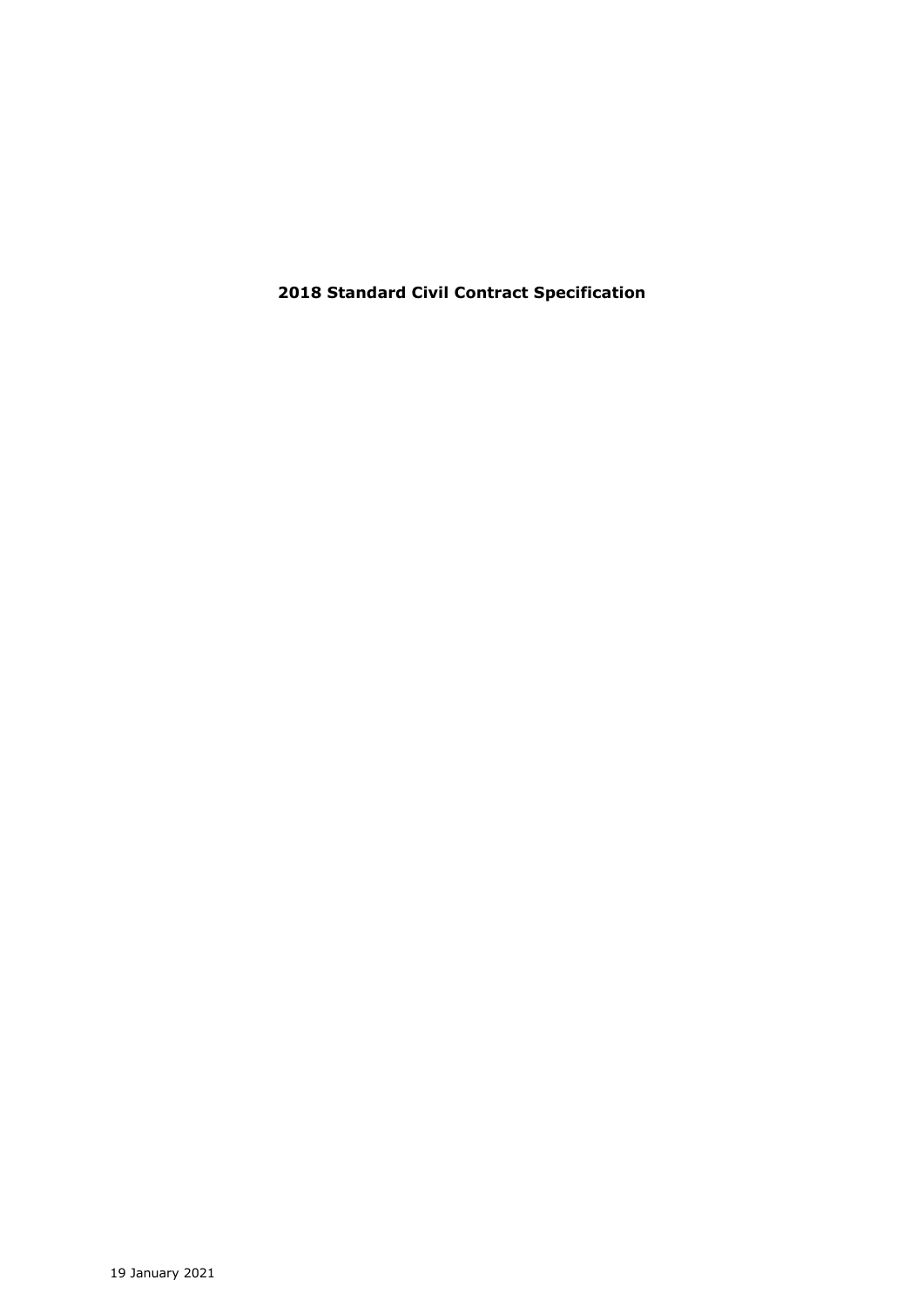**2018 Standard Civil Contract Specification**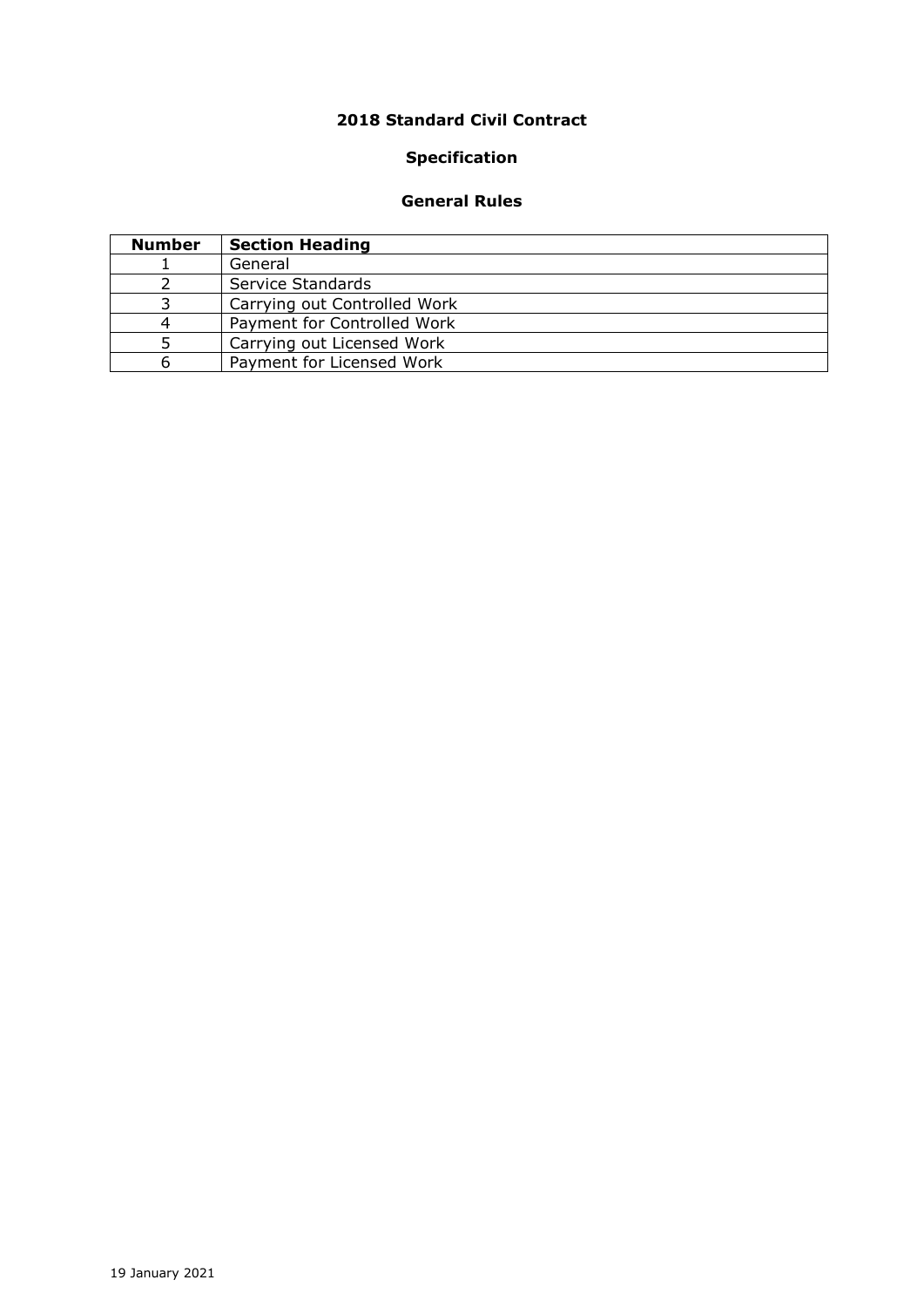# **Standard Civil Contract**

# **Specification**

# **General Rules**

| <b>Number</b> | <b>Section Heading</b>       |
|---------------|------------------------------|
|               | General                      |
|               | Service Standards            |
|               | Carrying out Controlled Work |
|               | Payment for Controlled Work  |
|               | Carrying out Licensed Work   |
|               | Payment for Licensed Work    |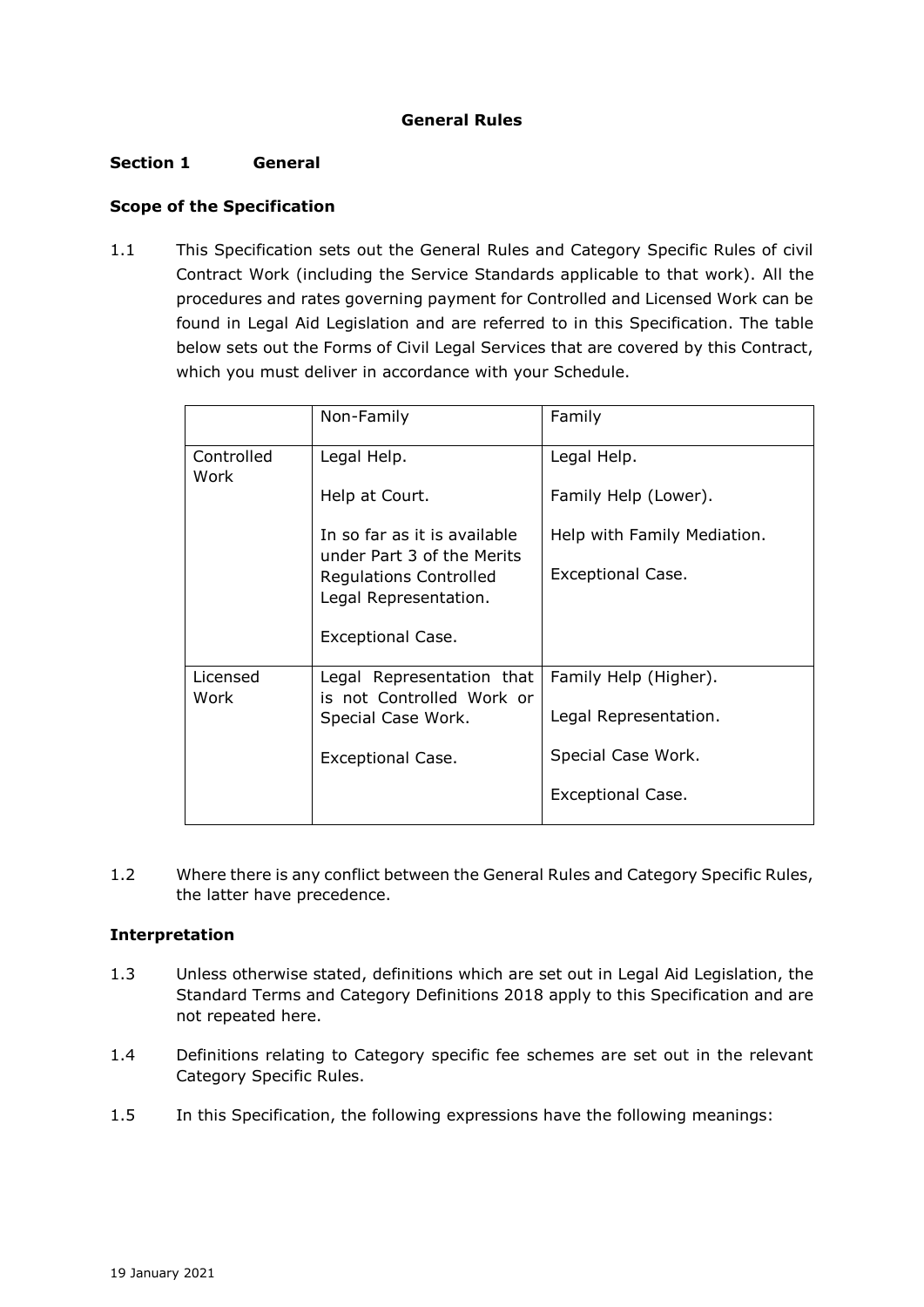# **General Rules**

# **Section 1 General**

# **Scope of the Specification**

1.1 This Specification sets out the General Rules and Category Specific Rules of civil Contract Work (including the Service Standards applicable to that work). All the procedures and rates governing payment for Controlled and Licensed Work can be found in Legal Aid Legislation and are referred to in this Specification. The table below sets out the Forms of Civil Legal Services that are covered by this Contract, which you must deliver in accordance with your Schedule.

|                    | Non-Family                                                 | Family                      |
|--------------------|------------------------------------------------------------|-----------------------------|
| Controlled<br>Work | Legal Help.                                                | Legal Help.                 |
|                    | Help at Court.                                             | Family Help (Lower).        |
|                    | In so far as it is available<br>under Part 3 of the Merits | Help with Family Mediation. |
|                    | <b>Regulations Controlled</b><br>Legal Representation.     | <b>Exceptional Case.</b>    |
|                    | Exceptional Case.                                          |                             |
| Licensed<br>Work   | Legal Representation that<br>is not Controlled Work or     | Family Help (Higher).       |
|                    | Special Case Work.                                         | Legal Representation.       |
|                    | <b>Exceptional Case.</b>                                   | Special Case Work.          |
|                    |                                                            | <b>Exceptional Case.</b>    |

1.2 Where there is any conflict between the General Rules and Category Specific Rules, the latter have precedence.

# **Interpretation**

- 1.3 Unless otherwise stated, definitions which are set out in Legal Aid Legislation, the Standard Terms and Category Definitions 2018 apply to this Specification and are not repeated here.
- 1.4 Definitions relating to Category specific fee schemes are set out in the relevant Category Specific Rules.
- 1.5 In this Specification, the following expressions have the following meanings: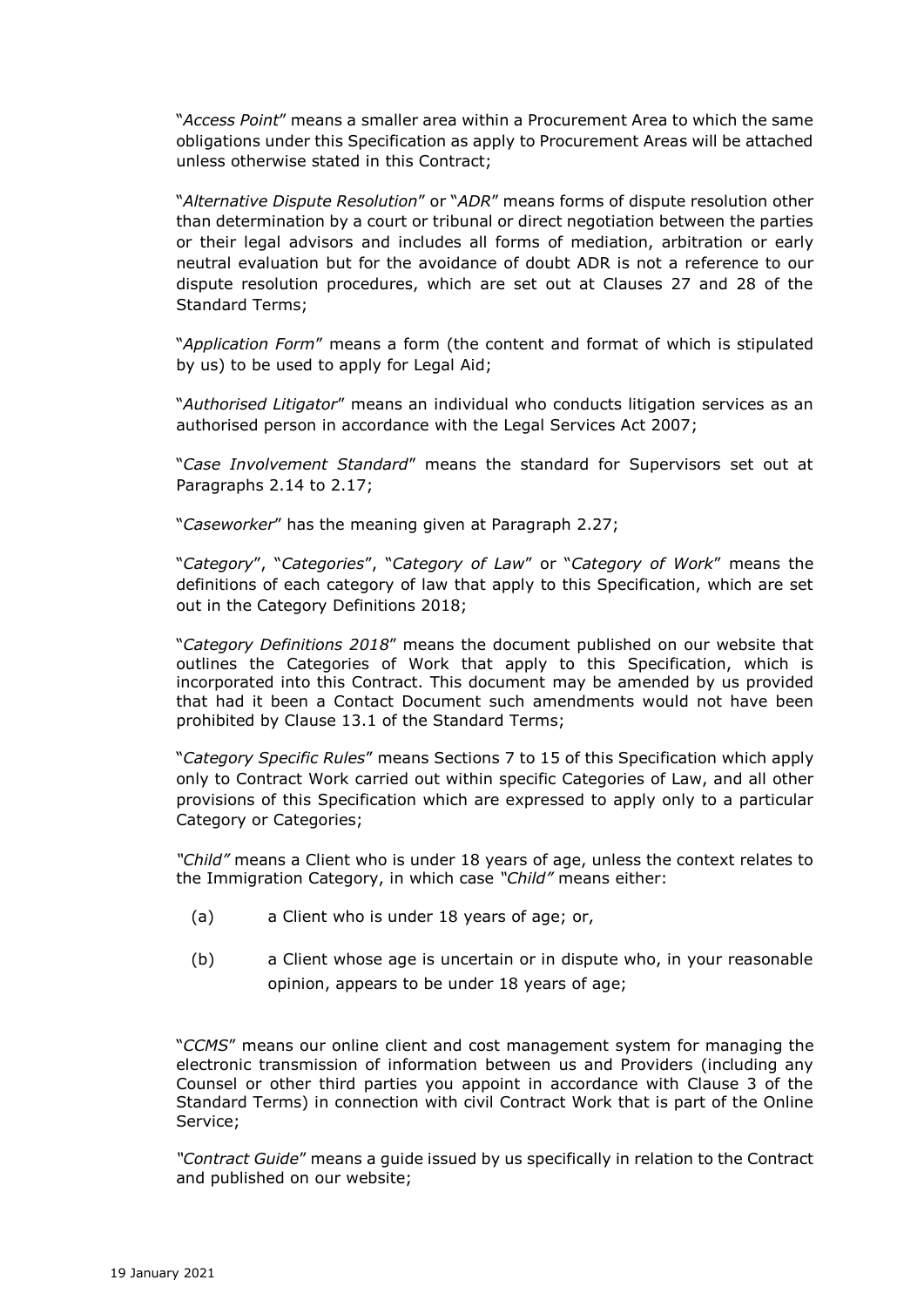"*Access Point*" means a smaller area within a Procurement Area to which the same obligations under this Specification as apply to Procurement Areas will be attached unless otherwise stated in this Contract;

"*Alternative Dispute Resolution*" or "*ADR*" means forms of dispute resolution other than determination by a court or tribunal or direct negotiation between the parties or their legal advisors and includes all forms of mediation, arbitration or early neutral evaluation but for the avoidance of doubt ADR is not a reference to our dispute resolution procedures, which are set out at Clauses 27 and 28 of the Standard Terms;

"*Application Form*" means a form (the content and format of which is stipulated by us) to be used to apply for Legal Aid;

"*Authorised Litigator*" means an individual who conducts litigation services as an authorised person in accordance with the Legal Services Act 2007;

"*Case Involvement Standard*" means the standard for Supervisors set out at Paragraphs 2.14 to 2.17;

"*Caseworker*" has the meaning given at Paragraph 2.27;

"*Category*", "*Categories*", "*Category of Law*" or "*Category of Work*" means the definitions of each category of law that apply to this Specification, which are set out in the Category Definitions 2018;

"*Category Definitions 2018*" means the document published on our website that outlines the Categories of Work that apply to this Specification, which is incorporated into this Contract. This document may be amended by us provided that had it been a Contact Document such amendments would not have been prohibited by Clause 13.1 of the Standard Terms;

"*Category Specific Rules*" means Sections 7 to 15 of this Specification which apply only to Contract Work carried out within specific Categories of Law, and all other provisions of this Specification which are expressed to apply only to a particular Category or Categories;

*"Child"* means a Client who is under 18 years of age, unless the context relates to the Immigration Category, in which case *"Child"* means either:

- (a) a Client who is under 18 years of age; or,
- (b) a Client whose age is uncertain or in dispute who, in your reasonable opinion, appears to be under 18 years of age;

"*CCMS*" means our online client and cost management system for managing the electronic transmission of information between us and Providers (including any Counsel or other third parties you appoint in accordance with Clause 3 of the Standard Terms) in connection with civil Contract Work that is part of the Online Service;

*"Contract Guide*" means a guide issued by us specifically in relation to the Contract and published on our website;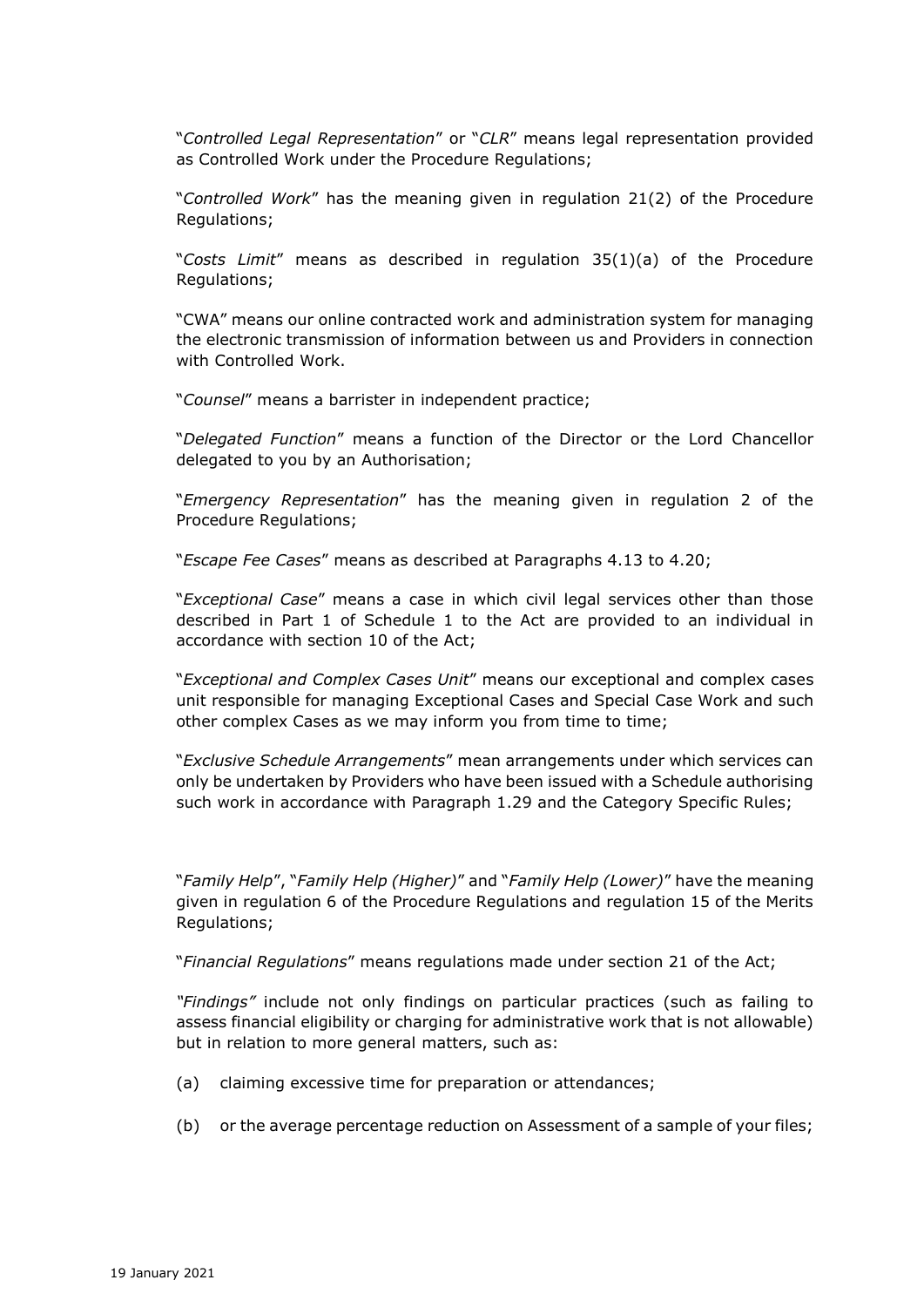"*Controlled Legal Representation*" or "*CLR*" means legal representation provided as Controlled Work under the Procedure Regulations;

"*Controlled Work*" has the meaning given in regulation 21(2) of the Procedure Regulations;

"*Costs Limit*" means as described in regulation 35(1)(a) of the Procedure Regulations;

"CWA" means our online contracted work and administration system for managing the electronic transmission of information between us and Providers in connection with Controlled Work.

"*Counsel*" means a barrister in independent practice;

"*Delegated Function*" means a function of the Director or the Lord Chancellor delegated to you by an Authorisation;

"*Emergency Representation*" has the meaning given in regulation 2 of the Procedure Regulations;

"*Escape Fee Cases*" means as described at Paragraphs 4.13 to 4.20;

"*Exceptional Case*" means a case in which civil legal services other than those described in Part 1 of Schedule 1 to the Act are provided to an individual in accordance with section 10 of the Act;

"*Exceptional and Complex Cases Unit*" means our exceptional and complex cases unit responsible for managing Exceptional Cases and Special Case Work and such other complex Cases as we may inform you from time to time;

"*Exclusive Schedule Arrangements*" mean arrangements under which services can only be undertaken by Providers who have been issued with a Schedule authorising such work in accordance with Paragraph 1.29 and the Category Specific Rules;

"*Family Help*", "*Family Help (Higher)*" and "*Family Help (Lower)*" have the meaning given in regulation 6 of the Procedure Regulations and regulation 15 of the Merits Regulations;

"*Financial Regulations*" means regulations made under section 21 of the Act;

*"Findings"* include not only findings on particular practices (such as failing to assess financial eligibility or charging for administrative work that is not allowable) but in relation to more general matters, such as:

- (a) claiming excessive time for preparation or attendances;
- (b) or the average percentage reduction on Assessment of a sample of your files;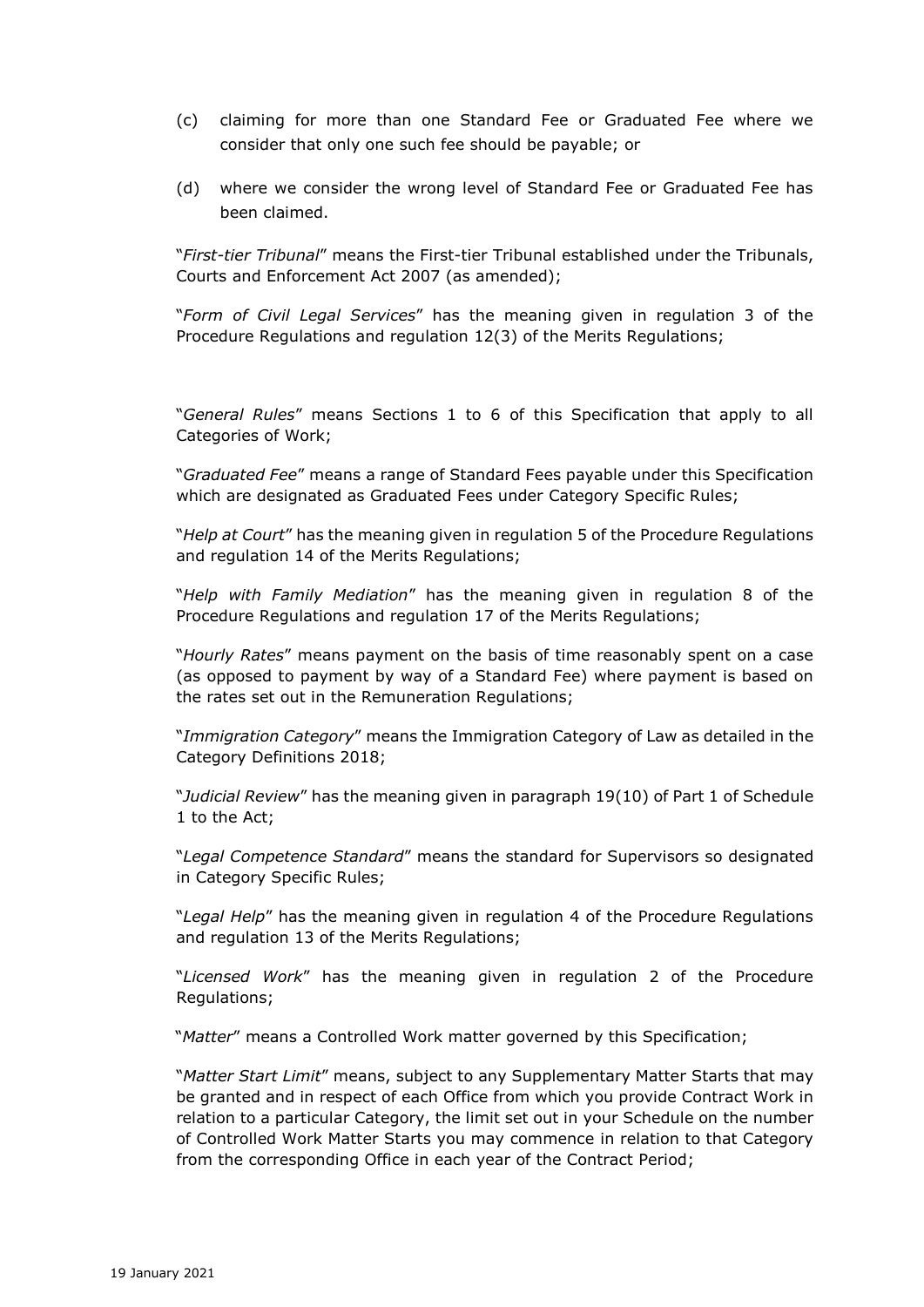- (c) claiming for more than one Standard Fee or Graduated Fee where we consider that only one such fee should be payable; or
- (d) where we consider the wrong level of Standard Fee or Graduated Fee has been claimed.

"*First-tier Tribunal*" means the First-tier Tribunal established under the Tribunals, Courts and Enforcement Act 2007 (as amended);

"*Form of Civil Legal Services*" has the meaning given in regulation 3 of the Procedure Regulations and regulation 12(3) of the Merits Regulations;

"*General Rules*" means Sections 1 to 6 of this Specification that apply to all Categories of Work;

"*Graduated Fee*" means a range of Standard Fees payable under this Specification which are designated as Graduated Fees under Category Specific Rules;

"*Help at Court*" has the meaning given in regulation 5 of the Procedure Regulations and regulation 14 of the Merits Regulations;

"*Help with Family Mediation*" has the meaning given in regulation 8 of the Procedure Regulations and regulation 17 of the Merits Regulations;

"*Hourly Rates*" means payment on the basis of time reasonably spent on a case (as opposed to payment by way of a Standard Fee) where payment is based on the rates set out in the Remuneration Regulations;

"*Immigration Category*" means the Immigration Category of Law as detailed in the Category Definitions 2018;

"*Judicial Review*" has the meaning given in paragraph 19(10) of Part 1 of Schedule 1 to the Act;

"*Legal Competence Standard*" means the standard for Supervisors so designated in Category Specific Rules;

"*Legal Help*" has the meaning given in regulation 4 of the Procedure Regulations and regulation 13 of the Merits Regulations;

"*Licensed Work*" has the meaning given in regulation 2 of the Procedure Regulations;

"*Matter*" means a Controlled Work matter governed by this Specification;

"*Matter Start Limit*" means, subject to any Supplementary Matter Starts that may be granted and in respect of each Office from which you provide Contract Work in relation to a particular Category, the limit set out in your Schedule on the number of Controlled Work Matter Starts you may commence in relation to that Category from the corresponding Office in each year of the Contract Period;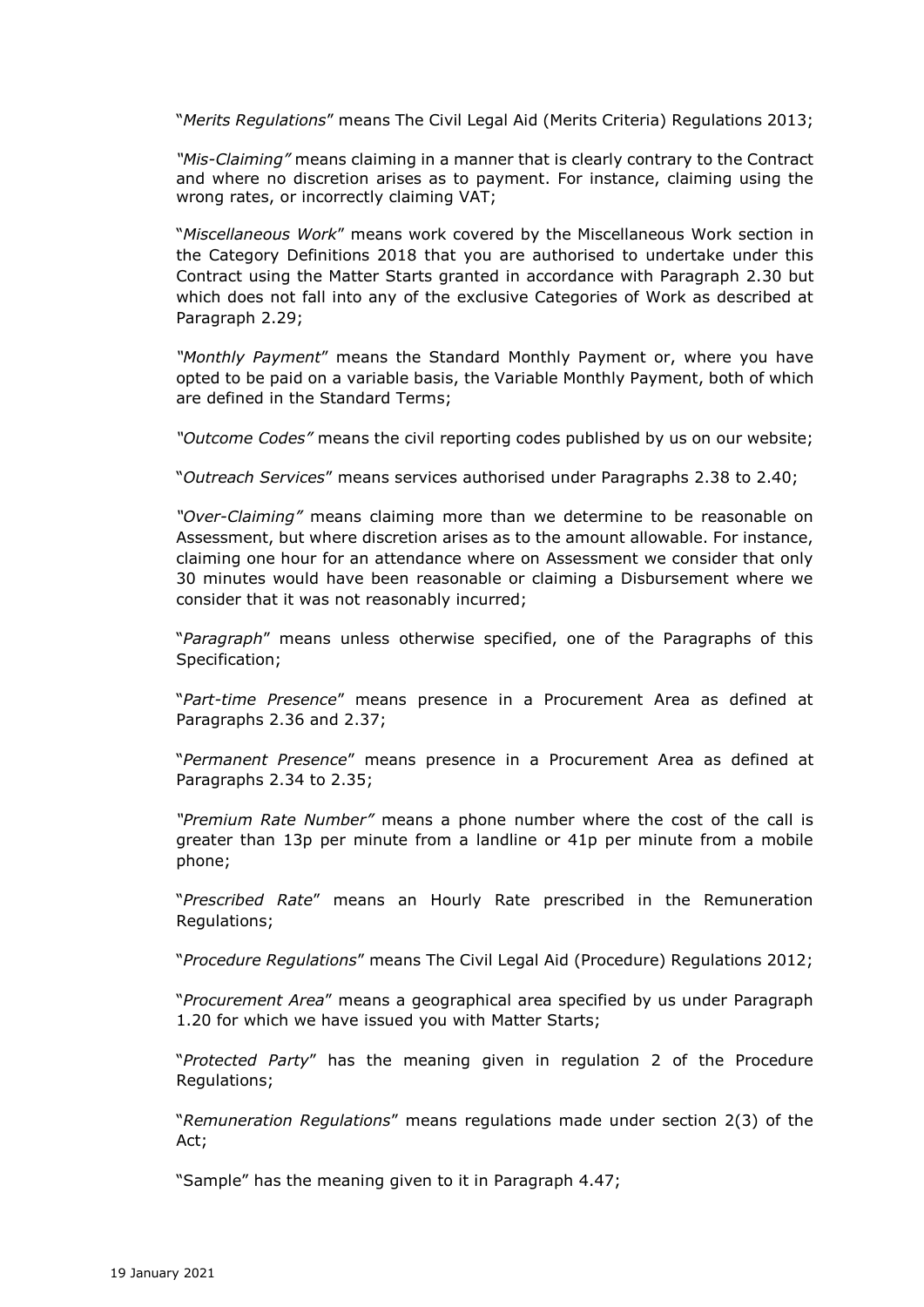"*Merits Regulations*" means The Civil Legal Aid (Merits Criteria) Regulations 2013;

*"Mis-Claiming"* means claiming in a manner that is clearly contrary to the Contract and where no discretion arises as to payment. For instance, claiming using the wrong rates, or incorrectly claiming VAT;

"*Miscellaneous Work*" means work covered by the Miscellaneous Work section in the Category Definitions 2018 that you are authorised to undertake under this Contract using the Matter Starts granted in accordance with Paragraph 2.30 but which does not fall into any of the exclusive Categories of Work as described at Paragraph 2.29;

*"Monthly Payment*" means the Standard Monthly Payment or, where you have opted to be paid on a variable basis, the Variable Monthly Payment, both of which are defined in the Standard Terms;

*"Outcome Codes"* means the civil reporting codes published by us on our website;

"*Outreach Services*" means services authorised under Paragraphs 2.38 to 2.40;

*"Over-Claiming"* means claiming more than we determine to be reasonable on Assessment, but where discretion arises as to the amount allowable. For instance, claiming one hour for an attendance where on Assessment we consider that only 30 minutes would have been reasonable or claiming a Disbursement where we consider that it was not reasonably incurred;

"*Paragraph*" means unless otherwise specified, one of the Paragraphs of this Specification;

"*Part-time Presence*" means presence in a Procurement Area as defined at Paragraphs 2.36 and 2.37;

"*Permanent Presence*" means presence in a Procurement Area as defined at Paragraphs 2.34 to 2.35;

*"Premium Rate Number"* means a phone number where the cost of the call is greater than 13p per minute from a landline or 41p per minute from a mobile phone;

"*Prescribed Rate*" means an Hourly Rate prescribed in the Remuneration Regulations;

"*Procedure Regulations*" means The Civil Legal Aid (Procedure) Regulations 2012;

"*Procurement Area*" means a geographical area specified by us under Paragraph 1.20 for which we have issued you with Matter Starts;

"*Protected Party*" has the meaning given in regulation 2 of the Procedure Regulations;

"*Remuneration Regulations*" means regulations made under section 2(3) of the Act;

"Sample" has the meaning given to it in Paragraph 4.47;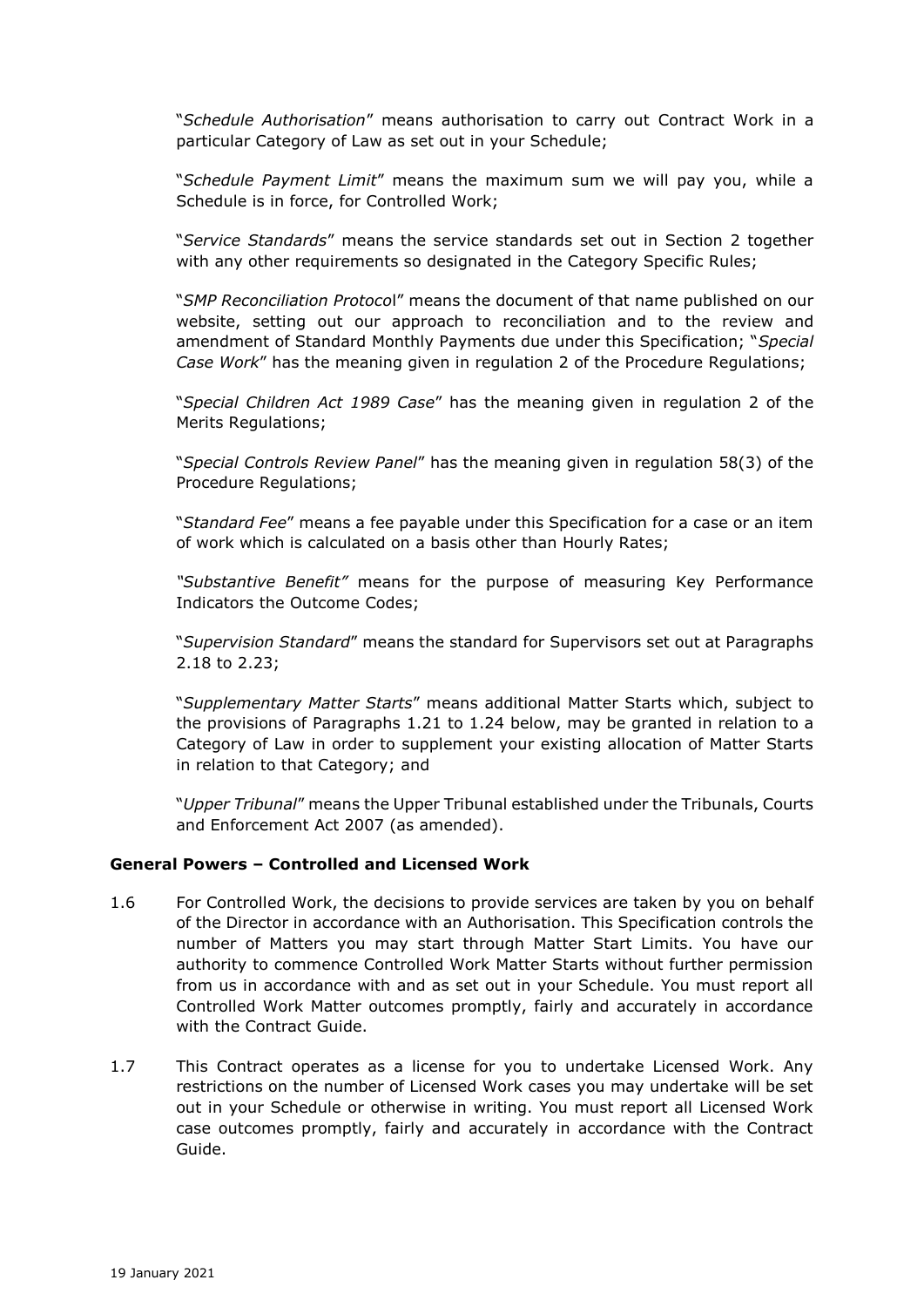"*Schedule Authorisation*" means authorisation to carry out Contract Work in a particular Category of Law as set out in your Schedule;

"*Schedule Payment Limit*" means the maximum sum we will pay you, while a Schedule is in force, for Controlled Work;

"*Service Standards*" means the service standards set out in Section 2 together with any other requirements so designated in the Category Specific Rules;

"*SMP Reconciliation Protoco*l" means the document of that name published on our website, setting out our approach to reconciliation and to the review and amendment of Standard Monthly Payments due under this Specification; "*Special Case Work*" has the meaning given in regulation 2 of the Procedure Regulations;

"*Special Children Act 1989 Case*" has the meaning given in regulation 2 of the Merits Regulations;

"*Special Controls Review Panel*" has the meaning given in regulation 58(3) of the Procedure Regulations;

"*Standard Fee*" means a fee payable under this Specification for a case or an item of work which is calculated on a basis other than Hourly Rates;

*"Substantive Benefit"* means for the purpose of measuring Key Performance Indicators the Outcome Codes;

"*Supervision Standard*" means the standard for Supervisors set out at Paragraphs 2.18 to 2.23;

"*Supplementary Matter Starts*" means additional Matter Starts which, subject to the provisions of Paragraphs 1.21 to 1.24 below, may be granted in relation to a Category of Law in order to supplement your existing allocation of Matter Starts in relation to that Category; and

"*Upper Tribunal*" means the Upper Tribunal established under the Tribunals, Courts and Enforcement Act 2007 (as amended).

#### **General Powers – Controlled and Licensed Work**

- 1.6 For Controlled Work, the decisions to provide services are taken by you on behalf of the Director in accordance with an Authorisation. This Specification controls the number of Matters you may start through Matter Start Limits. You have our authority to commence Controlled Work Matter Starts without further permission from us in accordance with and as set out in your Schedule. You must report all Controlled Work Matter outcomes promptly, fairly and accurately in accordance with the Contract Guide.
- 1.7 This Contract operates as a license for you to undertake Licensed Work. Any restrictions on the number of Licensed Work cases you may undertake will be set out in your Schedule or otherwise in writing. You must report all Licensed Work case outcomes promptly, fairly and accurately in accordance with the Contract Guide.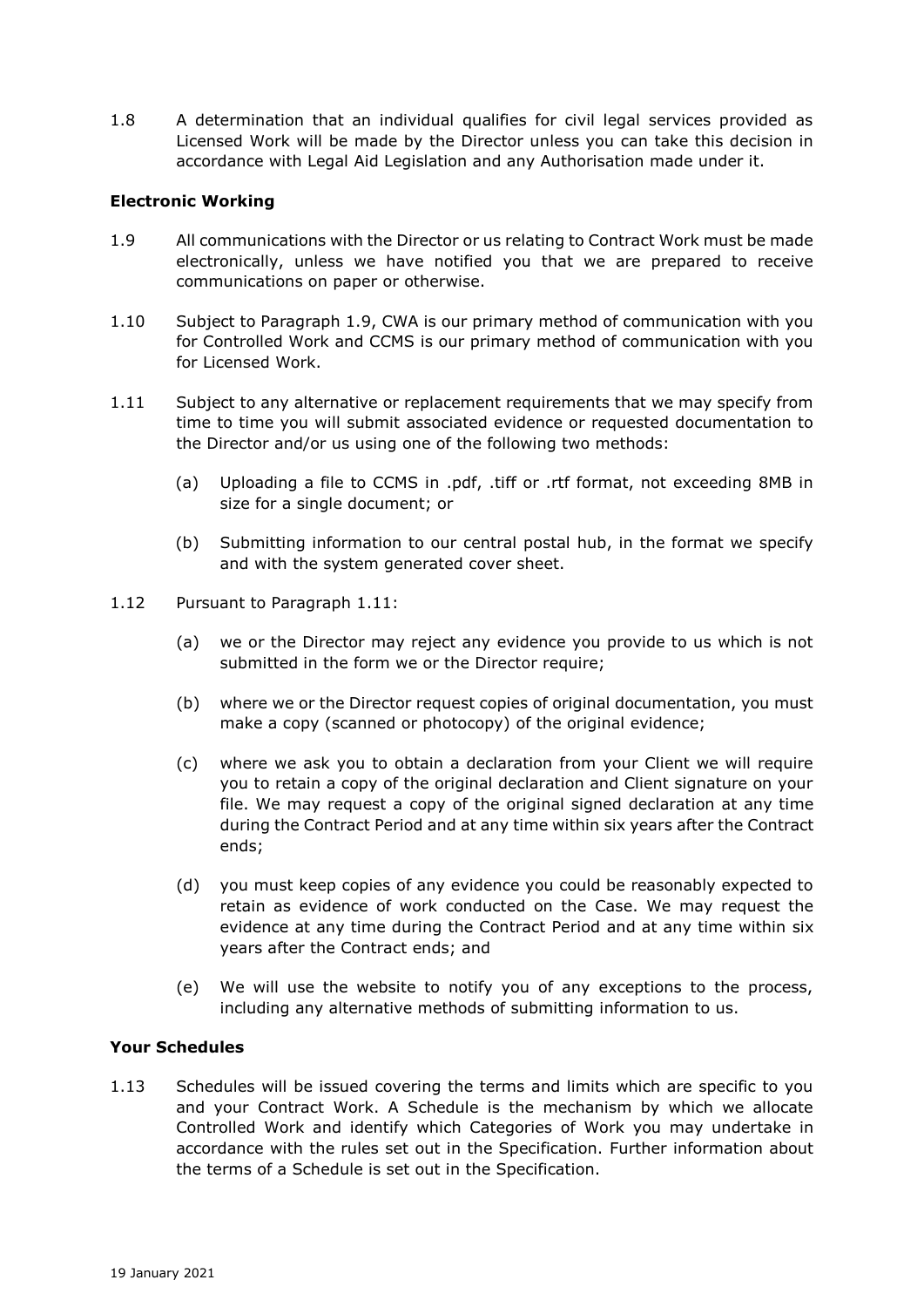1.8 A determination that an individual qualifies for civil legal services provided as Licensed Work will be made by the Director unless you can take this decision in accordance with Legal Aid Legislation and any Authorisation made under it.

## **Electronic Working**

- 1.9 All communications with the Director or us relating to Contract Work must be made electronically, unless we have notified you that we are prepared to receive communications on paper or otherwise.
- 1.10 Subject to Paragraph 1.9, CWA is our primary method of communication with you for Controlled Work and CCMS is our primary method of communication with you for Licensed Work.
- 1.11 Subject to any alternative or replacement requirements that we may specify from time to time you will submit associated evidence or requested documentation to the Director and/or us using one of the following two methods:
	- (a) Uploading a file to CCMS in .pdf, .tiff or .rtf format, not exceeding 8MB in size for a single document; or
	- (b) Submitting information to our central postal hub, in the format we specify and with the system generated cover sheet.
- 1.12 Pursuant to Paragraph 1.11:
	- (a) we or the Director may reject any evidence you provide to us which is not submitted in the form we or the Director require;
	- (b) where we or the Director request copies of original documentation, you must make a copy (scanned or photocopy) of the original evidence;
	- (c) where we ask you to obtain a declaration from your Client we will require you to retain a copy of the original declaration and Client signature on your file. We may request a copy of the original signed declaration at any time during the Contract Period and at any time within six years after the Contract ends;
	- (d) you must keep copies of any evidence you could be reasonably expected to retain as evidence of work conducted on the Case. We may request the evidence at any time during the Contract Period and at any time within six years after the Contract ends; and
	- (e) We will use the website to notify you of any exceptions to the process, including any alternative methods of submitting information to us.

#### **Your Schedules**

1.13 Schedules will be issued covering the terms and limits which are specific to you and your Contract Work. A Schedule is the mechanism by which we allocate Controlled Work and identify which Categories of Work you may undertake in accordance with the rules set out in the Specification. Further information about the terms of a Schedule is set out in the Specification.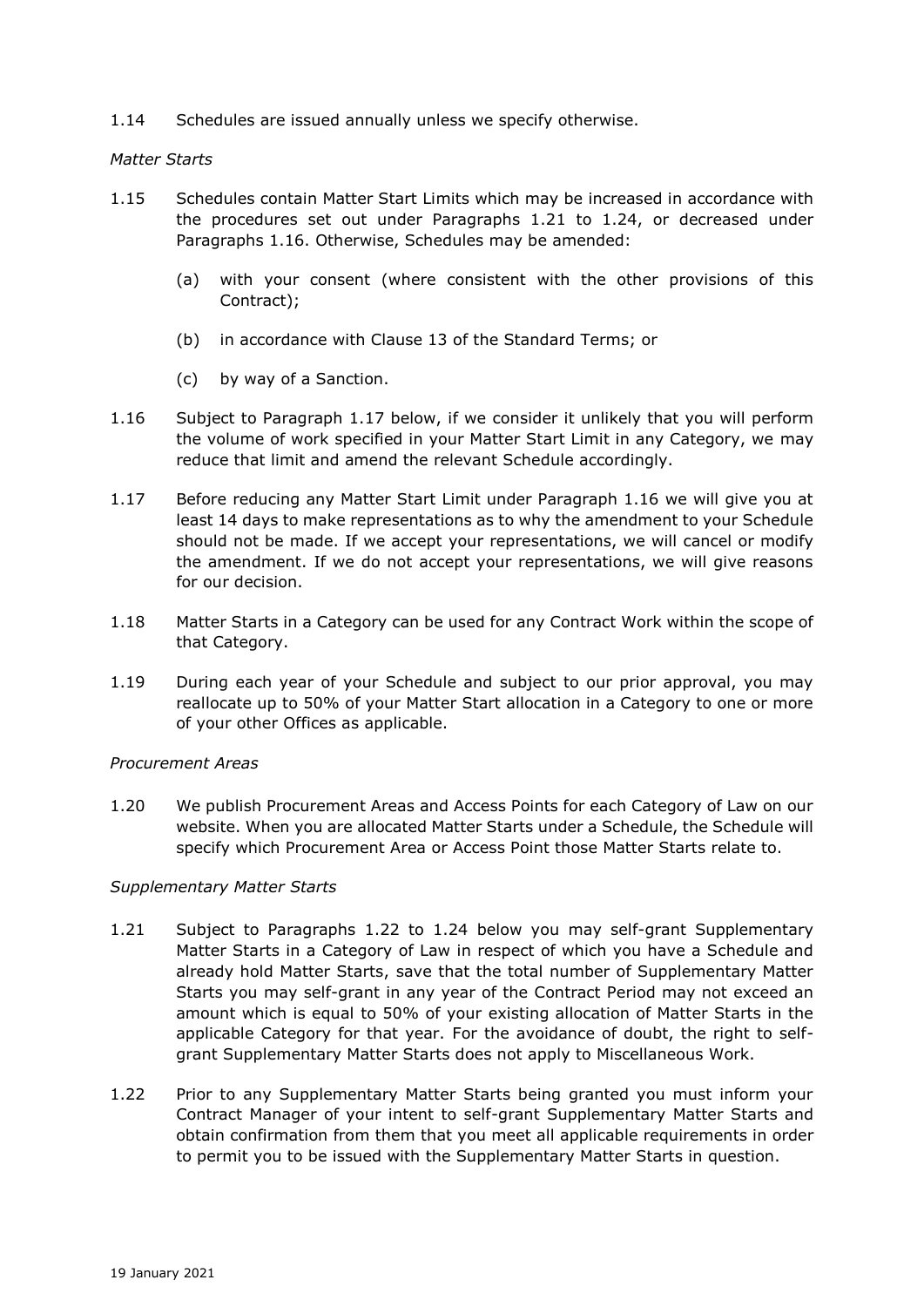1.14 Schedules are issued annually unless we specify otherwise.

#### *Matter Starts*

- 1.15 Schedules contain Matter Start Limits which may be increased in accordance with the procedures set out under Paragraphs 1.21 to 1.24, or decreased under Paragraphs 1.16. Otherwise, Schedules may be amended:
	- (a) with your consent (where consistent with the other provisions of this Contract);
	- (b) in accordance with Clause 13 of the Standard Terms; or
	- (c) by way of a Sanction.
- 1.16 Subject to Paragraph 1.17 below, if we consider it unlikely that you will perform the volume of work specified in your Matter Start Limit in any Category, we may reduce that limit and amend the relevant Schedule accordingly.
- 1.17 Before reducing any Matter Start Limit under Paragraph 1.16 we will give you at least 14 days to make representations as to why the amendment to your Schedule should not be made. If we accept your representations, we will cancel or modify the amendment. If we do not accept your representations, we will give reasons for our decision.
- 1.18 Matter Starts in a Category can be used for any Contract Work within the scope of that Category.
- 1.19 During each year of your Schedule and subject to our prior approval, you may reallocate up to 50% of your Matter Start allocation in a Category to one or more of your other Offices as applicable.

#### *Procurement Areas*

1.20 We publish Procurement Areas and Access Points for each Category of Law on our website. When you are allocated Matter Starts under a Schedule, the Schedule will specify which Procurement Area or Access Point those Matter Starts relate to.

#### *Supplementary Matter Starts*

- 1.21 Subject to Paragraphs 1.22 to 1.24 below you may self-grant Supplementary Matter Starts in a Category of Law in respect of which you have a Schedule and already hold Matter Starts, save that the total number of Supplementary Matter Starts you may self-grant in any year of the Contract Period may not exceed an amount which is equal to 50% of your existing allocation of Matter Starts in the applicable Category for that year. For the avoidance of doubt, the right to selfgrant Supplementary Matter Starts does not apply to Miscellaneous Work.
- 1.22 Prior to any Supplementary Matter Starts being granted you must inform your Contract Manager of your intent to self-grant Supplementary Matter Starts and obtain confirmation from them that you meet all applicable requirements in order to permit you to be issued with the Supplementary Matter Starts in question.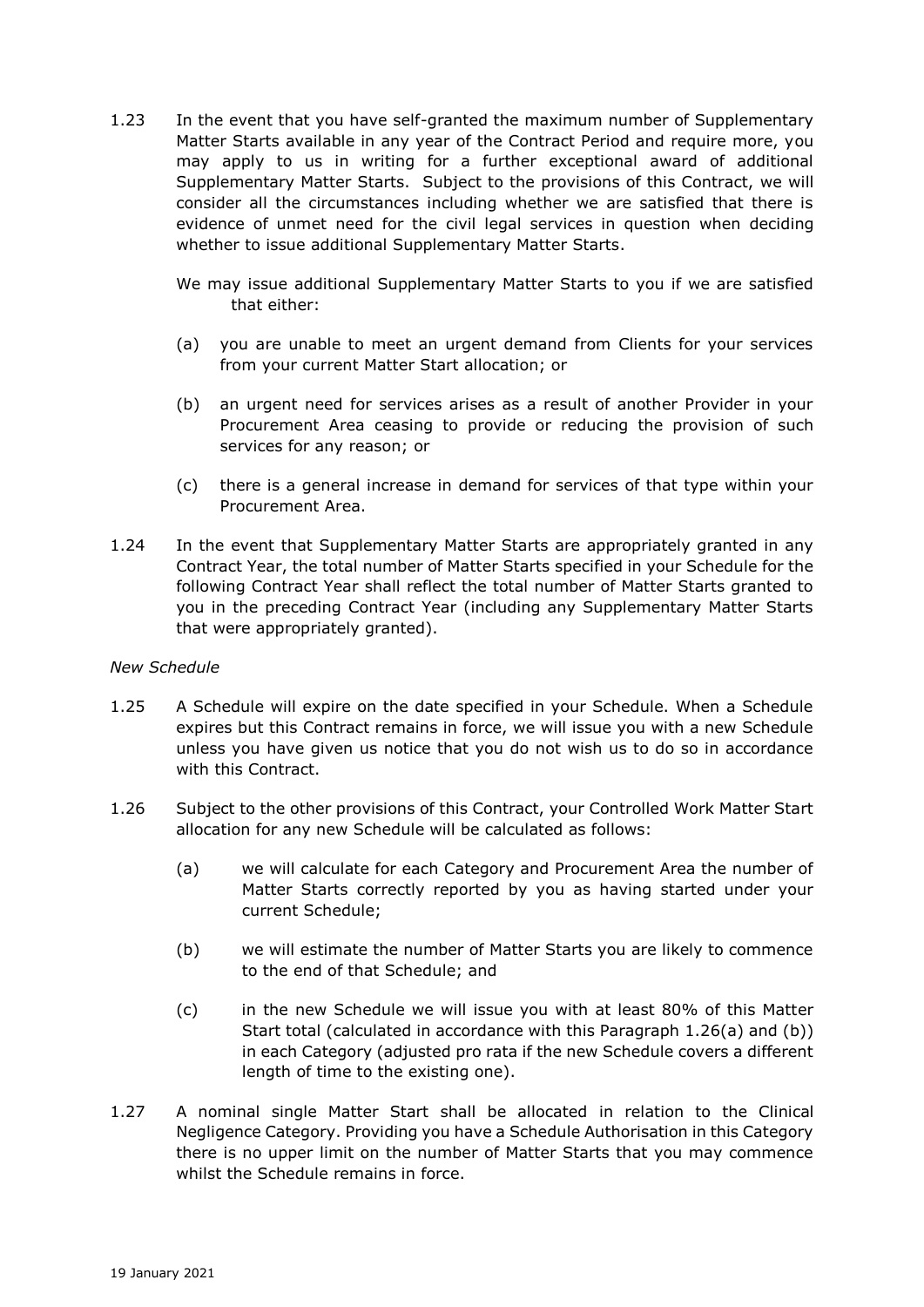- 1.23 In the event that you have self-granted the maximum number of Supplementary Matter Starts available in any year of the Contract Period and require more, you may apply to us in writing for a further exceptional award of additional Supplementary Matter Starts. Subject to the provisions of this Contract, we will consider all the circumstances including whether we are satisfied that there is evidence of unmet need for the civil legal services in question when deciding whether to issue additional Supplementary Matter Starts.
	- We may issue additional Supplementary Matter Starts to you if we are satisfied that either:
	- (a) you are unable to meet an urgent demand from Clients for your services from your current Matter Start allocation; or
	- (b) an urgent need for services arises as a result of another Provider in your Procurement Area ceasing to provide or reducing the provision of such services for any reason; or
	- (c) there is a general increase in demand for services of that type within your Procurement Area.
- 1.24 In the event that Supplementary Matter Starts are appropriately granted in any Contract Year, the total number of Matter Starts specified in your Schedule for the following Contract Year shall reflect the total number of Matter Starts granted to you in the preceding Contract Year (including any Supplementary Matter Starts that were appropriately granted).

#### *New Schedule*

- 1.25 A Schedule will expire on the date specified in your Schedule. When a Schedule expires but this Contract remains in force, we will issue you with a new Schedule unless you have given us notice that you do not wish us to do so in accordance with this Contract.
- 1.26 Subject to the other provisions of this Contract, your Controlled Work Matter Start allocation for any new Schedule will be calculated as follows:
	- (a) we will calculate for each Category and Procurement Area the number of Matter Starts correctly reported by you as having started under your current Schedule;
	- (b) we will estimate the number of Matter Starts you are likely to commence to the end of that Schedule; and
	- (c) in the new Schedule we will issue you with at least 80% of this Matter Start total (calculated in accordance with this Paragraph 1.26(a) and (b)) in each Category (adjusted pro rata if the new Schedule covers a different length of time to the existing one).
- 1.27 A nominal single Matter Start shall be allocated in relation to the Clinical Negligence Category. Providing you have a Schedule Authorisation in this Category there is no upper limit on the number of Matter Starts that you may commence whilst the Schedule remains in force.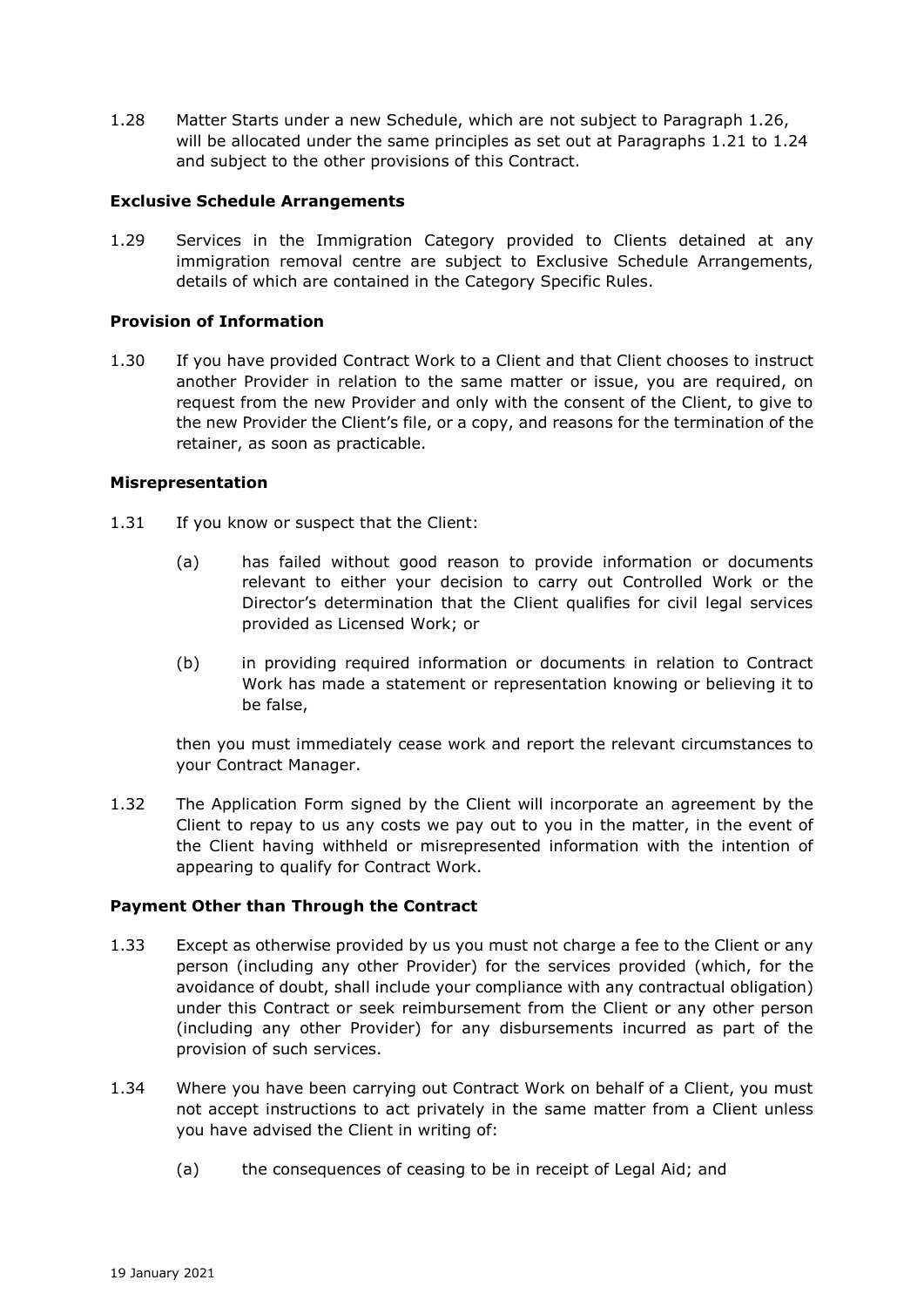1.28 Matter Starts under a new Schedule, which are not subject to Paragraph 1.26, will be allocated under the same principles as set out at Paragraphs 1.21 to 1.24 and subject to the other provisions of this Contract.

### **Exclusive Schedule Arrangements**

1.29 Services in the Immigration Category provided to Clients detained at any immigration removal centre are subject to Exclusive Schedule Arrangements, details of which are contained in the Category Specific Rules.

# **Provision of Information**

1.30 If you have provided Contract Work to a Client and that Client chooses to instruct another Provider in relation to the same matter or issue, you are required, on request from the new Provider and only with the consent of the Client, to give to the new Provider the Client's file, or a copy, and reasons for the termination of the retainer, as soon as practicable.

### **Misrepresentation**

- 1.31 If you know or suspect that the Client:
	- (a) has failed without good reason to provide information or documents relevant to either your decision to carry out Controlled Work or the Director's determination that the Client qualifies for civil legal services provided as Licensed Work; or
	- (b) in providing required information or documents in relation to Contract Work has made a statement or representation knowing or believing it to be false,

then you must immediately cease work and report the relevant circumstances to your Contract Manager.

1.32 The Application Form signed by the Client will incorporate an agreement by the Client to repay to us any costs we pay out to you in the matter, in the event of the Client having withheld or misrepresented information with the intention of appearing to qualify for Contract Work.

#### **Payment Other than Through the Contract**

- 1.33 Except as otherwise provided by us you must not charge a fee to the Client or any person (including any other Provider) for the services provided (which, for the avoidance of doubt, shall include your compliance with any contractual obligation) under this Contract or seek reimbursement from the Client or any other person (including any other Provider) for any disbursements incurred as part of the provision of such services.
- 1.34 Where you have been carrying out Contract Work on behalf of a Client, you must not accept instructions to act privately in the same matter from a Client unless you have advised the Client in writing of:
	- (a) the consequences of ceasing to be in receipt of Legal Aid; and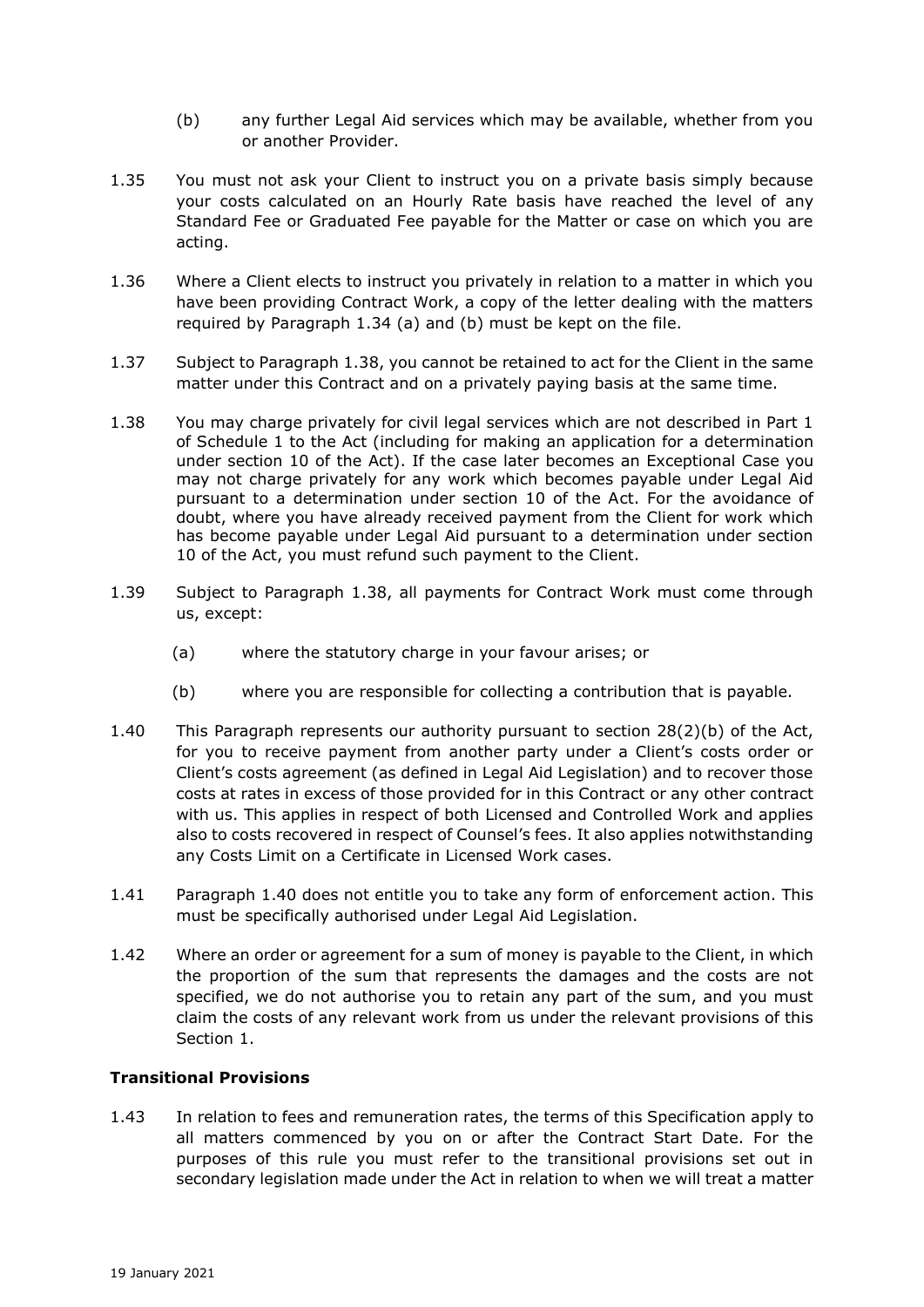- (b) any further Legal Aid services which may be available, whether from you or another Provider.
- 1.35 You must not ask your Client to instruct you on a private basis simply because your costs calculated on an Hourly Rate basis have reached the level of any Standard Fee or Graduated Fee payable for the Matter or case on which you are acting.
- 1.36 Where a Client elects to instruct you privately in relation to a matter in which you have been providing Contract Work, a copy of the letter dealing with the matters required by Paragraph 1.34 (a) and (b) must be kept on the file.
- 1.37 Subject to Paragraph 1.38, you cannot be retained to act for the Client in the same matter under this Contract and on a privately paying basis at the same time.
- 1.38 You may charge privately for civil legal services which are not described in Part 1 of Schedule 1 to the Act (including for making an application for a determination under section 10 of the Act). If the case later becomes an Exceptional Case you may not charge privately for any work which becomes payable under Legal Aid pursuant to a determination under section 10 of the Act. For the avoidance of doubt, where you have already received payment from the Client for work which has become payable under Legal Aid pursuant to a determination under section 10 of the Act, you must refund such payment to the Client.
- 1.39 Subject to Paragraph 1.38, all payments for Contract Work must come through us, except:
	- (a) where the statutory charge in your favour arises; or
	- (b) where you are responsible for collecting a contribution that is payable.
- 1.40 This Paragraph represents our authority pursuant to section 28(2)(b) of the Act, for you to receive payment from another party under a Client's costs order or Client's costs agreement (as defined in Legal Aid Legislation) and to recover those costs at rates in excess of those provided for in this Contract or any other contract with us. This applies in respect of both Licensed and Controlled Work and applies also to costs recovered in respect of Counsel's fees. It also applies notwithstanding any Costs Limit on a Certificate in Licensed Work cases.
- 1.41 Paragraph 1.40 does not entitle you to take any form of enforcement action. This must be specifically authorised under Legal Aid Legislation.
- 1.42 Where an order or agreement for a sum of money is payable to the Client, in which the proportion of the sum that represents the damages and the costs are not specified, we do not authorise you to retain any part of the sum, and you must claim the costs of any relevant work from us under the relevant provisions of this Section 1.

## **Transitional Provisions**

1.43 In relation to fees and remuneration rates, the terms of this Specification apply to all matters commenced by you on or after the Contract Start Date. For the purposes of this rule you must refer to the transitional provisions set out in secondary legislation made under the Act in relation to when we will treat a matter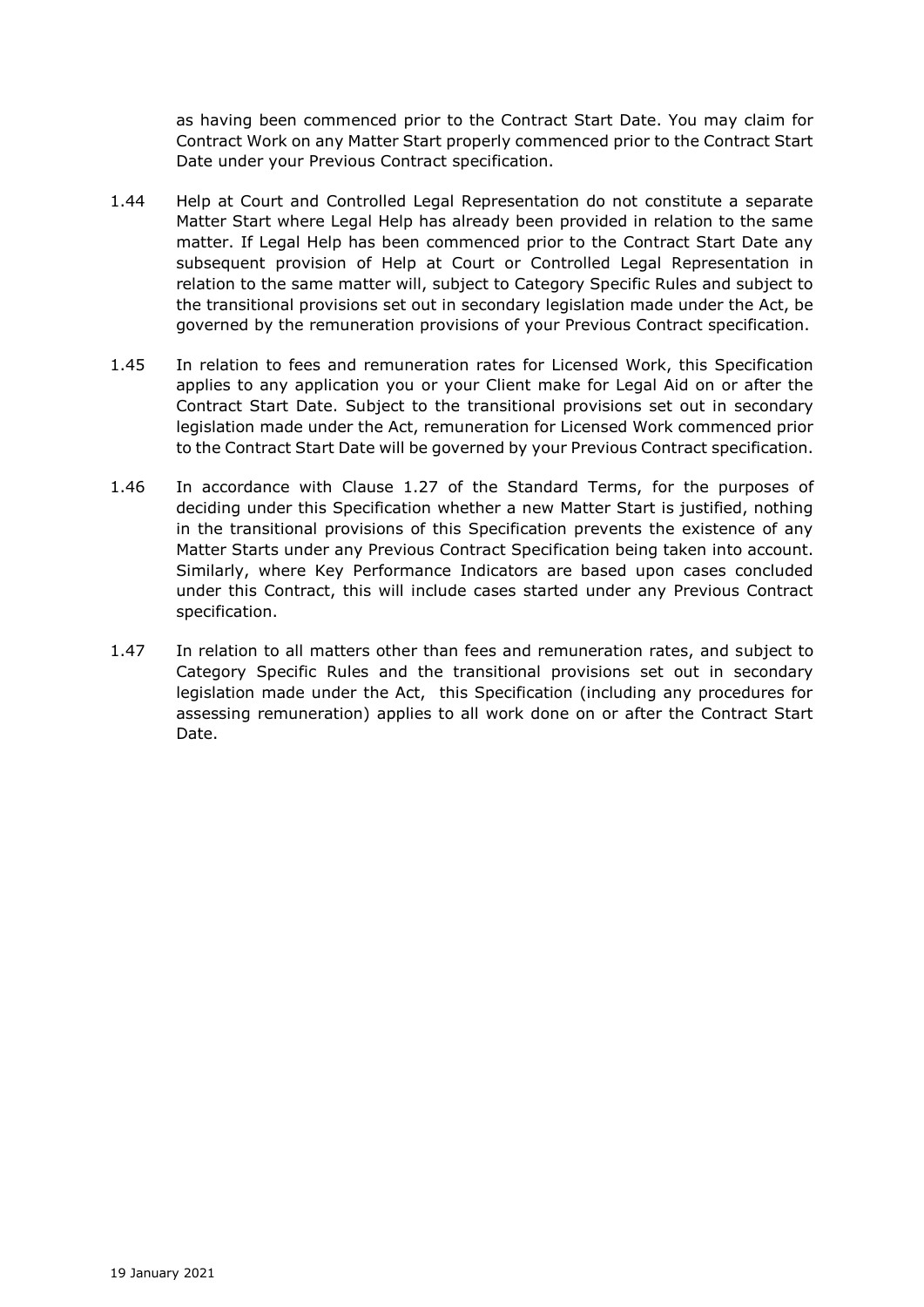as having been commenced prior to the Contract Start Date. You may claim for Contract Work on any Matter Start properly commenced prior to the Contract Start Date under your Previous Contract specification.

- 1.44 Help at Court and Controlled Legal Representation do not constitute a separate Matter Start where Legal Help has already been provided in relation to the same matter. If Legal Help has been commenced prior to the Contract Start Date any subsequent provision of Help at Court or Controlled Legal Representation in relation to the same matter will, subject to Category Specific Rules and subject to the transitional provisions set out in secondary legislation made under the Act, be governed by the remuneration provisions of your Previous Contract specification.
- 1.45 In relation to fees and remuneration rates for Licensed Work, this Specification applies to any application you or your Client make for Legal Aid on or after the Contract Start Date. Subject to the transitional provisions set out in secondary legislation made under the Act, remuneration for Licensed Work commenced prior to the Contract Start Date will be governed by your Previous Contract specification.
- 1.46 In accordance with Clause 1.27 of the Standard Terms, for the purposes of deciding under this Specification whether a new Matter Start is justified, nothing in the transitional provisions of this Specification prevents the existence of any Matter Starts under any Previous Contract Specification being taken into account. Similarly, where Key Performance Indicators are based upon cases concluded under this Contract, this will include cases started under any Previous Contract specification.
- 1.47 In relation to all matters other than fees and remuneration rates, and subject to Category Specific Rules and the transitional provisions set out in secondary legislation made under the Act, this Specification (including any procedures for assessing remuneration) applies to all work done on or after the Contract Start Date.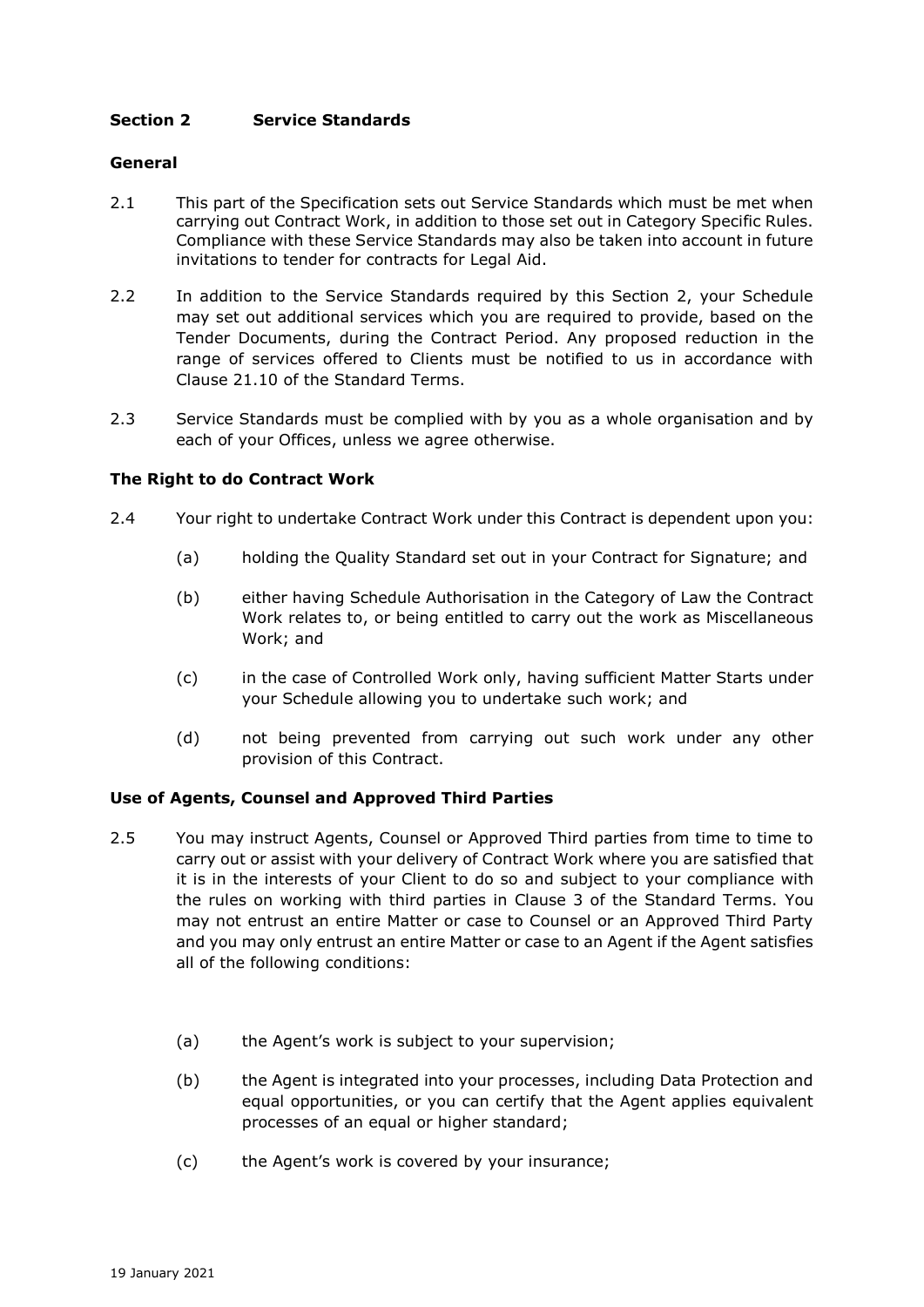# **Section 2 Service Standards**

## **General**

- 2.1 This part of the Specification sets out Service Standards which must be met when carrying out Contract Work, in addition to those set out in Category Specific Rules. Compliance with these Service Standards may also be taken into account in future invitations to tender for contracts for Legal Aid.
- 2.2 In addition to the Service Standards required by this Section 2, your Schedule may set out additional services which you are required to provide, based on the Tender Documents, during the Contract Period. Any proposed reduction in the range of services offered to Clients must be notified to us in accordance with Clause 21.10 of the Standard Terms.
- 2.3 Service Standards must be complied with by you as a whole organisation and by each of your Offices, unless we agree otherwise.

### **The Right to do Contract Work**

- 2.4 Your right to undertake Contract Work under this Contract is dependent upon you:
	- (a) holding the Quality Standard set out in your Contract for Signature; and
	- (b) either having Schedule Authorisation in the Category of Law the Contract Work relates to, or being entitled to carry out the work as Miscellaneous Work; and
	- (c) in the case of Controlled Work only, having sufficient Matter Starts under your Schedule allowing you to undertake such work; and
	- (d) not being prevented from carrying out such work under any other provision of this Contract.

#### **Use of Agents, Counsel and Approved Third Parties**

- 2.5 You may instruct Agents, Counsel or Approved Third parties from time to time to carry out or assist with your delivery of Contract Work where you are satisfied that it is in the interests of your Client to do so and subject to your compliance with the rules on working with third parties in Clause 3 of the Standard Terms. You may not entrust an entire Matter or case to Counsel or an Approved Third Party and you may only entrust an entire Matter or case to an Agent if the Agent satisfies all of the following conditions:
	- (a) the Agent's work is subject to your supervision;
	- (b) the Agent is integrated into your processes, including Data Protection and equal opportunities, or you can certify that the Agent applies equivalent processes of an equal or higher standard;
	- (c) the Agent's work is covered by your insurance;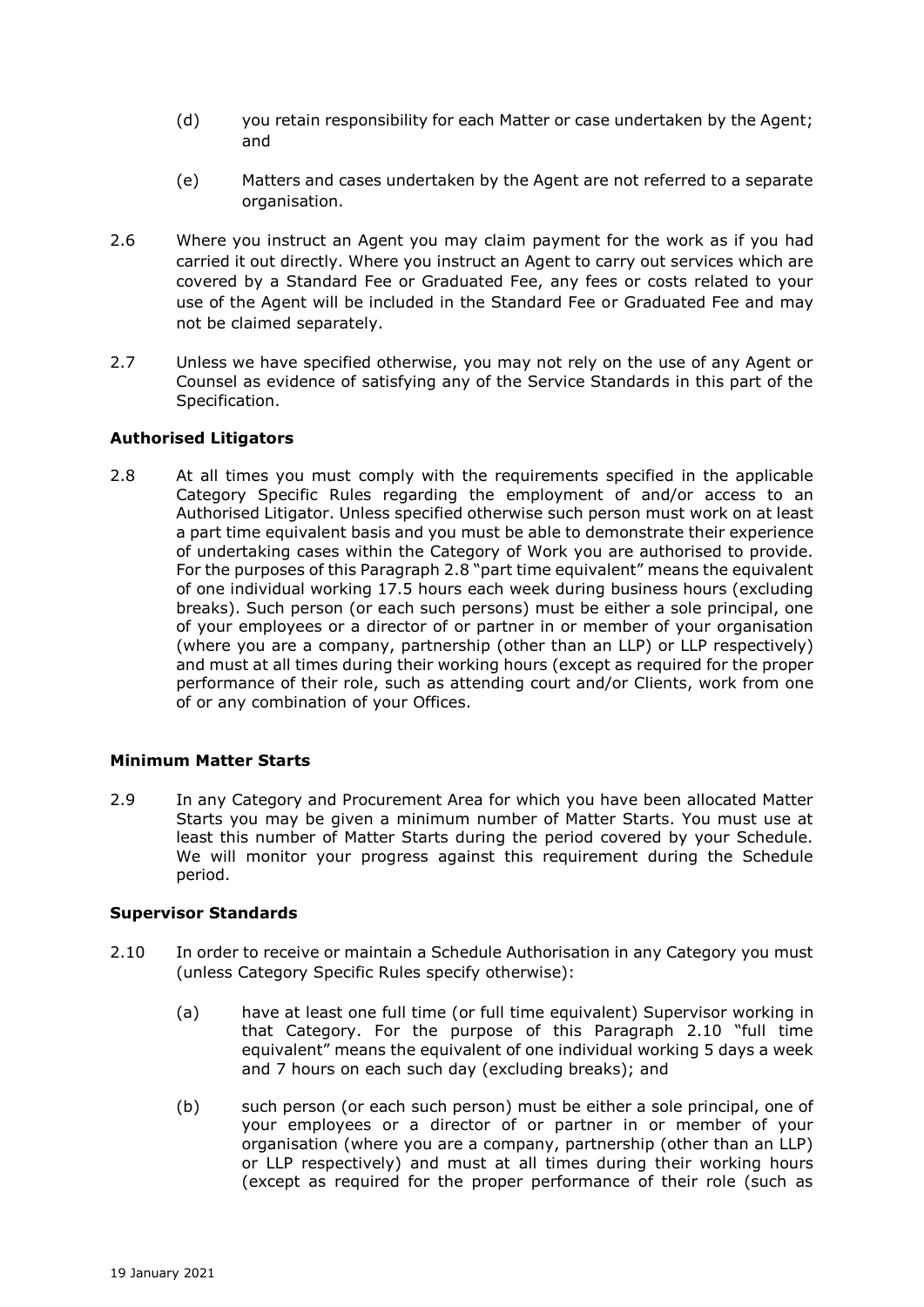- (d) you retain responsibility for each Matter or case undertaken by the Agent; and
- (e) Matters and cases undertaken by the Agent are not referred to a separate organisation.
- 2.6 Where you instruct an Agent you may claim payment for the work as if you had carried it out directly. Where you instruct an Agent to carry out services which are covered by a Standard Fee or Graduated Fee, any fees or costs related to your use of the Agent will be included in the Standard Fee or Graduated Fee and may not be claimed separately.
- 2.7 Unless we have specified otherwise, you may not rely on the use of any Agent or Counsel as evidence of satisfying any of the Service Standards in this part of the Specification.

### **Authorised Litigators**

2.8 At all times you must comply with the requirements specified in the applicable Category Specific Rules regarding the employment of and/or access to an Authorised Litigator. Unless specified otherwise such person must work on at least a part time equivalent basis and you must be able to demonstrate their experience of undertaking cases within the Category of Work you are authorised to provide. For the purposes of this Paragraph 2.8 "part time equivalent" means the equivalent of one individual working 17.5 hours each week during business hours (excluding breaks). Such person (or each such persons) must be either a sole principal, one of your employees or a director of or partner in or member of your organisation (where you are a company, partnership (other than an LLP) or LLP respectively) and must at all times during their working hours (except as required for the proper performance of their role, such as attending court and/or Clients, work from one of or any combination of your Offices.

# **Minimum Matter Starts**

2.9 In any Category and Procurement Area for which you have been allocated Matter Starts you may be given a minimum number of Matter Starts. You must use at least this number of Matter Starts during the period covered by your Schedule. We will monitor your progress against this requirement during the Schedule period.

# **Supervisor Standards**

- 2.10 In order to receive or maintain a Schedule Authorisation in any Category you must (unless Category Specific Rules specify otherwise):
	- (a) have at least one full time (or full time equivalent) Supervisor working in that Category. For the purpose of this Paragraph 2.10 "full time equivalent" means the equivalent of one individual working 5 days a week and 7 hours on each such day (excluding breaks); and
	- (b) such person (or each such person) must be either a sole principal, one of your employees or a director of or partner in or member of your organisation (where you are a company, partnership (other than an LLP) or LLP respectively) and must at all times during their working hours (except as required for the proper performance of their role (such as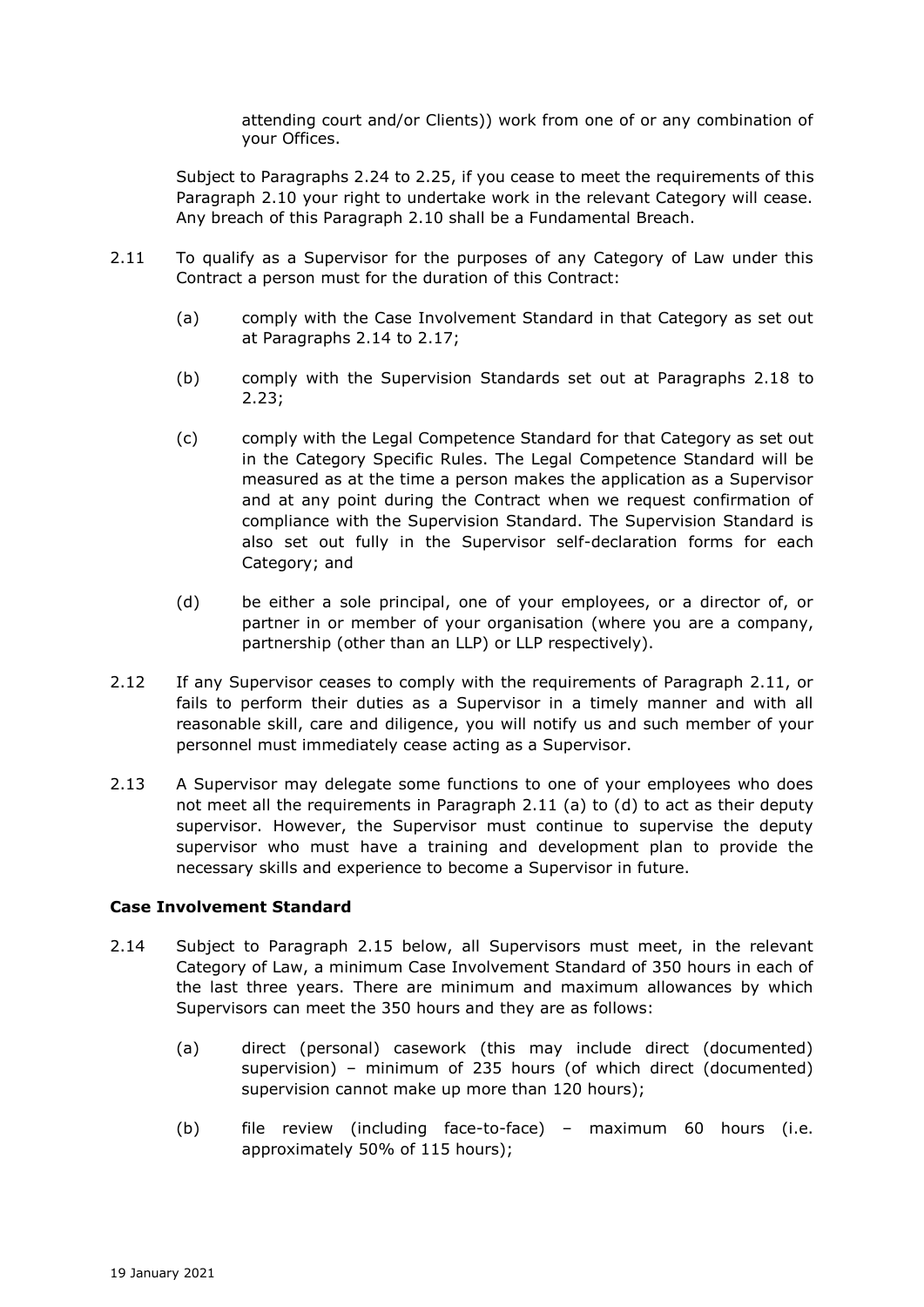attending court and/or Clients)) work from one of or any combination of your Offices.

Subject to Paragraphs 2.24 to 2.25, if you cease to meet the requirements of this Paragraph 2.10 your right to undertake work in the relevant Category will cease. Any breach of this Paragraph 2.10 shall be a Fundamental Breach.

- 2.11 To qualify as a Supervisor for the purposes of any Category of Law under this Contract a person must for the duration of this Contract:
	- (a) comply with the Case Involvement Standard in that Category as set out at Paragraphs 2.14 to 2.17;
	- (b) comply with the Supervision Standards set out at Paragraphs 2.18 to 2.23;
	- (c) comply with the Legal Competence Standard for that Category as set out in the Category Specific Rules. The Legal Competence Standard will be measured as at the time a person makes the application as a Supervisor and at any point during the Contract when we request confirmation of compliance with the Supervision Standard. The Supervision Standard is also set out fully in the Supervisor self-declaration forms for each Category; and
	- (d) be either a sole principal, one of your employees, or a director of, or partner in or member of your organisation (where you are a company, partnership (other than an LLP) or LLP respectively).
- 2.12 If any Supervisor ceases to comply with the requirements of Paragraph 2.11, or fails to perform their duties as a Supervisor in a timely manner and with all reasonable skill, care and diligence, you will notify us and such member of your personnel must immediately cease acting as a Supervisor.
- 2.13 A Supervisor may delegate some functions to one of your employees who does not meet all the requirements in Paragraph 2.11 (a) to (d) to act as their deputy supervisor. However, the Supervisor must continue to supervise the deputy supervisor who must have a training and development plan to provide the necessary skills and experience to become a Supervisor in future.

#### **Case Involvement Standard**

- 2.14 Subject to Paragraph 2.15 below, all Supervisors must meet, in the relevant Category of Law, a minimum Case Involvement Standard of 350 hours in each of the last three years. There are minimum and maximum allowances by which Supervisors can meet the 350 hours and they are as follows:
	- (a) direct (personal) casework (this may include direct (documented) supervision) – minimum of 235 hours (of which direct (documented) supervision cannot make up more than 120 hours);
	- (b) file review (including face-to-face) maximum 60 hours (i.e. approximately 50% of 115 hours);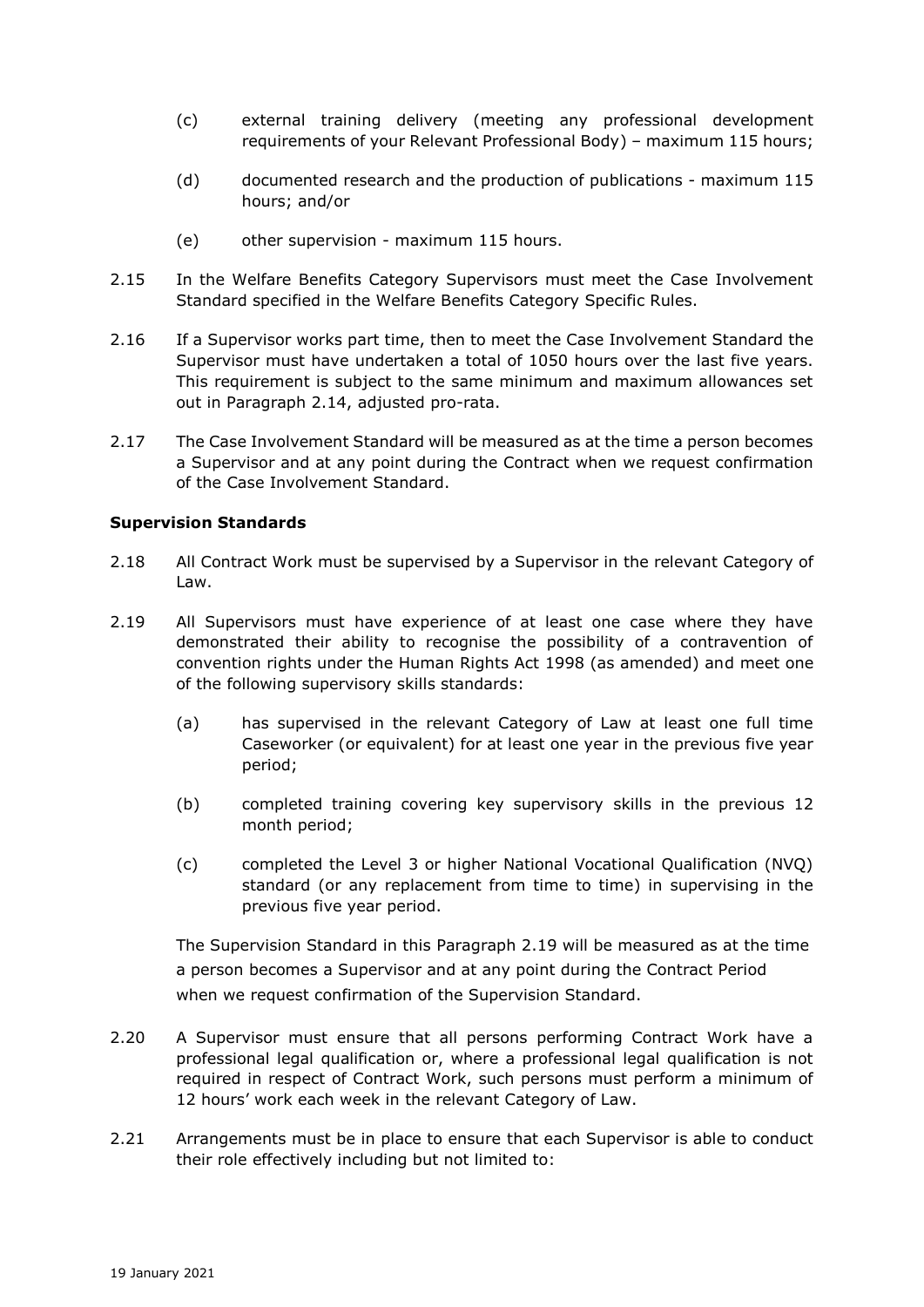- (c) external training delivery (meeting any professional development requirements of your Relevant Professional Body) – maximum 115 hours;
- (d) documented research and the production of publications maximum 115 hours; and/or
- (e) other supervision maximum 115 hours.
- 2.15 In the Welfare Benefits Category Supervisors must meet the Case Involvement Standard specified in the Welfare Benefits Category Specific Rules.
- 2.16 If a Supervisor works part time, then to meet the Case Involvement Standard the Supervisor must have undertaken a total of 1050 hours over the last five years. This requirement is subject to the same minimum and maximum allowances set out in Paragraph 2.14, adjusted pro-rata.
- 2.17 The Case Involvement Standard will be measured as at the time a person becomes a Supervisor and at any point during the Contract when we request confirmation of the Case Involvement Standard.

### **Supervision Standards**

- 2.18 All Contract Work must be supervised by a Supervisor in the relevant Category of Law.
- 2.19 All Supervisors must have experience of at least one case where they have demonstrated their ability to recognise the possibility of a contravention of convention rights under the Human Rights Act 1998 (as amended) and meet one of the following supervisory skills standards:
	- (a) has supervised in the relevant Category of Law at least one full time Caseworker (or equivalent) for at least one year in the previous five year period;
	- (b) completed training covering key supervisory skills in the previous 12 month period;
	- (c) completed the Level 3 or higher National Vocational Qualification (NVQ) standard (or any replacement from time to time) in supervising in the previous five year period.

The Supervision Standard in this Paragraph 2.19 will be measured as at the time a person becomes a Supervisor and at any point during the Contract Period when we request confirmation of the Supervision Standard.

- 2.20 A Supervisor must ensure that all persons performing Contract Work have a professional legal qualification or, where a professional legal qualification is not required in respect of Contract Work, such persons must perform a minimum of 12 hours' work each week in the relevant Category of Law.
- 2.21 Arrangements must be in place to ensure that each Supervisor is able to conduct their role effectively including but not limited to: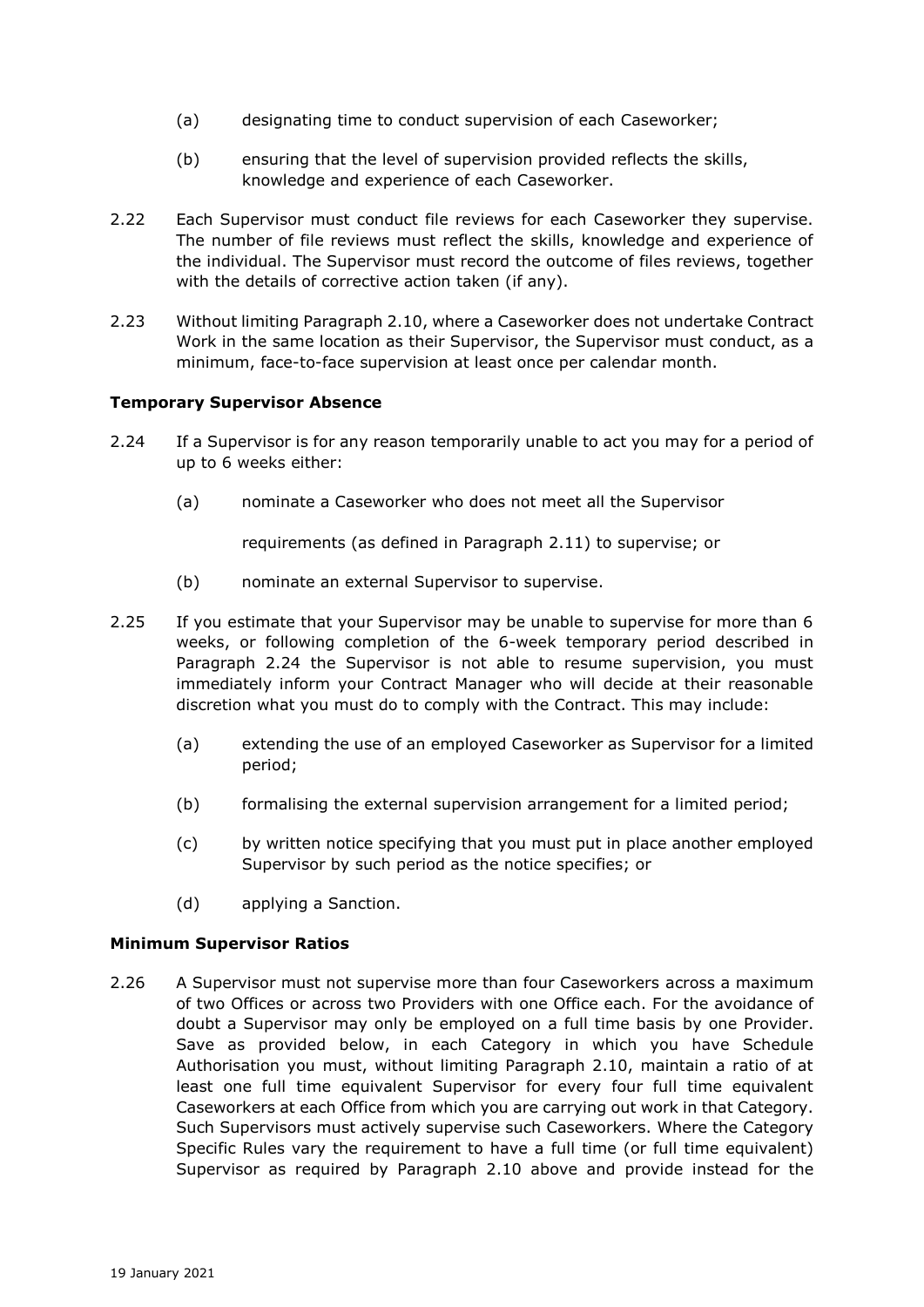- (a) designating time to conduct supervision of each Caseworker;
- (b) ensuring that the level of supervision provided reflects the skills, knowledge and experience of each Caseworker.
- 2.22 Each Supervisor must conduct file reviews for each Caseworker they supervise. The number of file reviews must reflect the skills, knowledge and experience of the individual. The Supervisor must record the outcome of files reviews, together with the details of corrective action taken (if any).
- 2.23 Without limiting Paragraph 2.10, where a Caseworker does not undertake Contract Work in the same location as their Supervisor, the Supervisor must conduct, as a minimum, face-to-face supervision at least once per calendar month.

### **Temporary Supervisor Absence**

- 2.24 If a Supervisor is for any reason temporarily unable to act you may for a period of up to 6 weeks either:
	- (a) nominate a Caseworker who does not meet all the Supervisor

requirements (as defined in Paragraph 2.11) to supervise; or

- (b) nominate an external Supervisor to supervise.
- 2.25 If you estimate that your Supervisor may be unable to supervise for more than 6 weeks, or following completion of the 6-week temporary period described in Paragraph 2.24 the Supervisor is not able to resume supervision, you must immediately inform your Contract Manager who will decide at their reasonable discretion what you must do to comply with the Contract. This may include:
	- (a) extending the use of an employed Caseworker as Supervisor for a limited period;
	- (b) formalising the external supervision arrangement for a limited period;
	- (c) by written notice specifying that you must put in place another employed Supervisor by such period as the notice specifies; or
	- (d) applying a Sanction.

#### **Minimum Supervisor Ratios**

2.26 A Supervisor must not supervise more than four Caseworkers across a maximum of two Offices or across two Providers with one Office each. For the avoidance of doubt a Supervisor may only be employed on a full time basis by one Provider. Save as provided below, in each Category in which you have Schedule Authorisation you must, without limiting Paragraph 2.10, maintain a ratio of at least one full time equivalent Supervisor for every four full time equivalent Caseworkers at each Office from which you are carrying out work in that Category. Such Supervisors must actively supervise such Caseworkers. Where the Category Specific Rules vary the requirement to have a full time (or full time equivalent) Supervisor as required by Paragraph 2.10 above and provide instead for the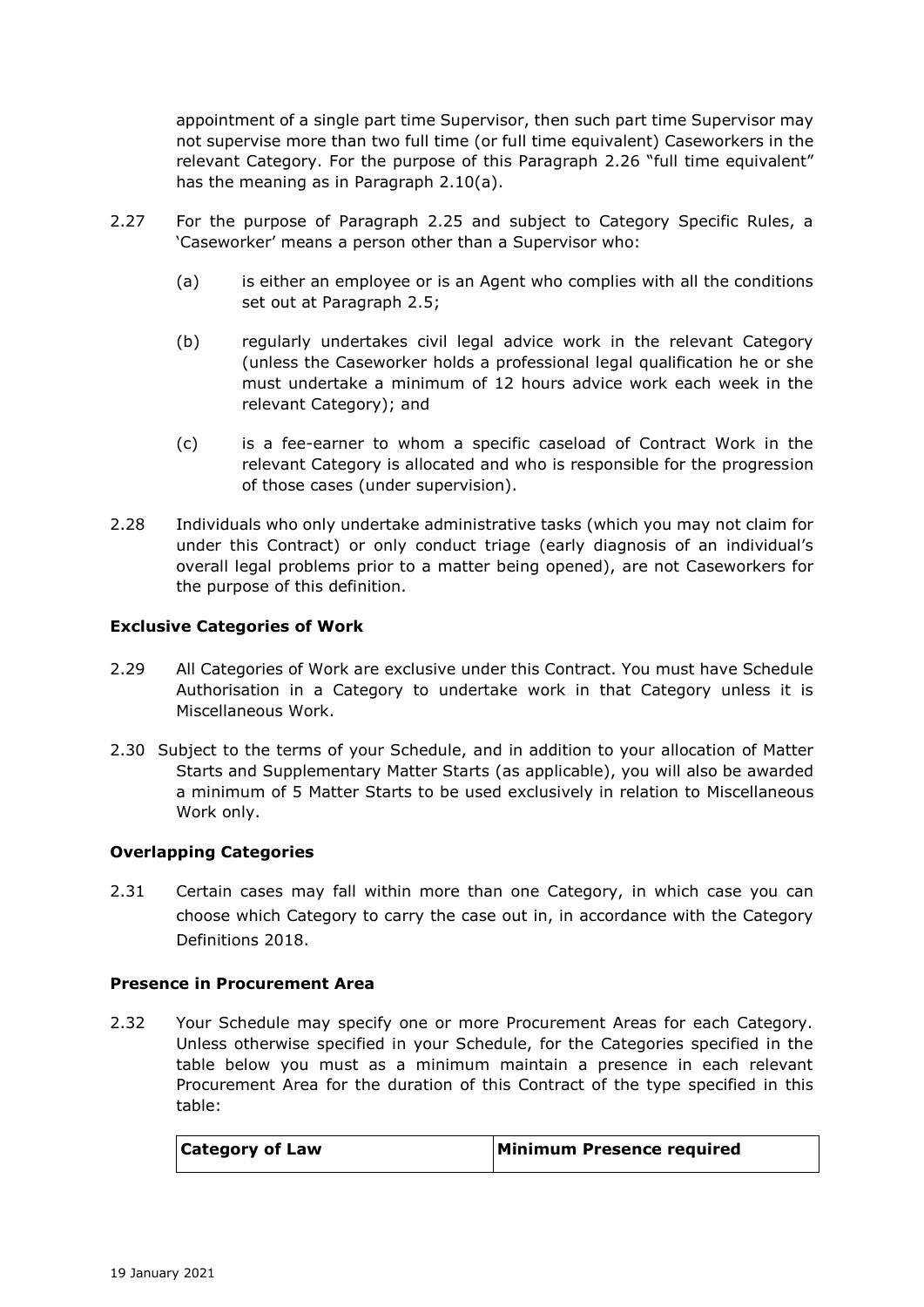appointment of a single part time Supervisor, then such part time Supervisor may not supervise more than two full time (or full time equivalent) Caseworkers in the relevant Category. For the purpose of this Paragraph 2.26 "full time equivalent" has the meaning as in Paragraph 2.10(a).

- 2.27 For the purpose of Paragraph 2.25 and subject to Category Specific Rules, a 'Caseworker' means a person other than a Supervisor who:
	- (a) is either an employee or is an Agent who complies with all the conditions set out at Paragraph 2.5;
	- (b) regularly undertakes civil legal advice work in the relevant Category (unless the Caseworker holds a professional legal qualification he or she must undertake a minimum of 12 hours advice work each week in the relevant Category); and
	- (c) is a fee-earner to whom a specific caseload of Contract Work in the relevant Category is allocated and who is responsible for the progression of those cases (under supervision).
- 2.28 Individuals who only undertake administrative tasks (which you may not claim for under this Contract) or only conduct triage (early diagnosis of an individual's overall legal problems prior to a matter being opened), are not Caseworkers for the purpose of this definition.

# **Exclusive Categories of Work**

- 2.29 All Categories of Work are exclusive under this Contract. You must have Schedule Authorisation in a Category to undertake work in that Category unless it is Miscellaneous Work.
- 2.30 Subject to the terms of your Schedule, and in addition to your allocation of Matter Starts and Supplementary Matter Starts (as applicable), you will also be awarded a minimum of 5 Matter Starts to be used exclusively in relation to Miscellaneous Work only.

# **Overlapping Categories**

2.31 Certain cases may fall within more than one Category, in which case you can choose which Category to carry the case out in, in accordance with the Category Definitions 2018.

#### **Presence in Procurement Area**

2.32 Your Schedule may specify one or more Procurement Areas for each Category. Unless otherwise specified in your Schedule, for the Categories specified in the table below you must as a minimum maintain a presence in each relevant Procurement Area for the duration of this Contract of the type specified in this table:

| <b>Category of Law</b> | <b>Minimum Presence required</b> |
|------------------------|----------------------------------|
|------------------------|----------------------------------|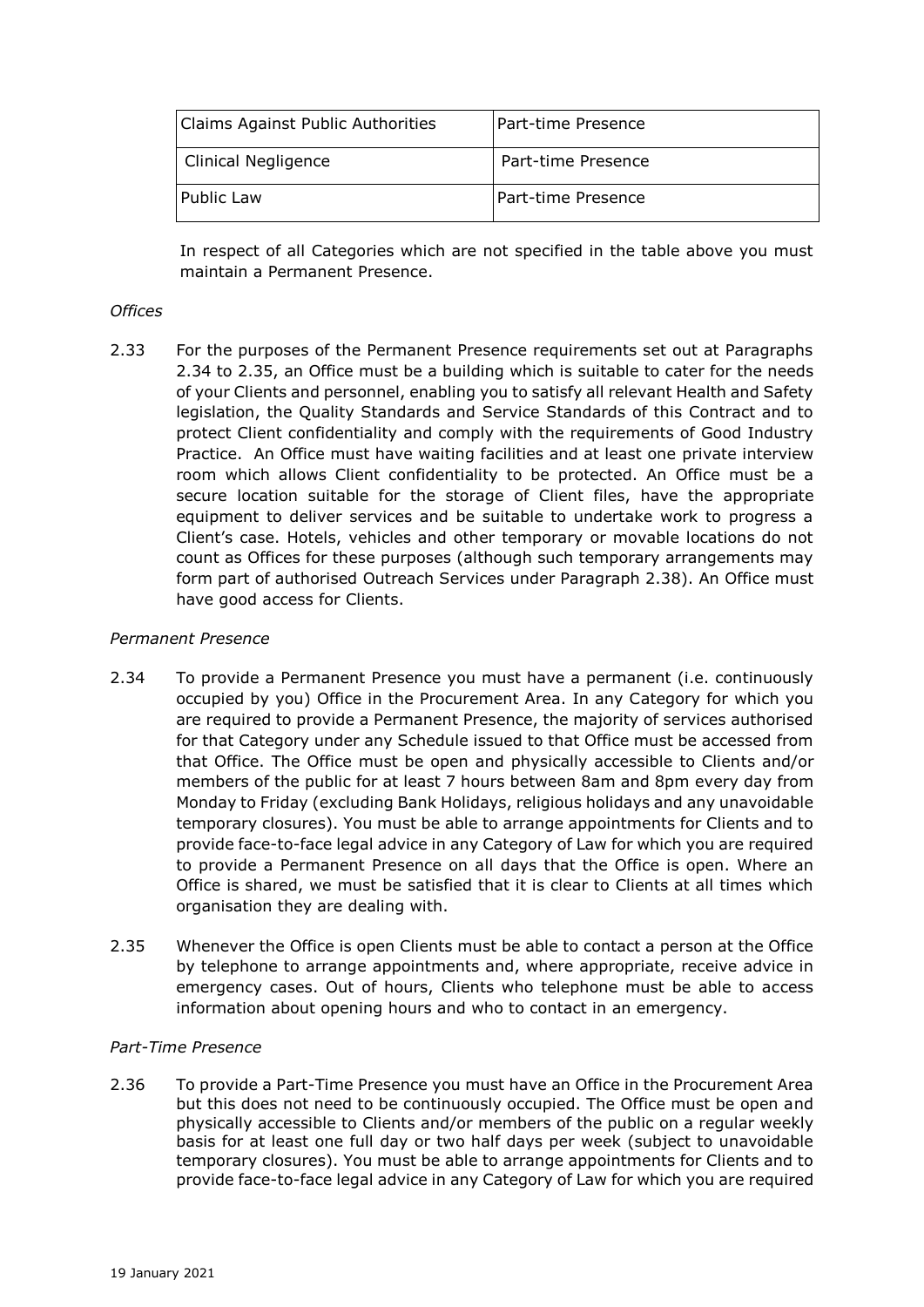| Claims Against Public Authorities | l Part-time Presence |
|-----------------------------------|----------------------|
| Clinical Negligence               | Part-time Presence   |
| <b>Public Law</b>                 | Part-time Presence   |

In respect of all Categories which are not specified in the table above you must maintain a Permanent Presence.

### *Offices*

2.33 For the purposes of the Permanent Presence requirements set out at Paragraphs 2.34 to 2.35, an Office must be a building which is suitable to cater for the needs of your Clients and personnel, enabling you to satisfy all relevant Health and Safety legislation, the Quality Standards and Service Standards of this Contract and to protect Client confidentiality and comply with the requirements of Good Industry Practice. An Office must have waiting facilities and at least one private interview room which allows Client confidentiality to be protected. An Office must be a secure location suitable for the storage of Client files, have the appropriate equipment to deliver services and be suitable to undertake work to progress a Client's case. Hotels, vehicles and other temporary or movable locations do not count as Offices for these purposes (although such temporary arrangements may form part of authorised Outreach Services under Paragraph 2.38). An Office must have good access for Clients.

### *Permanent Presence*

- 2.34 To provide a Permanent Presence you must have a permanent (i.e. continuously occupied by you) Office in the Procurement Area. In any Category for which you are required to provide a Permanent Presence, the majority of services authorised for that Category under any Schedule issued to that Office must be accessed from that Office. The Office must be open and physically accessible to Clients and/or members of the public for at least 7 hours between 8am and 8pm every day from Monday to Friday (excluding Bank Holidays, religious holidays and any unavoidable temporary closures). You must be able to arrange appointments for Clients and to provide face-to-face legal advice in any Category of Law for which you are required to provide a Permanent Presence on all days that the Office is open. Where an Office is shared, we must be satisfied that it is clear to Clients at all times which organisation they are dealing with.
- 2.35 Whenever the Office is open Clients must be able to contact a person at the Office by telephone to arrange appointments and, where appropriate, receive advice in emergency cases. Out of hours, Clients who telephone must be able to access information about opening hours and who to contact in an emergency.

#### *Part-Time Presence*

2.36 To provide a Part-Time Presence you must have an Office in the Procurement Area but this does not need to be continuously occupied. The Office must be open and physically accessible to Clients and/or members of the public on a regular weekly basis for at least one full day or two half days per week (subject to unavoidable temporary closures). You must be able to arrange appointments for Clients and to provide face-to-face legal advice in any Category of Law for which you are required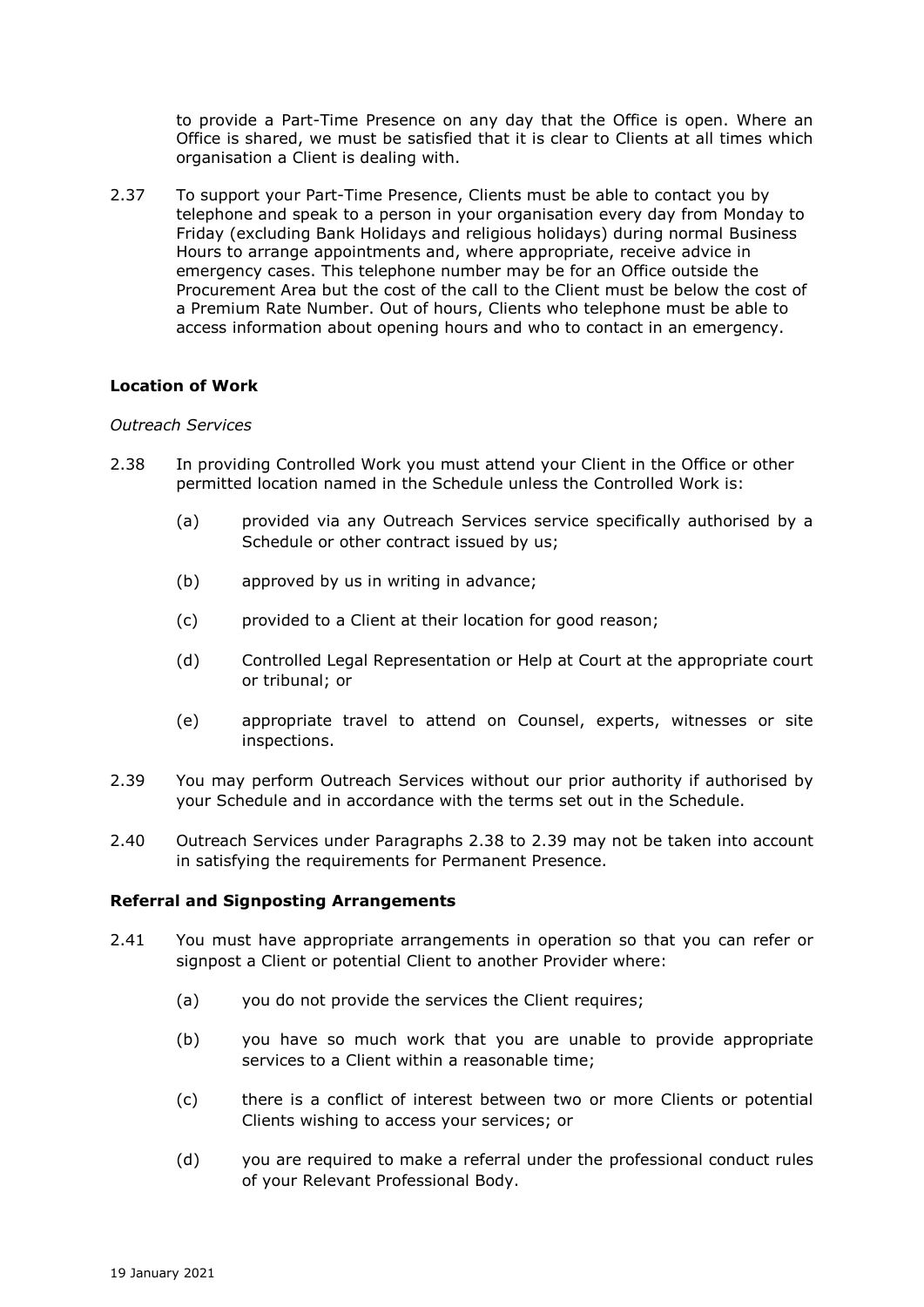to provide a Part-Time Presence on any day that the Office is open. Where an Office is shared, we must be satisfied that it is clear to Clients at all times which organisation a Client is dealing with.

2.37 To support your Part-Time Presence, Clients must be able to contact you by telephone and speak to a person in your organisation every day from Monday to Friday (excluding Bank Holidays and religious holidays) during normal Business Hours to arrange appointments and, where appropriate, receive advice in emergency cases. This telephone number may be for an Office outside the Procurement Area but the cost of the call to the Client must be below the cost of a Premium Rate Number. Out of hours, Clients who telephone must be able to access information about opening hours and who to contact in an emergency.

### **Location of Work**

#### *Outreach Services*

- 2.38 In providing Controlled Work you must attend your Client in the Office or other permitted location named in the Schedule unless the Controlled Work is:
	- (a) provided via any Outreach Services service specifically authorised by a Schedule or other contract issued by us;
	- (b) approved by us in writing in advance;
	- (c) provided to a Client at their location for good reason;
	- (d) Controlled Legal Representation or Help at Court at the appropriate court or tribunal; or
	- (e) appropriate travel to attend on Counsel, experts, witnesses or site inspections.
- 2.39 You may perform Outreach Services without our prior authority if authorised by your Schedule and in accordance with the terms set out in the Schedule.
- 2.40 Outreach Services under Paragraphs 2.38 to 2.39 may not be taken into account in satisfying the requirements for Permanent Presence.

#### **Referral and Signposting Arrangements**

- 2.41 You must have appropriate arrangements in operation so that you can refer or signpost a Client or potential Client to another Provider where:
	- (a) you do not provide the services the Client requires;
	- (b) you have so much work that you are unable to provide appropriate services to a Client within a reasonable time;
	- (c) there is a conflict of interest between two or more Clients or potential Clients wishing to access your services; or
	- (d) you are required to make a referral under the professional conduct rules of your Relevant Professional Body.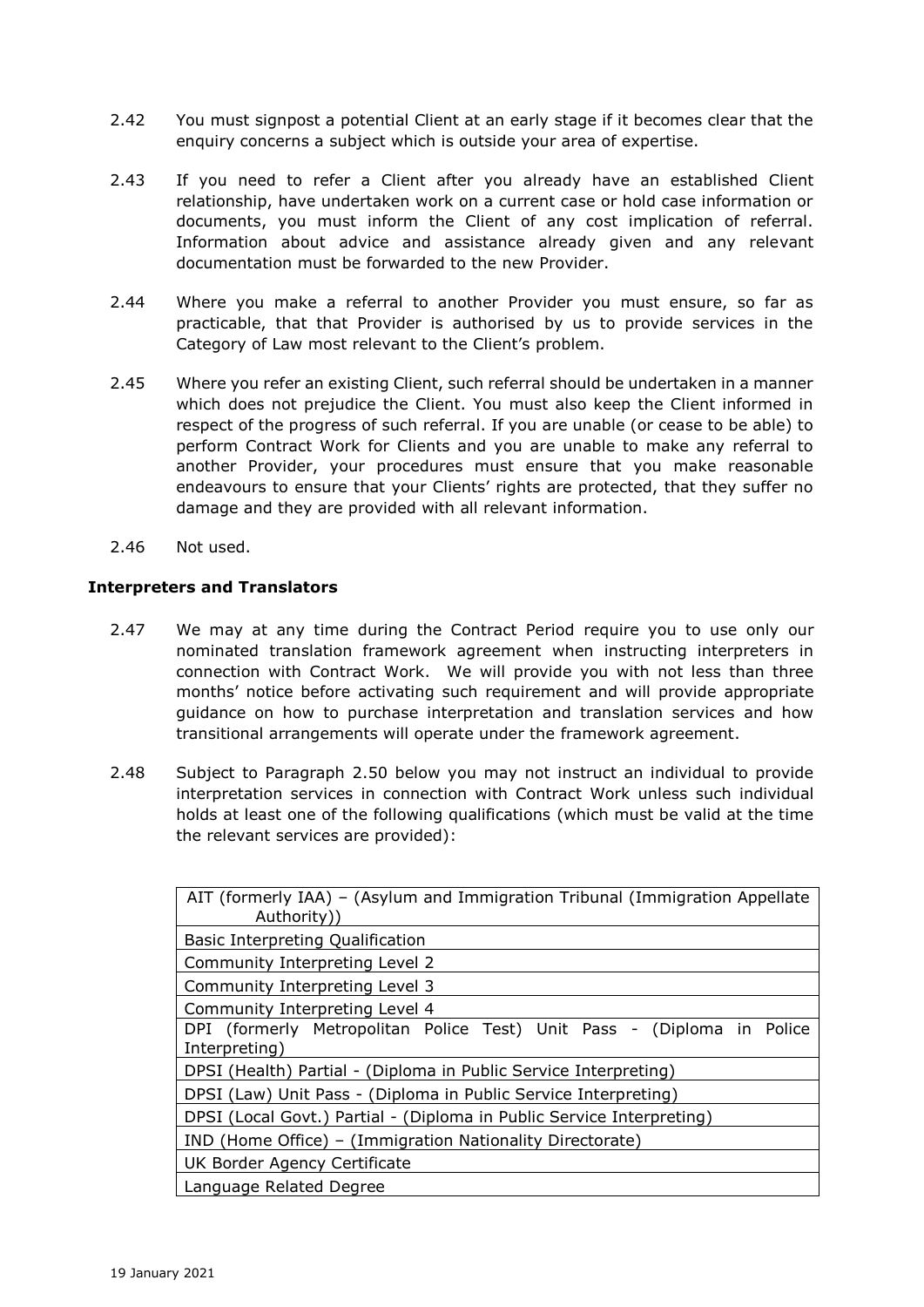- 2.42 You must signpost a potential Client at an early stage if it becomes clear that the enquiry concerns a subject which is outside your area of expertise.
- 2.43 If you need to refer a Client after you already have an established Client relationship, have undertaken work on a current case or hold case information or documents, you must inform the Client of any cost implication of referral. Information about advice and assistance already given and any relevant documentation must be forwarded to the new Provider.
- 2.44 Where you make a referral to another Provider you must ensure, so far as practicable, that that Provider is authorised by us to provide services in the Category of Law most relevant to the Client's problem.
- 2.45 Where you refer an existing Client, such referral should be undertaken in a manner which does not prejudice the Client. You must also keep the Client informed in respect of the progress of such referral. If you are unable (or cease to be able) to perform Contract Work for Clients and you are unable to make any referral to another Provider, your procedures must ensure that you make reasonable endeavours to ensure that your Clients' rights are protected, that they suffer no damage and they are provided with all relevant information.
- 2.46 Not used.

# **Interpreters and Translators**

- 2.47 We may at any time during the Contract Period require you to use only our nominated translation framework agreement when instructing interpreters in connection with Contract Work. We will provide you with not less than three months' notice before activating such requirement and will provide appropriate guidance on how to purchase interpretation and translation services and how transitional arrangements will operate under the framework agreement.
- 2.48 Subject to Paragraph 2.50 below you may not instruct an individual to provide interpretation services in connection with Contract Work unless such individual holds at least one of the following qualifications (which must be valid at the time the relevant services are provided):

| AIT (formerly IAA) - (Asylum and Immigration Tribunal (Immigration Appellate<br>Authority)) |  |  |
|---------------------------------------------------------------------------------------------|--|--|
| Basic Interpreting Qualification                                                            |  |  |
| Community Interpreting Level 2                                                              |  |  |
| Community Interpreting Level 3                                                              |  |  |
| Community Interpreting Level 4                                                              |  |  |
| DPI (formerly Metropolitan Police Test) Unit Pass - (Diploma in<br>Police<br>Interpreting)  |  |  |
| DPSI (Health) Partial - (Diploma in Public Service Interpreting)                            |  |  |
| DPSI (Law) Unit Pass - (Diploma in Public Service Interpreting)                             |  |  |
| DPSI (Local Govt.) Partial - (Diploma in Public Service Interpreting)                       |  |  |
| IND (Home Office) – (Immigration Nationality Directorate)                                   |  |  |
| UK Border Agency Certificate                                                                |  |  |
| Language Related Degree                                                                     |  |  |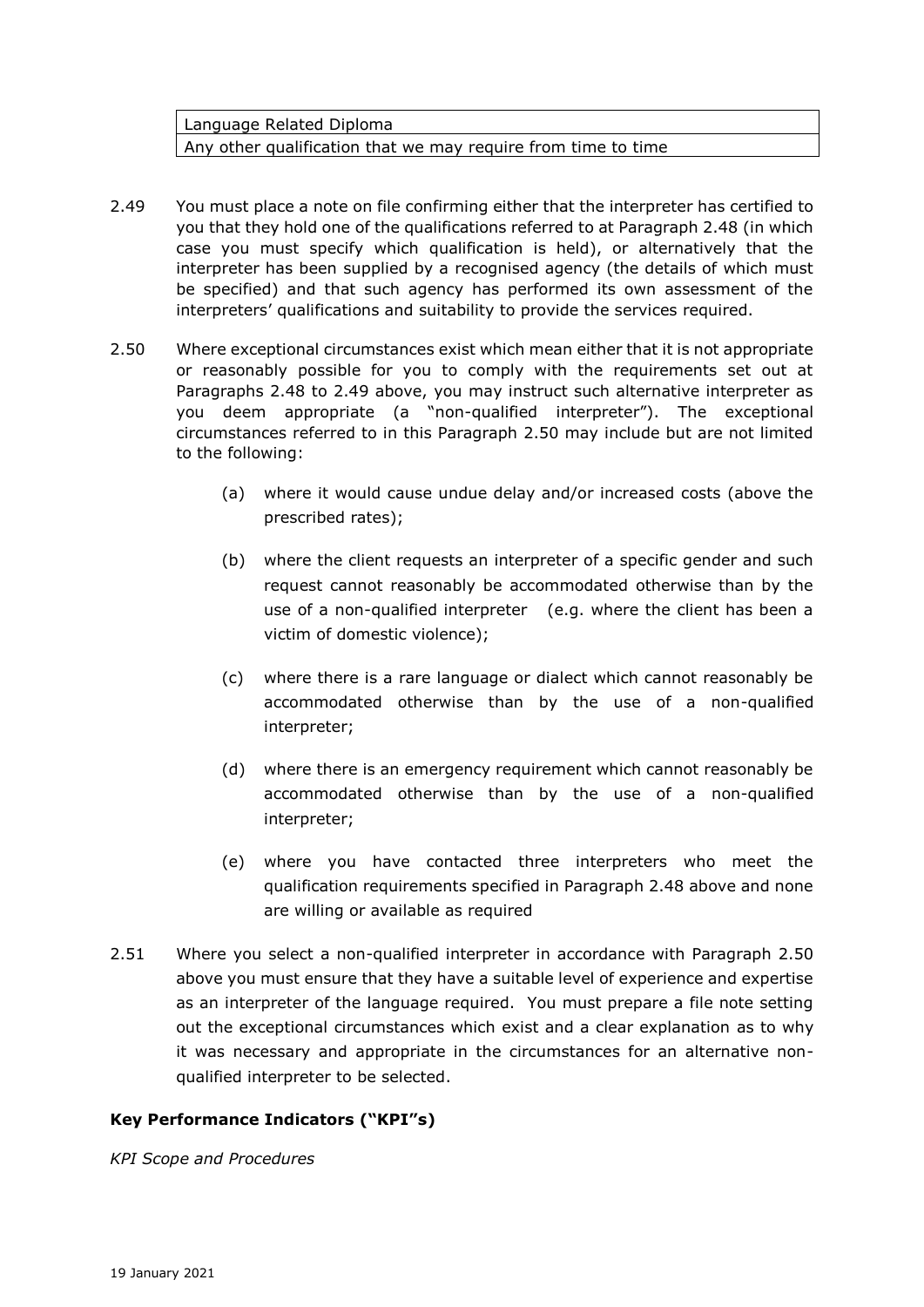Language Related Diploma Any other qualification that we may require from time to time

- 2.49 You must place a note on file confirming either that the interpreter has certified to you that they hold one of the qualifications referred to at Paragraph 2.48 (in which case you must specify which qualification is held), or alternatively that the interpreter has been supplied by a recognised agency (the details of which must be specified) and that such agency has performed its own assessment of the interpreters' qualifications and suitability to provide the services required.
- 2.50 Where exceptional circumstances exist which mean either that it is not appropriate or reasonably possible for you to comply with the requirements set out at Paragraphs 2.48 to 2.49 above, you may instruct such alternative interpreter as you deem appropriate (a "non-qualified interpreter"). The exceptional circumstances referred to in this Paragraph 2.50 may include but are not limited to the following:
	- (a) where it would cause undue delay and/or increased costs (above the prescribed rates);
	- (b) where the client requests an interpreter of a specific gender and such request cannot reasonably be accommodated otherwise than by the use of a non-qualified interpreter (e.g. where the client has been a victim of domestic violence);
	- (c) where there is a rare language or dialect which cannot reasonably be accommodated otherwise than by the use of a non-qualified interpreter;
	- (d) where there is an emergency requirement which cannot reasonably be accommodated otherwise than by the use of a non-qualified interpreter;
	- (e) where you have contacted three interpreters who meet the qualification requirements specified in Paragraph 2.48 above and none are willing or available as required
- 2.51 Where you select a non-qualified interpreter in accordance with Paragraph 2.50 above you must ensure that they have a suitable level of experience and expertise as an interpreter of the language required. You must prepare a file note setting out the exceptional circumstances which exist and a clear explanation as to why it was necessary and appropriate in the circumstances for an alternative nonqualified interpreter to be selected.

# **Key Performance Indicators ("KPI"s)**

*KPI Scope and Procedures*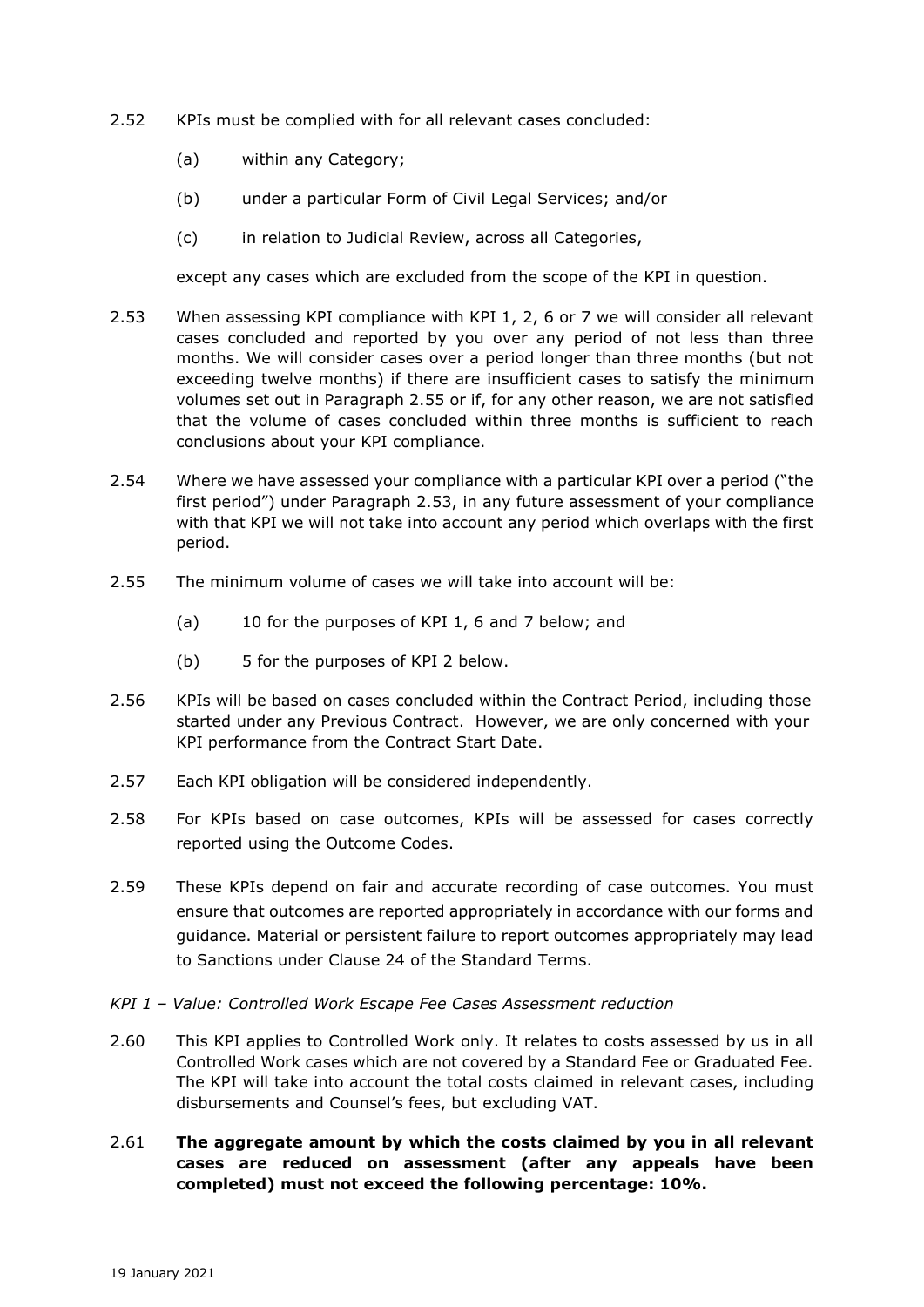- 2.52 KPIs must be complied with for all relevant cases concluded:
	- (a) within any Category;
	- (b) under a particular Form of Civil Legal Services; and/or
	- (c) in relation to Judicial Review, across all Categories,

except any cases which are excluded from the scope of the KPI in question.

- 2.53 When assessing KPI compliance with KPI 1, 2, 6 or 7 we will consider all relevant cases concluded and reported by you over any period of not less than three months. We will consider cases over a period longer than three months (but not exceeding twelve months) if there are insufficient cases to satisfy the minimum volumes set out in Paragraph 2.55 or if, for any other reason, we are not satisfied that the volume of cases concluded within three months is sufficient to reach conclusions about your KPI compliance.
- 2.54 Where we have assessed your compliance with a particular KPI over a period ("the first period") under Paragraph 2.53, in any future assessment of your compliance with that KPI we will not take into account any period which overlaps with the first period.
- 2.55 The minimum volume of cases we will take into account will be:
	- (a) 10 for the purposes of KPI 1, 6 and 7 below; and
	- (b) 5 for the purposes of KPI 2 below.
- 2.56 KPIs will be based on cases concluded within the Contract Period, including those started under any Previous Contract. However, we are only concerned with your KPI performance from the Contract Start Date.
- 2.57 Each KPI obligation will be considered independently.
- 2.58 For KPIs based on case outcomes, KPIs will be assessed for cases correctly reported using the Outcome Codes.
- 2.59 These KPIs depend on fair and accurate recording of case outcomes. You must ensure that outcomes are reported appropriately in accordance with our forms and guidance. Material or persistent failure to report outcomes appropriately may lead to Sanctions under Clause 24 of the Standard Terms.
- *KPI 1 – Value: Controlled Work Escape Fee Cases Assessment reduction*
- 2.60 This KPI applies to Controlled Work only. It relates to costs assessed by us in all Controlled Work cases which are not covered by a Standard Fee or Graduated Fee. The KPI will take into account the total costs claimed in relevant cases, including disbursements and Counsel's fees, but excluding VAT.
- 2.61 **The aggregate amount by which the costs claimed by you in all relevant cases are reduced on assessment (after any appeals have been completed) must not exceed the following percentage: 10%.**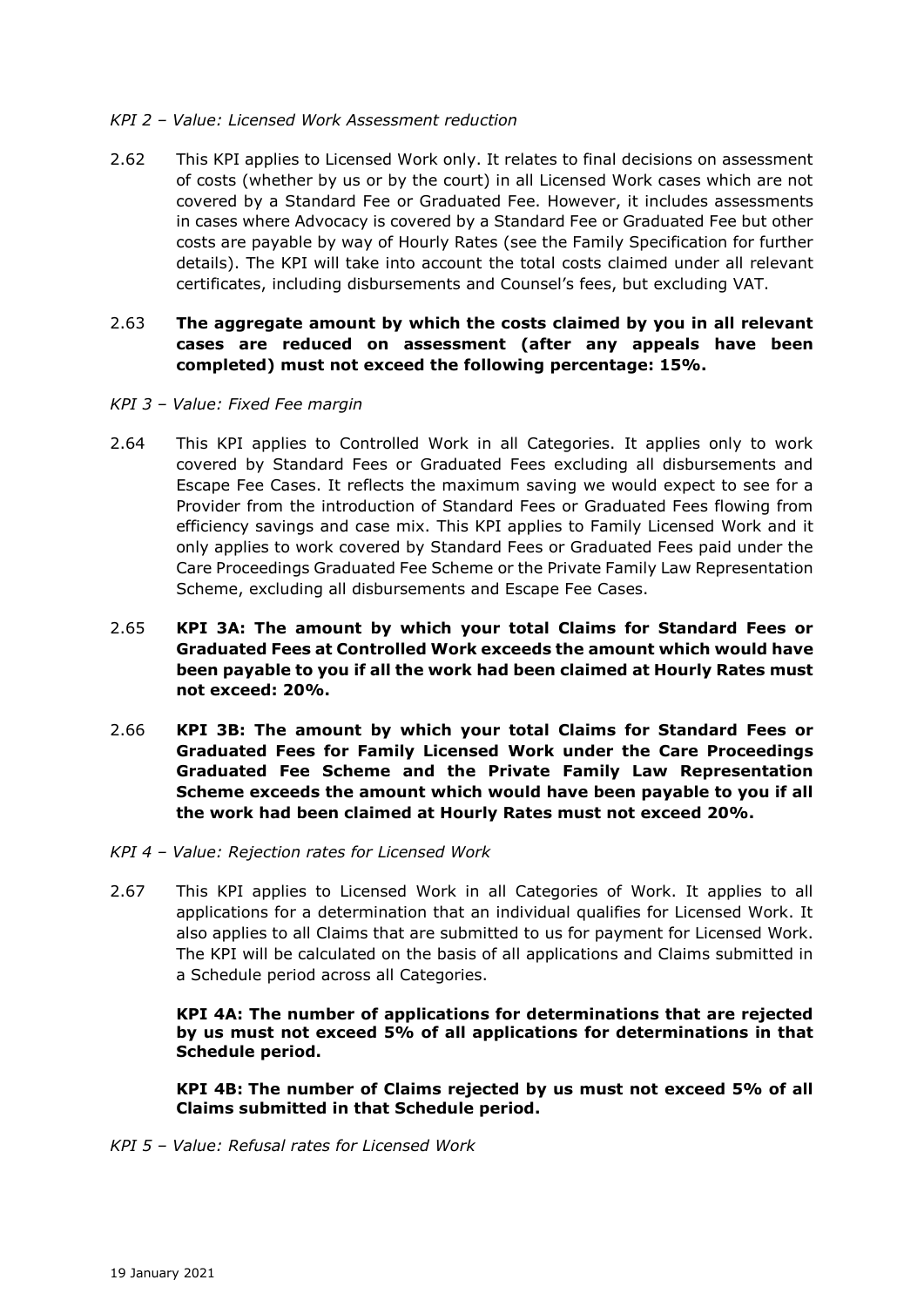### *KPI 2 – Value: Licensed Work Assessment reduction*

2.62 This KPI applies to Licensed Work only. It relates to final decisions on assessment of costs (whether by us or by the court) in all Licensed Work cases which are not covered by a Standard Fee or Graduated Fee. However, it includes assessments in cases where Advocacy is covered by a Standard Fee or Graduated Fee but other costs are payable by way of Hourly Rates (see the Family Specification for further details). The KPI will take into account the total costs claimed under all relevant certificates, including disbursements and Counsel's fees, but excluding VAT.

## 2.63 **The aggregate amount by which the costs claimed by you in all relevant cases are reduced on assessment (after any appeals have been completed) must not exceed the following percentage: 15%.**

#### *KPI 3 – Value: Fixed Fee margin*

- 2.64 This KPI applies to Controlled Work in all Categories. It applies only to work covered by Standard Fees or Graduated Fees excluding all disbursements and Escape Fee Cases. It reflects the maximum saving we would expect to see for a Provider from the introduction of Standard Fees or Graduated Fees flowing from efficiency savings and case mix. This KPI applies to Family Licensed Work and it only applies to work covered by Standard Fees or Graduated Fees paid under the Care Proceedings Graduated Fee Scheme or the Private Family Law Representation Scheme, excluding all disbursements and Escape Fee Cases.
- 2.65 **KPI 3A: The amount by which your total Claims for Standard Fees or Graduated Fees at Controlled Work exceeds the amount which would have been payable to you if all the work had been claimed at Hourly Rates must not exceed: 20%.**
- 2.66 **KPI 3B: The amount by which your total Claims for Standard Fees or Graduated Fees for Family Licensed Work under the Care Proceedings Graduated Fee Scheme and the Private Family Law Representation Scheme exceeds the amount which would have been payable to you if all the work had been claimed at Hourly Rates must not exceed 20%.**
- *KPI 4 – Value: Rejection rates for Licensed Work*
- 2.67 This KPI applies to Licensed Work in all Categories of Work. It applies to all applications for a determination that an individual qualifies for Licensed Work. It also applies to all Claims that are submitted to us for payment for Licensed Work. The KPI will be calculated on the basis of all applications and Claims submitted in a Schedule period across all Categories.

**KPI 4A: The number of applications for determinations that are rejected by us must not exceed 5% of all applications for determinations in that Schedule period.**

**KPI 4B: The number of Claims rejected by us must not exceed 5% of all Claims submitted in that Schedule period.**

*KPI 5 – Value: Refusal rates for Licensed Work*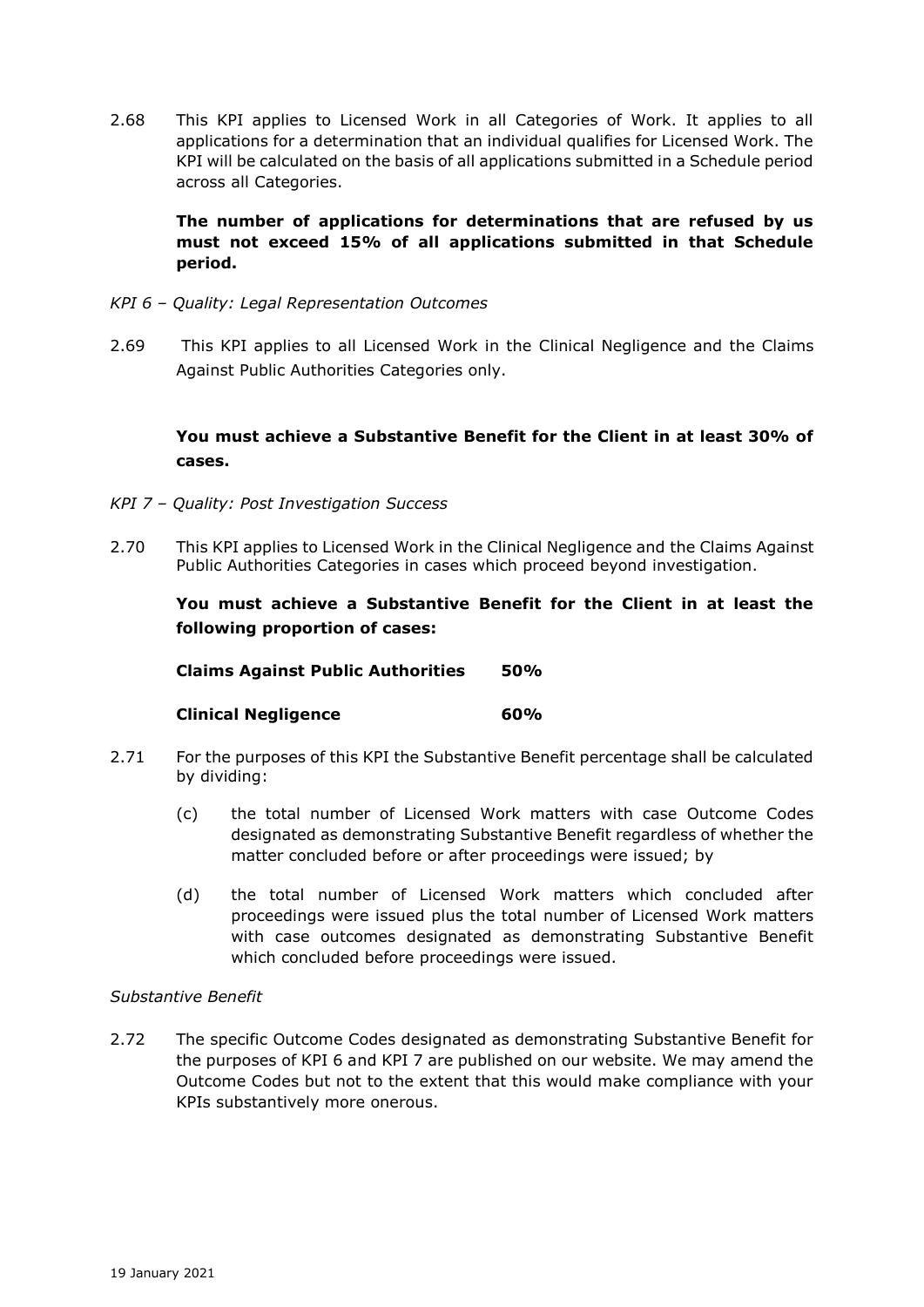2.68 This KPI applies to Licensed Work in all Categories of Work. It applies to all applications for a determination that an individual qualifies for Licensed Work. The KPI will be calculated on the basis of all applications submitted in a Schedule period across all Categories.

**The number of applications for determinations that are refused by us must not exceed 15% of all applications submitted in that Schedule period.**

- *KPI 6 – Quality: Legal Representation Outcomes*
- 2.69 This KPI applies to all Licensed Work in the Clinical Negligence and the Claims Against Public Authorities Categories only.

# **You must achieve a Substantive Benefit for the Client in at least 30% of cases.**

- *KPI 7 – Quality: Post Investigation Success*
- 2.70 This KPI applies to Licensed Work in the Clinical Negligence and the Claims Against Public Authorities Categories in cases which proceed beyond investigation.

**You must achieve a Substantive Benefit for the Client in at least the following proportion of cases:**

**Claims Against Public Authorities 50%**

#### **Clinical Negligence 60%**

- 2.71 For the purposes of this KPI the Substantive Benefit percentage shall be calculated by dividing:
	- (c) the total number of Licensed Work matters with case Outcome Codes designated as demonstrating Substantive Benefit regardless of whether the matter concluded before or after proceedings were issued; by
	- (d) the total number of Licensed Work matters which concluded after proceedings were issued plus the total number of Licensed Work matters with case outcomes designated as demonstrating Substantive Benefit which concluded before proceedings were issued.

### *Substantive Benefit*

2.72 The specific Outcome Codes designated as demonstrating Substantive Benefit for the purposes of KPI 6 and KPI 7 are published on our website. We may amend the Outcome Codes but not to the extent that this would make compliance with your KPIs substantively more onerous.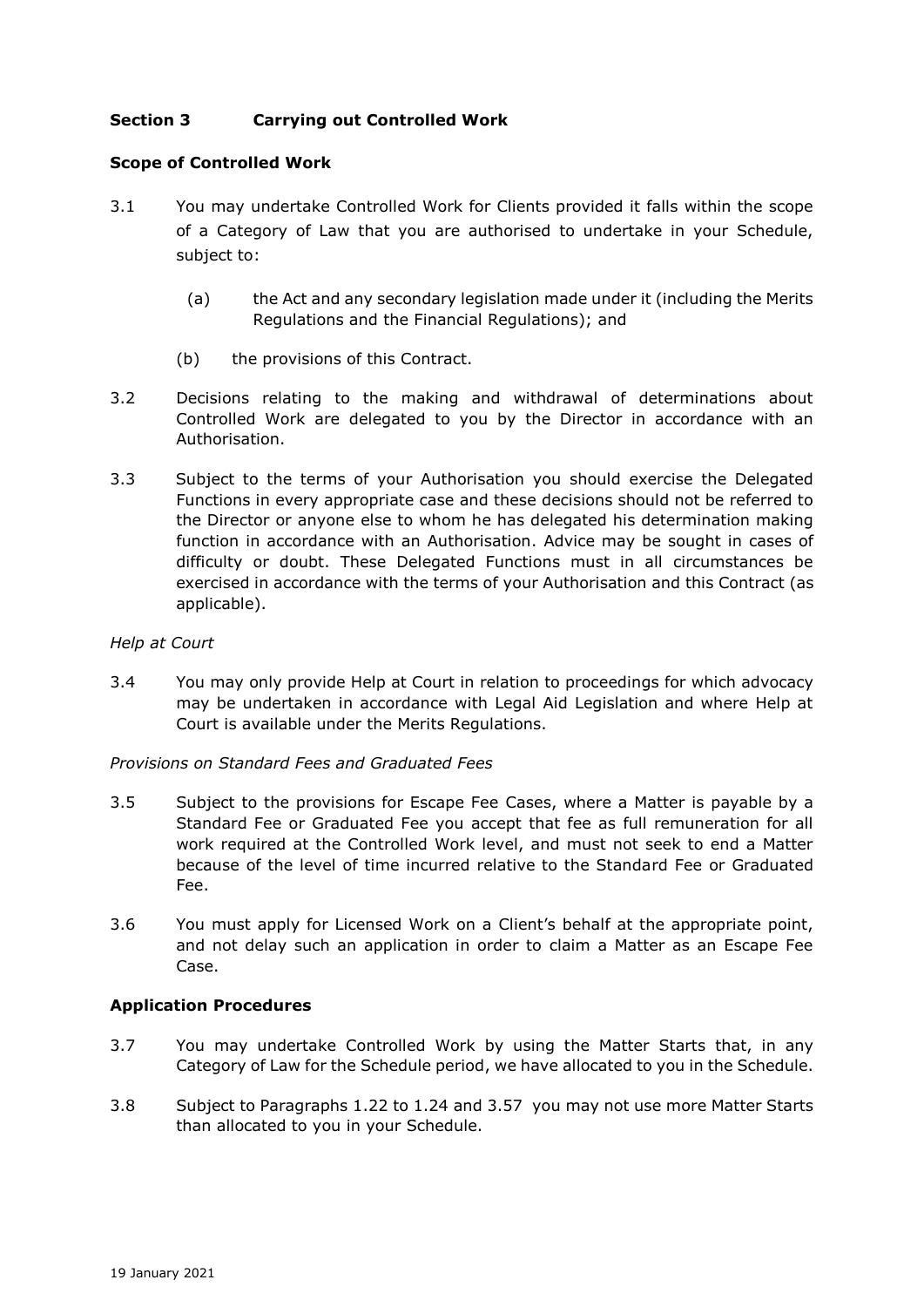# **Section 3 Carrying out Controlled Work**

### **Scope of Controlled Work**

- 3.1 You may undertake Controlled Work for Clients provided it falls within the scope of a Category of Law that you are authorised to undertake in your Schedule, subject to:
	- (a) the Act and any secondary legislation made under it (including the Merits Regulations and the Financial Regulations); and
	- (b) the provisions of this Contract.
- 3.2 Decisions relating to the making and withdrawal of determinations about Controlled Work are delegated to you by the Director in accordance with an Authorisation.
- 3.3 Subject to the terms of your Authorisation you should exercise the Delegated Functions in every appropriate case and these decisions should not be referred to the Director or anyone else to whom he has delegated his determination making function in accordance with an Authorisation. Advice may be sought in cases of difficulty or doubt. These Delegated Functions must in all circumstances be exercised in accordance with the terms of your Authorisation and this Contract (as applicable).

#### *Help at Court*

3.4 You may only provide Help at Court in relation to proceedings for which advocacy may be undertaken in accordance with Legal Aid Legislation and where Help at Court is available under the Merits Regulations.

#### *Provisions on Standard Fees and Graduated Fees*

- 3.5 Subject to the provisions for Escape Fee Cases, where a Matter is payable by a Standard Fee or Graduated Fee you accept that fee as full remuneration for all work required at the Controlled Work level, and must not seek to end a Matter because of the level of time incurred relative to the Standard Fee or Graduated Fee.
- 3.6 You must apply for Licensed Work on a Client's behalf at the appropriate point, and not delay such an application in order to claim a Matter as an Escape Fee Case.

#### **Application Procedures**

- 3.7 You may undertake Controlled Work by using the Matter Starts that, in any Category of Law for the Schedule period, we have allocated to you in the Schedule.
- 3.8 Subject to Paragraphs 1.22 to 1.24 and 3.57 you may not use more Matter Starts than allocated to you in your Schedule.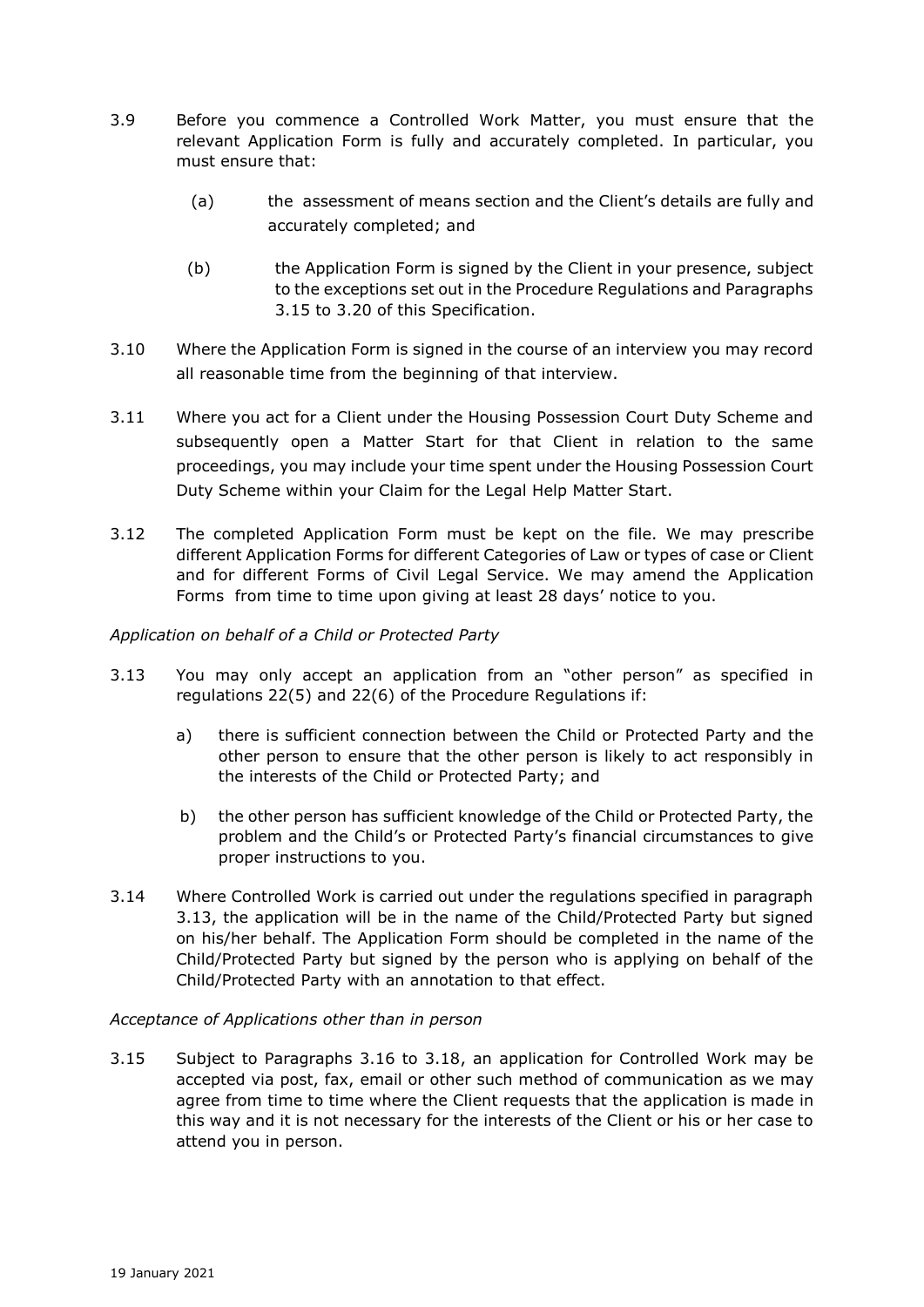- 3.9 Before you commence a Controlled Work Matter, you must ensure that the relevant Application Form is fully and accurately completed. In particular, you must ensure that:
	- (a) the assessment of means section and the Client's details are fully and accurately completed; and
	- (b) the Application Form is signed by the Client in your presence, subject to the exceptions set out in the Procedure Regulations and Paragraphs 3.15 to 3.20 of this Specification.
- 3.10 Where the Application Form is signed in the course of an interview you may record all reasonable time from the beginning of that interview.
- 3.11 Where you act for a Client under the Housing Possession Court Duty Scheme and subsequently open a Matter Start for that Client in relation to the same proceedings, you may include your time spent under the Housing Possession Court Duty Scheme within your Claim for the Legal Help Matter Start.
- 3.12 The completed Application Form must be kept on the file. We may prescribe different Application Forms for different Categories of Law or types of case or Client and for different Forms of Civil Legal Service. We may amend the Application Forms from time to time upon giving at least 28 days' notice to you.

# *Application on behalf of a Child or Protected Party*

- 3.13 You may only accept an application from an "other person" as specified in regulations 22(5) and 22(6) of the Procedure Regulations if:
	- a) there is sufficient connection between the Child or Protected Party and the other person to ensure that the other person is likely to act responsibly in the interests of the Child or Protected Party; and
	- b) the other person has sufficient knowledge of the Child or Protected Party, the problem and the Child's or Protected Party's financial circumstances to give proper instructions to you.
- 3.14 Where Controlled Work is carried out under the regulations specified in paragraph 3.13, the application will be in the name of the Child/Protected Party but signed on his/her behalf. The Application Form should be completed in the name of the Child/Protected Party but signed by the person who is applying on behalf of the Child/Protected Party with an annotation to that effect.

#### *Acceptance of Applications other than in person*

3.15 Subject to Paragraphs 3.16 to 3.18, an application for Controlled Work may be accepted via post, fax, email or other such method of communication as we may agree from time to time where the Client requests that the application is made in this way and it is not necessary for the interests of the Client or his or her case to attend you in person.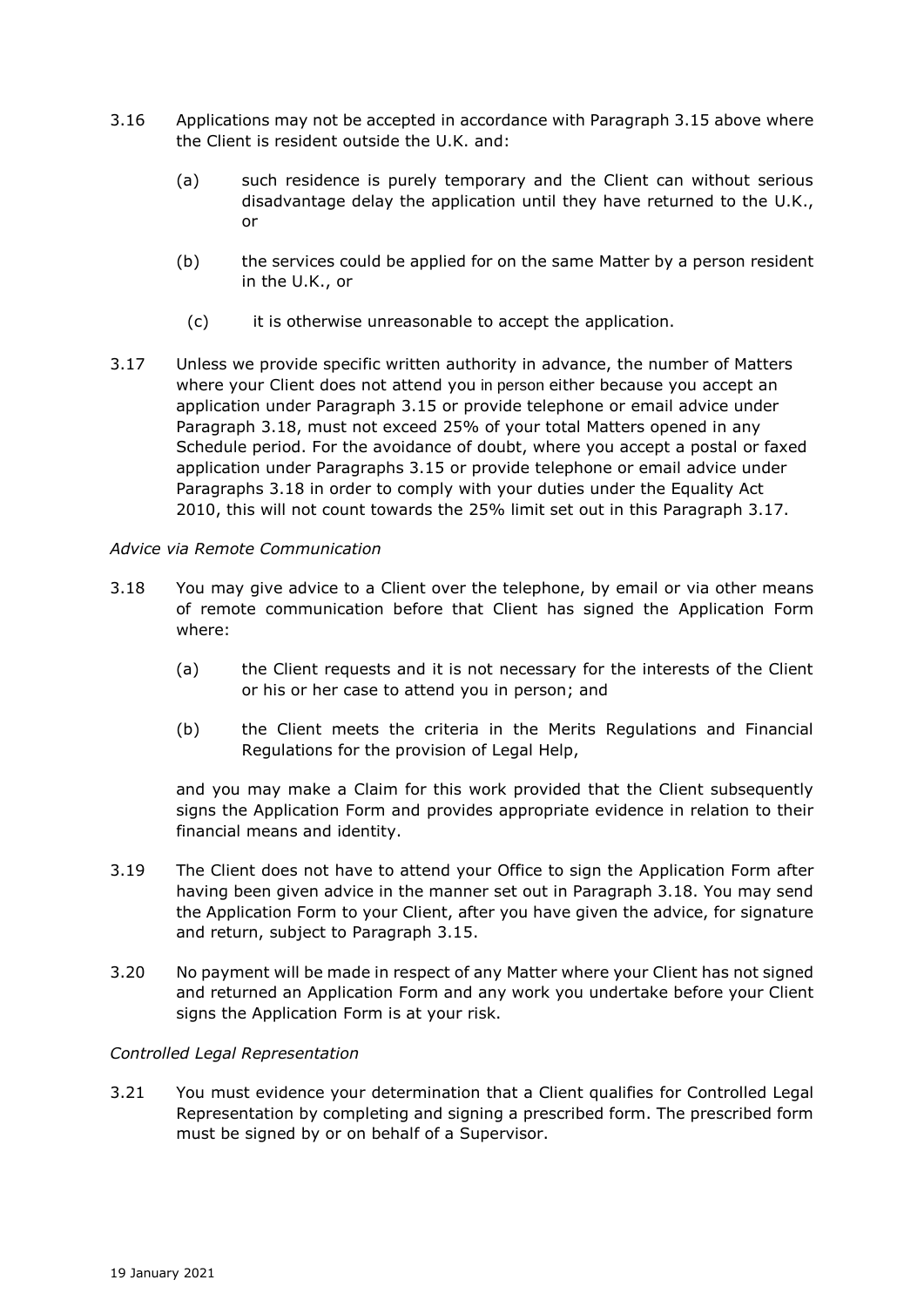- 3.16 Applications may not be accepted in accordance with Paragraph 3.15 above where the Client is resident outside the U.K. and:
	- (a) such residence is purely temporary and the Client can without serious disadvantage delay the application until they have returned to the U.K., or
	- (b) the services could be applied for on the same Matter by a person resident in the U.K., or
		- (c) it is otherwise unreasonable to accept the application.
- 3.17 Unless we provide specific written authority in advance, the number of Matters where your Client does not attend you in person either because you accept an application under Paragraph 3.15 or provide telephone or email advice under Paragraph 3.18, must not exceed 25% of your total Matters opened in any Schedule period. For the avoidance of doubt, where you accept a postal or faxed application under Paragraphs 3.15 or provide telephone or email advice under Paragraphs 3.18 in order to comply with your duties under the Equality Act 2010, this will not count towards the 25% limit set out in this Paragraph 3.17.

# *Advice via Remote Communication*

- 3.18 You may give advice to a Client over the telephone, by email or via other means of remote communication before that Client has signed the Application Form where:
	- (a) the Client requests and it is not necessary for the interests of the Client or his or her case to attend you in person; and
	- (b) the Client meets the criteria in the Merits Regulations and Financial Regulations for the provision of Legal Help,

and you may make a Claim for this work provided that the Client subsequently signs the Application Form and provides appropriate evidence in relation to their financial means and identity.

- 3.19 The Client does not have to attend your Office to sign the Application Form after having been given advice in the manner set out in Paragraph 3.18. You may send the Application Form to your Client, after you have given the advice, for signature and return, subject to Paragraph 3.15.
- 3.20 No payment will be made in respect of any Matter where your Client has not signed and returned an Application Form and any work you undertake before your Client signs the Application Form is at your risk.

# *Controlled Legal Representation*

3.21 You must evidence your determination that a Client qualifies for Controlled Legal Representation by completing and signing a prescribed form. The prescribed form must be signed by or on behalf of a Supervisor.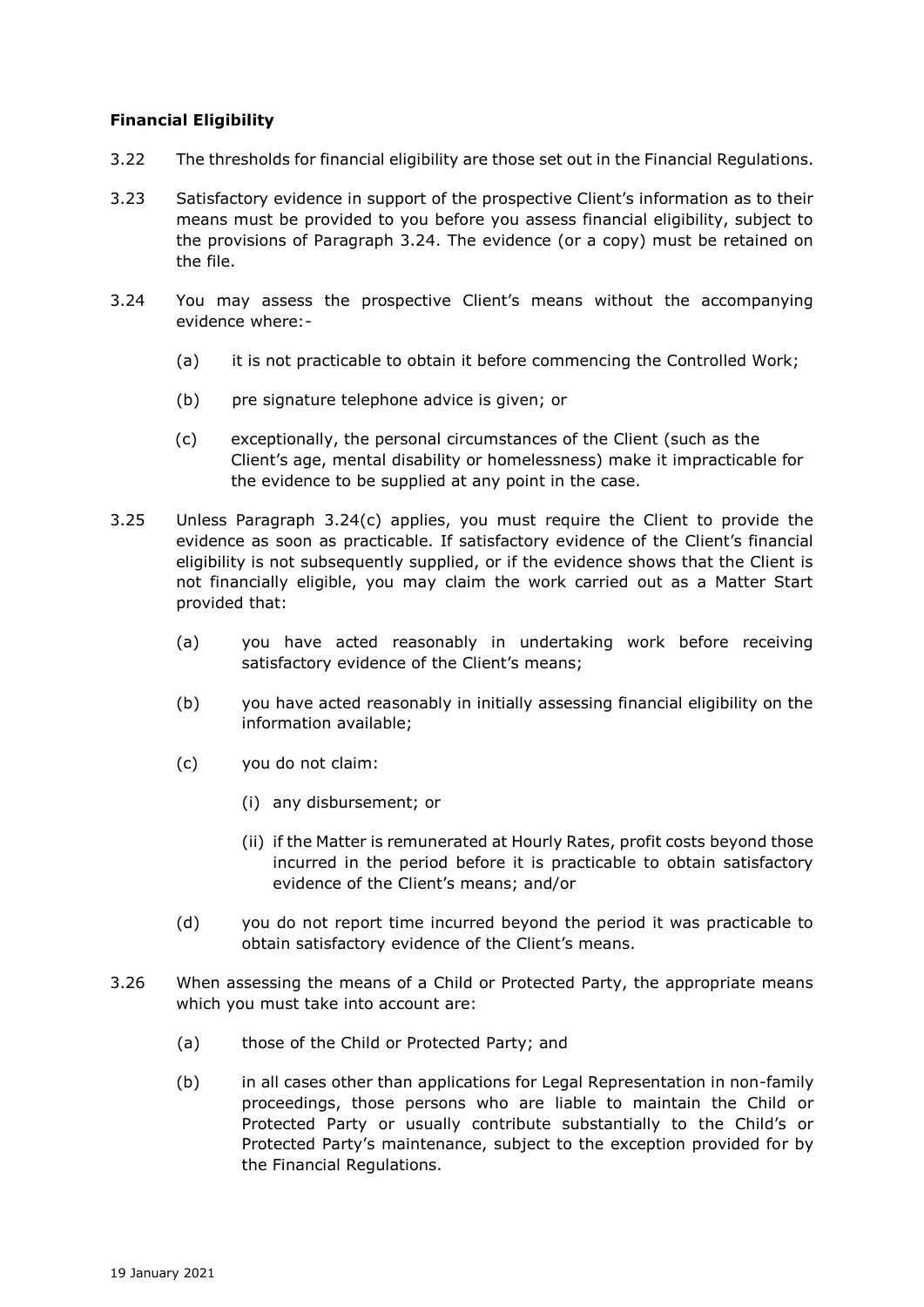## **Financial Eligibility**

- 3.22 The thresholds for financial eligibility are those set out in the Financial Regulations.
- 3.23 Satisfactory evidence in support of the prospective Client's information as to their means must be provided to you before you assess financial eligibility, subject to the provisions of Paragraph 3.24. The evidence (or a copy) must be retained on the file.
- 3.24 You may assess the prospective Client's means without the accompanying evidence where:-
	- (a) it is not practicable to obtain it before commencing the Controlled Work;
	- (b) pre signature telephone advice is given; or
	- (c) exceptionally, the personal circumstances of the Client (such as the Client's age, mental disability or homelessness) make it impracticable for the evidence to be supplied at any point in the case.
- 3.25 Unless Paragraph 3.24(c) applies, you must require the Client to provide the evidence as soon as practicable. If satisfactory evidence of the Client's financial eligibility is not subsequently supplied, or if the evidence shows that the Client is not financially eligible, you may claim the work carried out as a Matter Start provided that:
	- (a) you have acted reasonably in undertaking work before receiving satisfactory evidence of the Client's means;
	- (b) you have acted reasonably in initially assessing financial eligibility on the information available;
	- (c) you do not claim:
		- (i) any disbursement; or
		- (ii) if the Matter is remunerated at Hourly Rates, profit costs beyond those incurred in the period before it is practicable to obtain satisfactory evidence of the Client's means; and/or
	- (d) you do not report time incurred beyond the period it was practicable to obtain satisfactory evidence of the Client's means.
- 3.26 When assessing the means of a Child or Protected Party, the appropriate means which you must take into account are:
	- (a) those of the Child or Protected Party; and
	- (b) in all cases other than applications for Legal Representation in non-family proceedings, those persons who are liable to maintain the Child or Protected Party or usually contribute substantially to the Child's or Protected Party's maintenance, subject to the exception provided for by the Financial Regulations.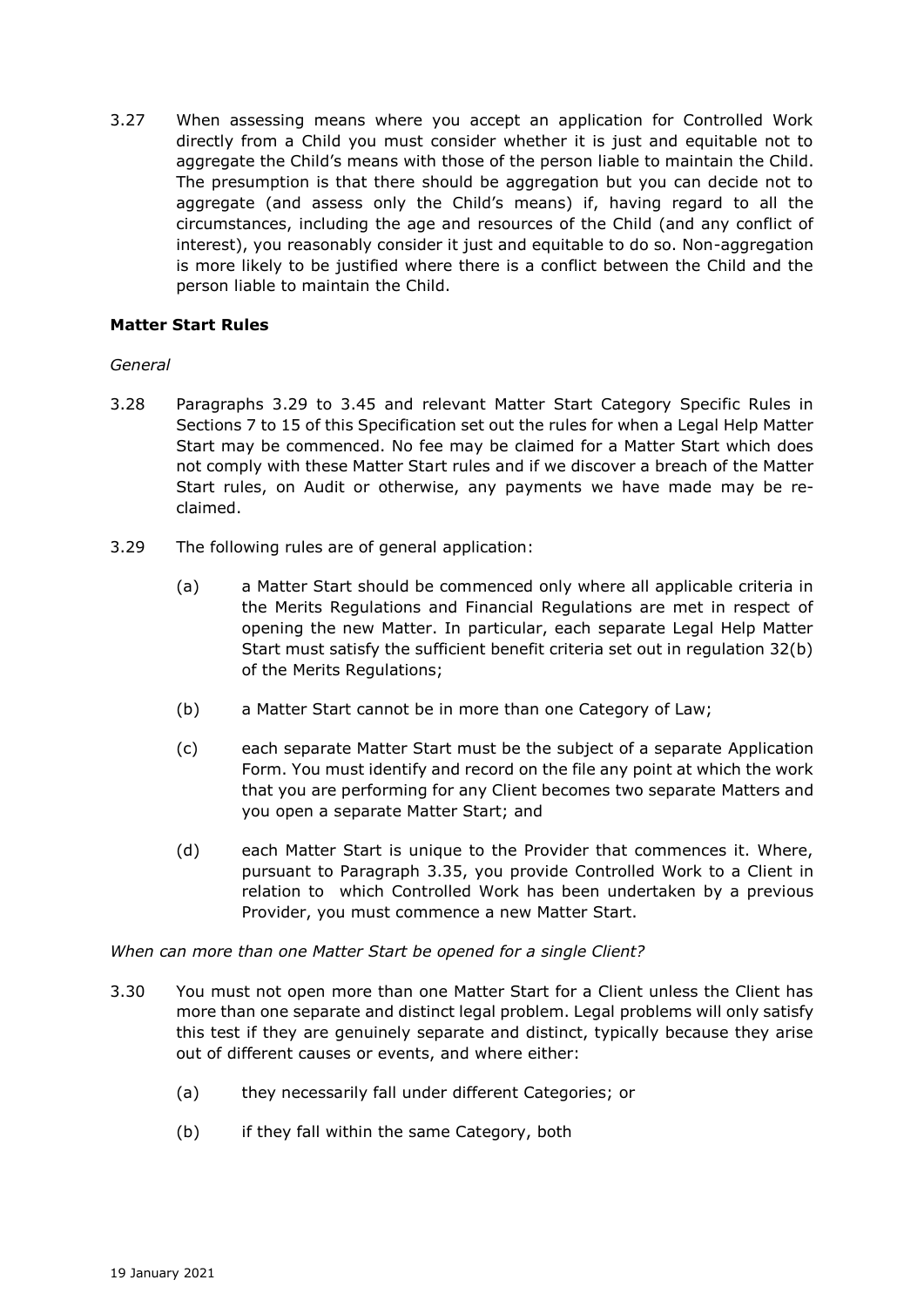3.27 When assessing means where you accept an application for Controlled Work directly from a Child you must consider whether it is just and equitable not to aggregate the Child's means with those of the person liable to maintain the Child. The presumption is that there should be aggregation but you can decide not to aggregate (and assess only the Child's means) if, having regard to all the circumstances, including the age and resources of the Child (and any conflict of interest), you reasonably consider it just and equitable to do so. Non-aggregation is more likely to be justified where there is a conflict between the Child and the person liable to maintain the Child.

# **Matter Start Rules**

### *General*

- 3.28 Paragraphs 3.29 to 3.45 and relevant Matter Start Category Specific Rules in Sections 7 to 15 of this Specification set out the rules for when a Legal Help Matter Start may be commenced. No fee may be claimed for a Matter Start which does not comply with these Matter Start rules and if we discover a breach of the Matter Start rules, on Audit or otherwise, any payments we have made may be reclaimed.
- 3.29 The following rules are of general application:
	- (a) a Matter Start should be commenced only where all applicable criteria in the Merits Regulations and Financial Regulations are met in respect of opening the new Matter. In particular, each separate Legal Help Matter Start must satisfy the sufficient benefit criteria set out in regulation 32(b) of the Merits Regulations;
	- (b) a Matter Start cannot be in more than one Category of Law;
	- (c) each separate Matter Start must be the subject of a separate Application Form. You must identify and record on the file any point at which the work that you are performing for any Client becomes two separate Matters and you open a separate Matter Start; and
	- (d) each Matter Start is unique to the Provider that commences it. Where, pursuant to Paragraph 3.35, you provide Controlled Work to a Client in relation to which Controlled Work has been undertaken by a previous Provider, you must commence a new Matter Start.

#### *When can more than one Matter Start be opened for a single Client?*

- 3.30 You must not open more than one Matter Start for a Client unless the Client has more than one separate and distinct legal problem. Legal problems will only satisfy this test if they are genuinely separate and distinct, typically because they arise out of different causes or events, and where either:
	- (a) they necessarily fall under different Categories; or
	- (b) if they fall within the same Category, both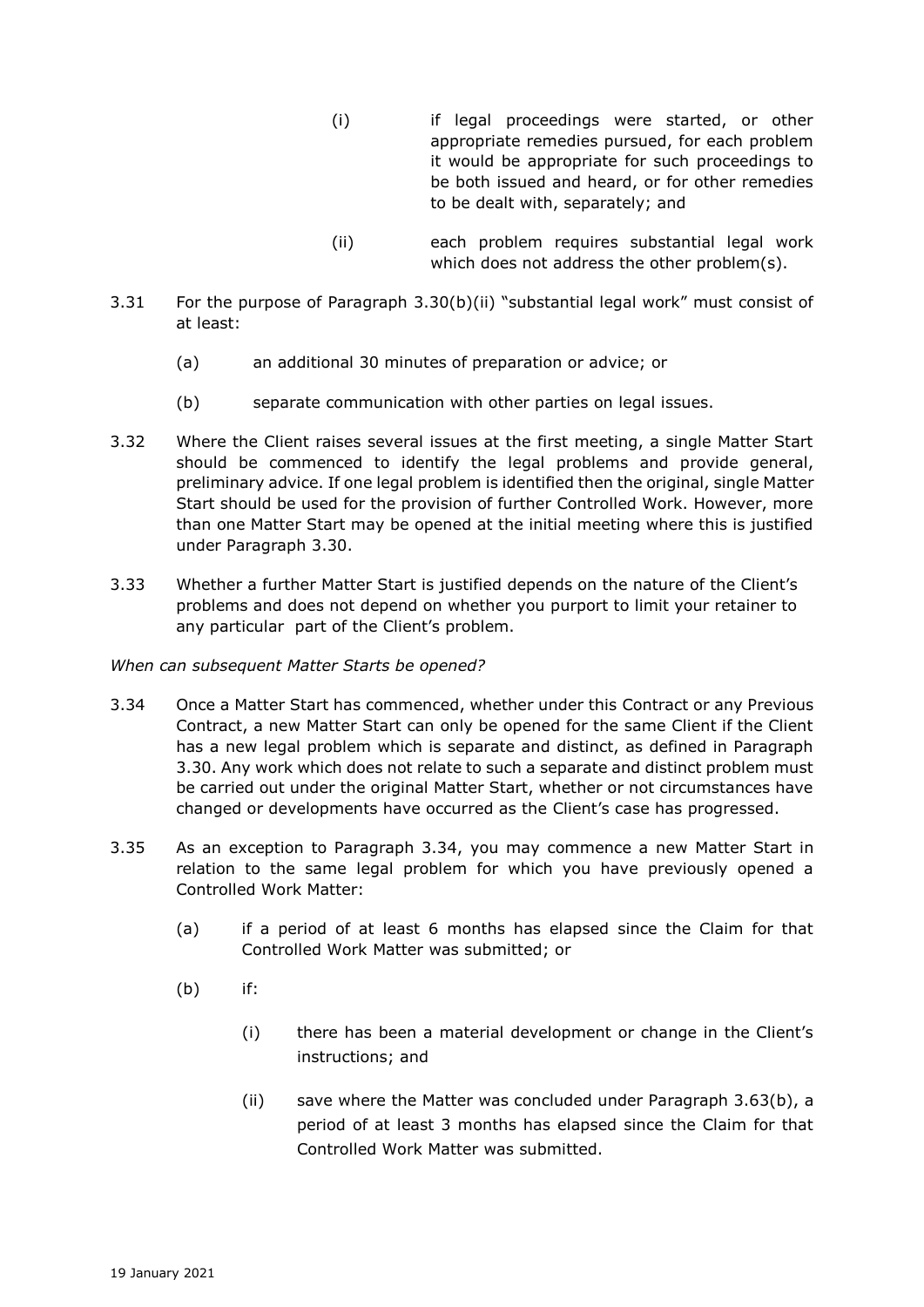- (i) if legal proceedings were started, or other appropriate remedies pursued, for each problem it would be appropriate for such proceedings to be both issued and heard, or for other remedies to be dealt with, separately; and
- (ii) each problem requires substantial legal work which does not address the other problem(s).
- 3.31 For the purpose of Paragraph 3.30(b)(ii) "substantial legal work" must consist of at least:
	- (a) an additional 30 minutes of preparation or advice; or
	- (b) separate communication with other parties on legal issues.
- 3.32 Where the Client raises several issues at the first meeting, a single Matter Start should be commenced to identify the legal problems and provide general, preliminary advice. If one legal problem is identified then the original, single Matter Start should be used for the provision of further Controlled Work. However, more than one Matter Start may be opened at the initial meeting where this is justified under Paragraph 3.30.
- 3.33 Whether a further Matter Start is justified depends on the nature of the Client's problems and does not depend on whether you purport to limit your retainer to any particular part of the Client's problem.

#### *When can subsequent Matter Starts be opened?*

- 3.34 Once a Matter Start has commenced, whether under this Contract or any Previous Contract, a new Matter Start can only be opened for the same Client if the Client has a new legal problem which is separate and distinct, as defined in Paragraph 3.30. Any work which does not relate to such a separate and distinct problem must be carried out under the original Matter Start, whether or not circumstances have changed or developments have occurred as the Client's case has progressed.
- 3.35 As an exception to Paragraph 3.34, you may commence a new Matter Start in relation to the same legal problem for which you have previously opened a Controlled Work Matter:
	- (a) if a period of at least 6 months has elapsed since the Claim for that Controlled Work Matter was submitted; or
	- (b) if:
		- (i) there has been a material development or change in the Client's instructions; and
		- (ii) save where the Matter was concluded under Paragraph 3.63(b), a period of at least 3 months has elapsed since the Claim for that Controlled Work Matter was submitted.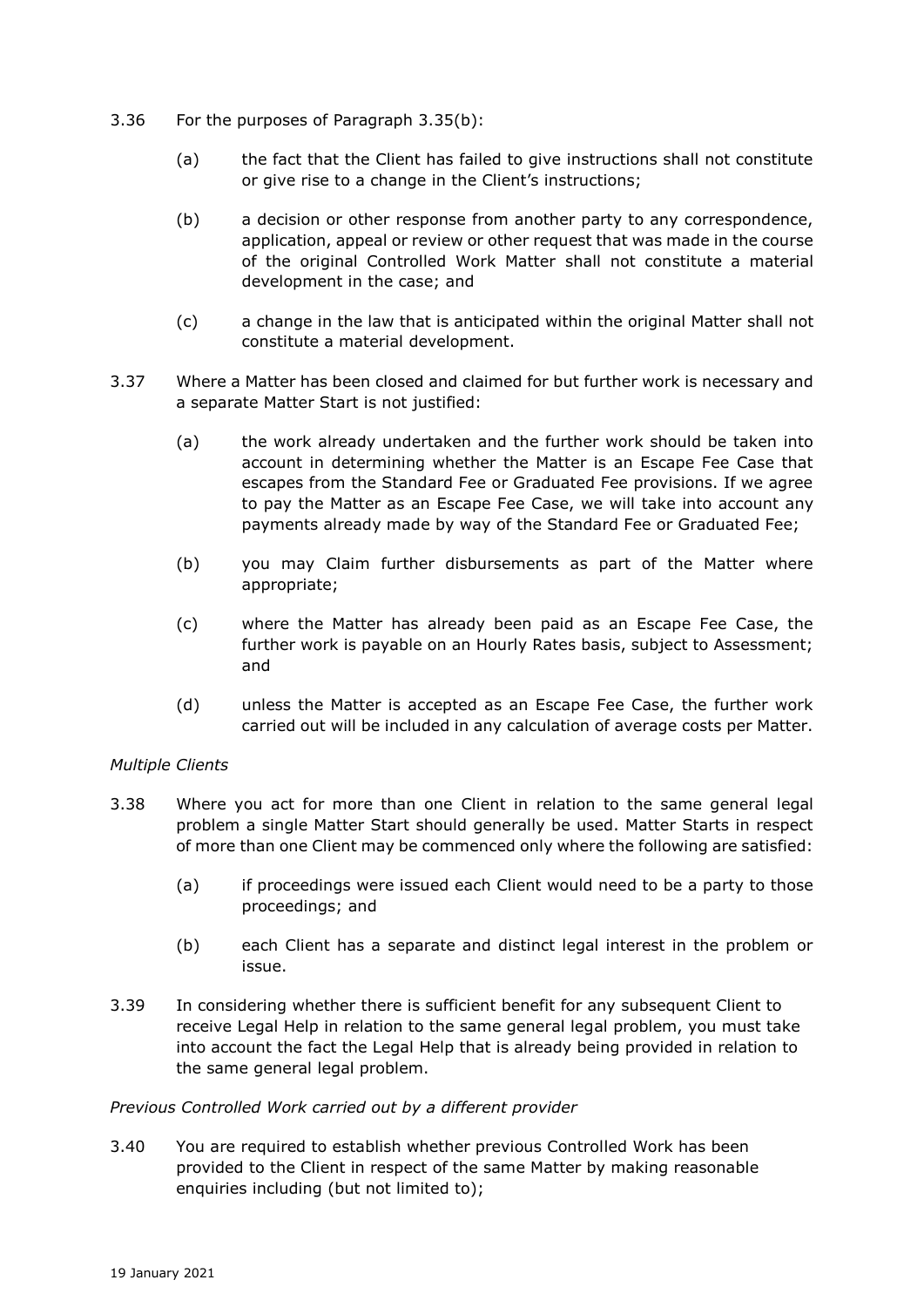- 3.36 For the purposes of Paragraph 3.35(b):
	- (a) the fact that the Client has failed to give instructions shall not constitute or give rise to a change in the Client's instructions;
	- (b) a decision or other response from another party to any correspondence, application, appeal or review or other request that was made in the course of the original Controlled Work Matter shall not constitute a material development in the case; and
	- (c) a change in the law that is anticipated within the original Matter shall not constitute a material development.
- 3.37 Where a Matter has been closed and claimed for but further work is necessary and a separate Matter Start is not justified:
	- (a) the work already undertaken and the further work should be taken into account in determining whether the Matter is an Escape Fee Case that escapes from the Standard Fee or Graduated Fee provisions. If we agree to pay the Matter as an Escape Fee Case, we will take into account any payments already made by way of the Standard Fee or Graduated Fee;
	- (b) you may Claim further disbursements as part of the Matter where appropriate;
	- (c) where the Matter has already been paid as an Escape Fee Case, the further work is payable on an Hourly Rates basis, subject to Assessment; and
	- (d) unless the Matter is accepted as an Escape Fee Case, the further work carried out will be included in any calculation of average costs per Matter.

# *Multiple Clients*

- 3.38 Where you act for more than one Client in relation to the same general legal problem a single Matter Start should generally be used. Matter Starts in respect of more than one Client may be commenced only where the following are satisfied:
	- (a) if proceedings were issued each Client would need to be a party to those proceedings; and
	- (b) each Client has a separate and distinct legal interest in the problem or issue.
- 3.39 In considering whether there is sufficient benefit for any subsequent Client to receive Legal Help in relation to the same general legal problem, you must take into account the fact the Legal Help that is already being provided in relation to the same general legal problem.

#### *Previous Controlled Work carried out by a different provider*

3.40 You are required to establish whether previous Controlled Work has been provided to the Client in respect of the same Matter by making reasonable enquiries including (but not limited to);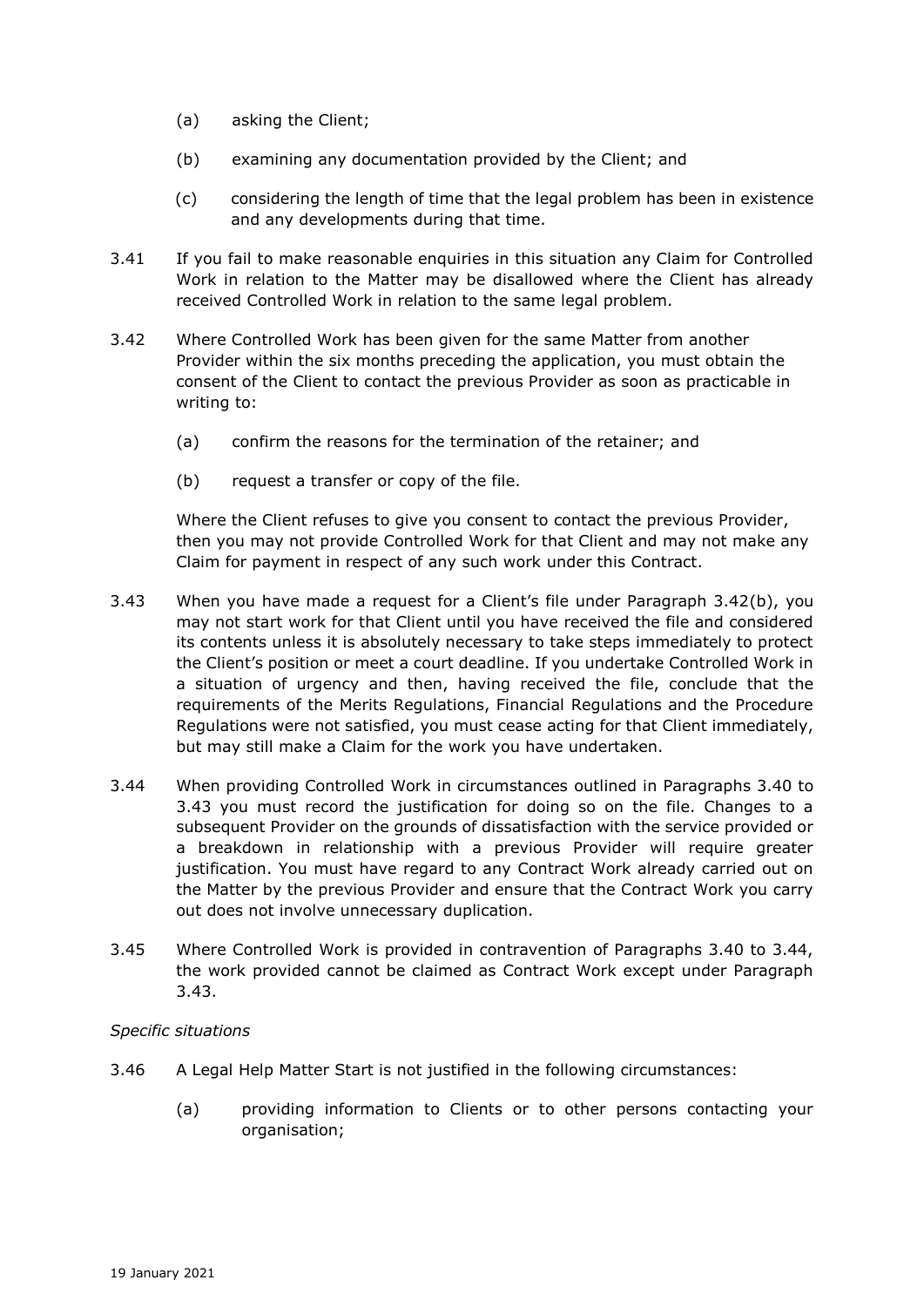- (a) asking the Client;
- (b) examining any documentation provided by the Client; and
- (c) considering the length of time that the legal problem has been in existence and any developments during that time.
- 3.41 If you fail to make reasonable enquiries in this situation any Claim for Controlled Work in relation to the Matter may be disallowed where the Client has already received Controlled Work in relation to the same legal problem.
- 3.42 Where Controlled Work has been given for the same Matter from another Provider within the six months preceding the application, you must obtain the consent of the Client to contact the previous Provider as soon as practicable in writing to:
	- (a) confirm the reasons for the termination of the retainer; and
	- (b) request a transfer or copy of the file.

Where the Client refuses to give you consent to contact the previous Provider, then you may not provide Controlled Work for that Client and may not make any Claim for payment in respect of any such work under this Contract.

- 3.43 When you have made a request for a Client's file under Paragraph 3.42(b), you may not start work for that Client until you have received the file and considered its contents unless it is absolutely necessary to take steps immediately to protect the Client's position or meet a court deadline. If you undertake Controlled Work in a situation of urgency and then, having received the file, conclude that the requirements of the Merits Regulations, Financial Regulations and the Procedure Regulations were not satisfied, you must cease acting for that Client immediately, but may still make a Claim for the work you have undertaken.
- 3.44 When providing Controlled Work in circumstances outlined in Paragraphs 3.40 to 3.43 you must record the justification for doing so on the file. Changes to a subsequent Provider on the grounds of dissatisfaction with the service provided or a breakdown in relationship with a previous Provider will require greater justification. You must have regard to any Contract Work already carried out on the Matter by the previous Provider and ensure that the Contract Work you carry out does not involve unnecessary duplication.
- 3.45 Where Controlled Work is provided in contravention of Paragraphs 3.40 to 3.44, the work provided cannot be claimed as Contract Work except under Paragraph 3.43.

# *Specific situations*

- 3.46 A Legal Help Matter Start is not justified in the following circumstances:
	- (a) providing information to Clients or to other persons contacting your organisation;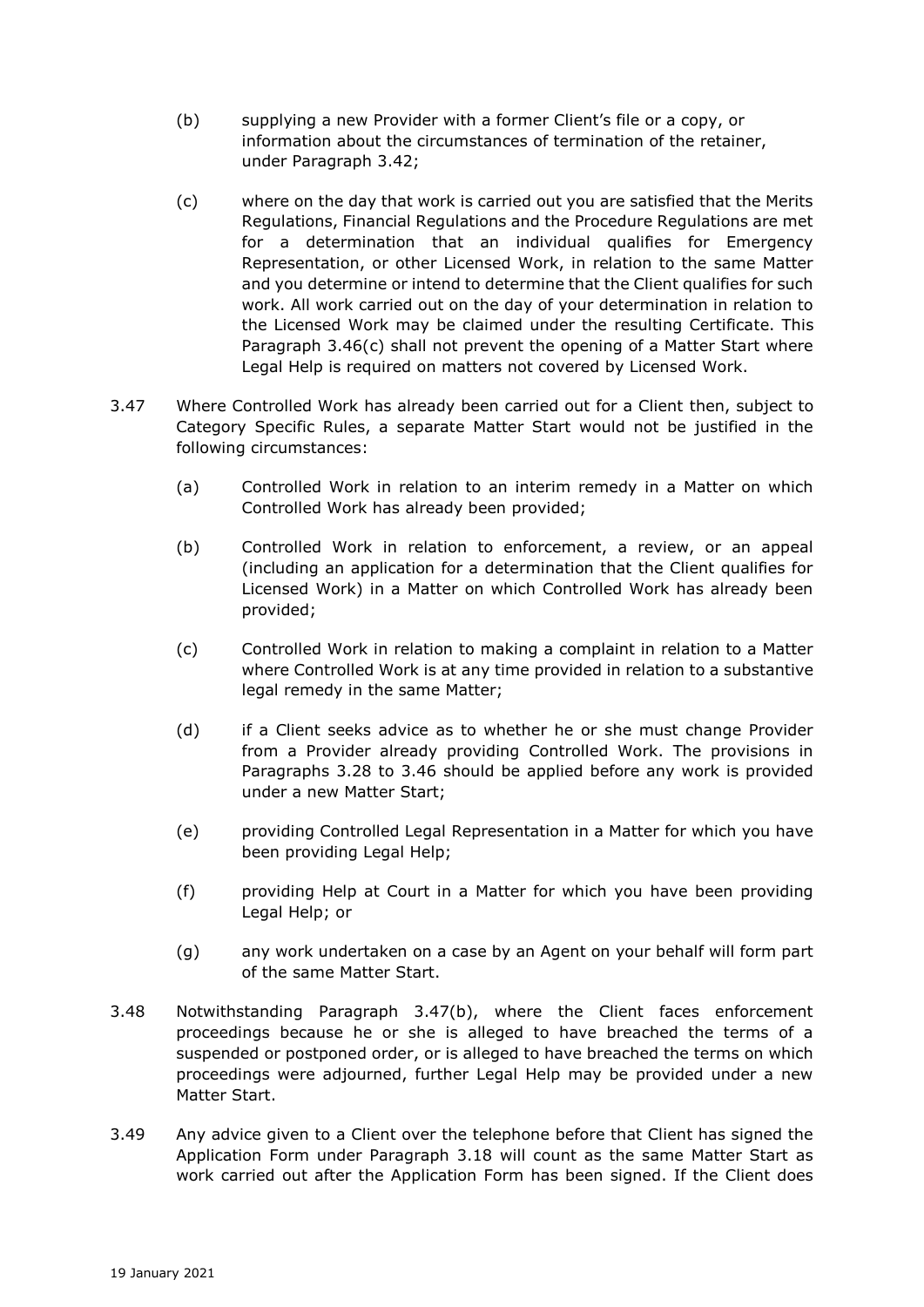- (b) supplying a new Provider with a former Client's file or a copy, or information about the circumstances of termination of the retainer, under Paragraph 3.42;
- (c) where on the day that work is carried out you are satisfied that the Merits Regulations, Financial Regulations and the Procedure Regulations are met for a determination that an individual qualifies for Emergency Representation, or other Licensed Work, in relation to the same Matter and you determine or intend to determine that the Client qualifies for such work. All work carried out on the day of your determination in relation to the Licensed Work may be claimed under the resulting Certificate. This Paragraph 3.46(c) shall not prevent the opening of a Matter Start where Legal Help is required on matters not covered by Licensed Work.
- 3.47 Where Controlled Work has already been carried out for a Client then, subject to Category Specific Rules, a separate Matter Start would not be justified in the following circumstances:
	- (a) Controlled Work in relation to an interim remedy in a Matter on which Controlled Work has already been provided;
	- (b) Controlled Work in relation to enforcement, a review, or an appeal (including an application for a determination that the Client qualifies for Licensed Work) in a Matter on which Controlled Work has already been provided;
	- (c) Controlled Work in relation to making a complaint in relation to a Matter where Controlled Work is at any time provided in relation to a substantive legal remedy in the same Matter;
	- (d) if a Client seeks advice as to whether he or she must change Provider from a Provider already providing Controlled Work. The provisions in Paragraphs 3.28 to 3.46 should be applied before any work is provided under a new Matter Start;
	- (e) providing Controlled Legal Representation in a Matter for which you have been providing Legal Help;
	- (f) providing Help at Court in a Matter for which you have been providing Legal Help; or
	- (g) any work undertaken on a case by an Agent on your behalf will form part of the same Matter Start.
- 3.48 Notwithstanding Paragraph 3.47(b), where the Client faces enforcement proceedings because he or she is alleged to have breached the terms of a suspended or postponed order, or is alleged to have breached the terms on which proceedings were adjourned, further Legal Help may be provided under a new Matter Start.
- 3.49 Any advice given to a Client over the telephone before that Client has signed the Application Form under Paragraph 3.18 will count as the same Matter Start as work carried out after the Application Form has been signed. If the Client does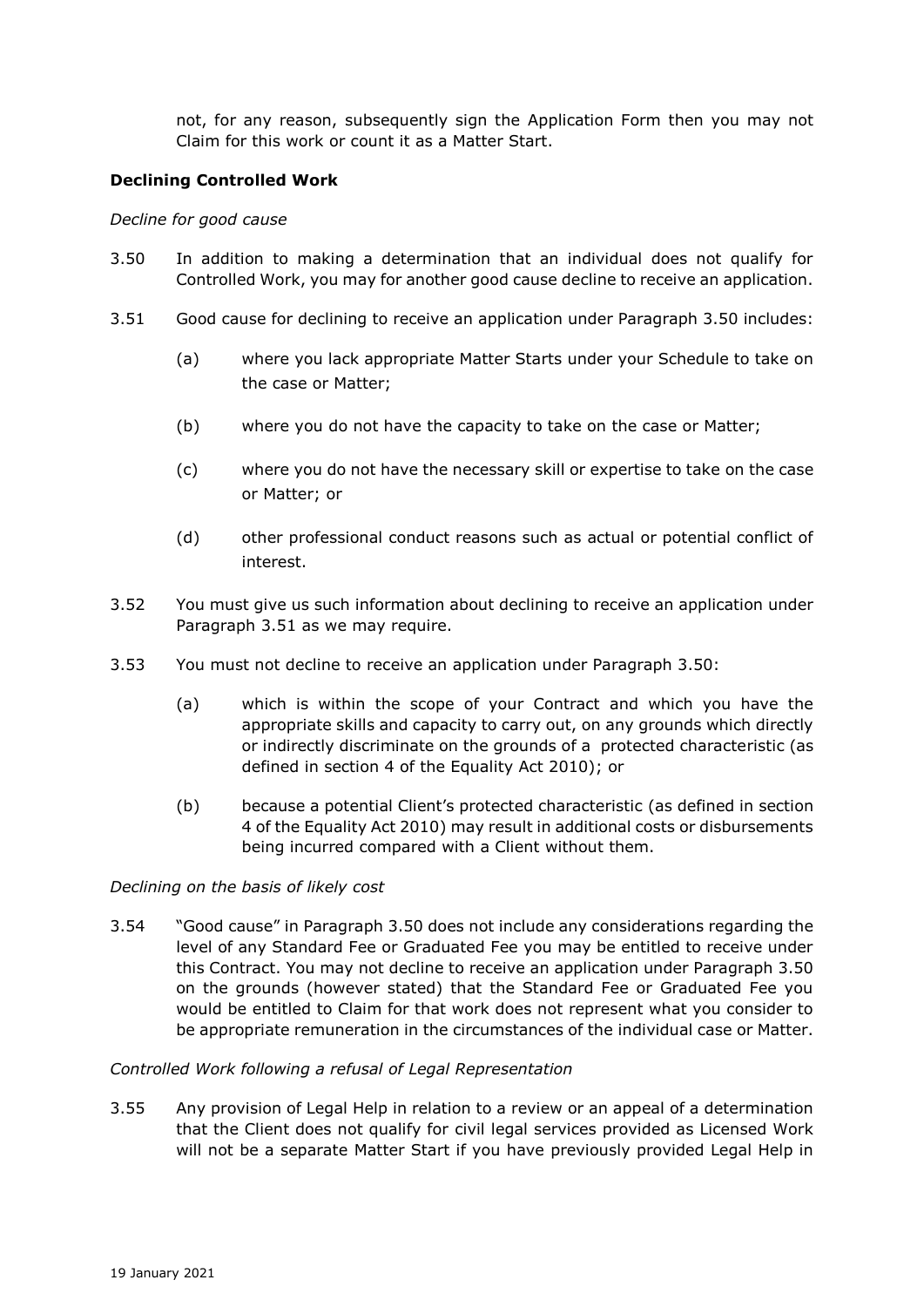not, for any reason, subsequently sign the Application Form then you may not Claim for this work or count it as a Matter Start.

## **Declining Controlled Work**

#### *Decline for good cause*

- 3.50 In addition to making a determination that an individual does not qualify for Controlled Work, you may for another good cause decline to receive an application.
- 3.51 Good cause for declining to receive an application under Paragraph 3.50 includes:
	- (a) where you lack appropriate Matter Starts under your Schedule to take on the case or Matter;
	- (b) where you do not have the capacity to take on the case or Matter;
	- (c) where you do not have the necessary skill or expertise to take on the case or Matter; or
	- (d) other professional conduct reasons such as actual or potential conflict of interest.
- 3.52 You must give us such information about declining to receive an application under Paragraph 3.51 as we may require.
- 3.53 You must not decline to receive an application under Paragraph 3.50:
	- (a) which is within the scope of your Contract and which you have the appropriate skills and capacity to carry out, on any grounds which directly or indirectly discriminate on the grounds of a protected characteristic (as defined in section 4 of the Equality Act 2010); or
	- (b) because a potential Client's protected characteristic (as defined in section 4 of the Equality Act 2010) may result in additional costs or disbursements being incurred compared with a Client without them.

#### *Declining on the basis of likely cost*

3.54 "Good cause" in Paragraph 3.50 does not include any considerations regarding the level of any Standard Fee or Graduated Fee you may be entitled to receive under this Contract. You may not decline to receive an application under Paragraph 3.50 on the grounds (however stated) that the Standard Fee or Graduated Fee you would be entitled to Claim for that work does not represent what you consider to be appropriate remuneration in the circumstances of the individual case or Matter.

#### *Controlled Work following a refusal of Legal Representation*

3.55 Any provision of Legal Help in relation to a review or an appeal of a determination that the Client does not qualify for civil legal services provided as Licensed Work will not be a separate Matter Start if you have previously provided Legal Help in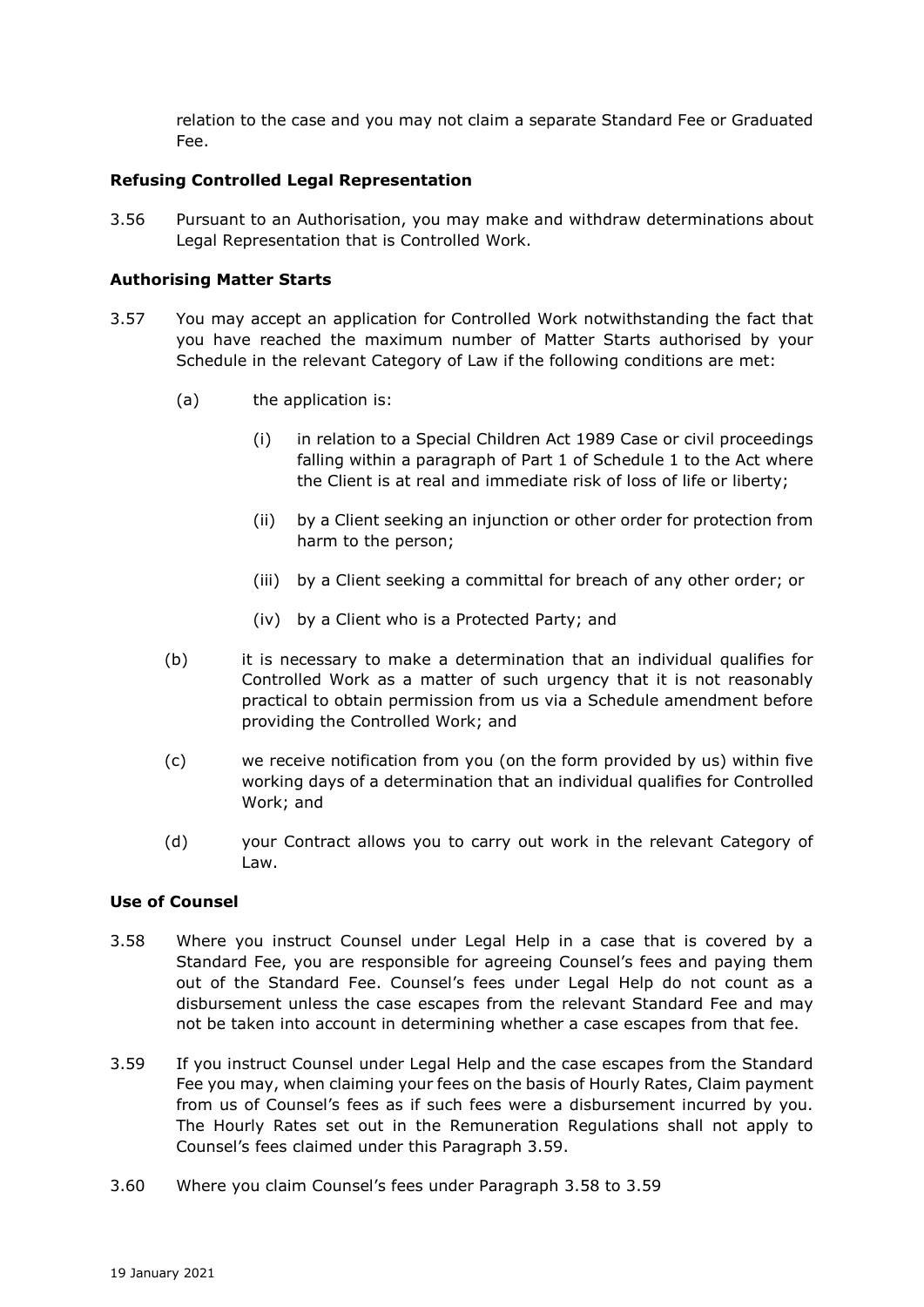relation to the case and you may not claim a separate Standard Fee or Graduated Fee.

## **Refusing Controlled Legal Representation**

3.56 Pursuant to an Authorisation, you may make and withdraw determinations about Legal Representation that is Controlled Work.

#### **Authorising Matter Starts**

- 3.57 You may accept an application for Controlled Work notwithstanding the fact that you have reached the maximum number of Matter Starts authorised by your Schedule in the relevant Category of Law if the following conditions are met:
	- (a) the application is:
		- (i) in relation to a Special Children Act 1989 Case or civil proceedings falling within a paragraph of Part 1 of Schedule 1 to the Act where the Client is at real and immediate risk of loss of life or liberty;
		- (ii) by a Client seeking an injunction or other order for protection from harm to the person;
		- (iii) by a Client seeking a committal for breach of any other order; or
		- (iv) by a Client who is a Protected Party; and
	- (b) it is necessary to make a determination that an individual qualifies for Controlled Work as a matter of such urgency that it is not reasonably practical to obtain permission from us via a Schedule amendment before providing the Controlled Work; and
	- (c) we receive notification from you (on the form provided by us) within five working days of a determination that an individual qualifies for Controlled Work; and
	- (d) your Contract allows you to carry out work in the relevant Category of Law.

#### **Use of Counsel**

- 3.58 Where you instruct Counsel under Legal Help in a case that is covered by a Standard Fee, you are responsible for agreeing Counsel's fees and paying them out of the Standard Fee. Counsel's fees under Legal Help do not count as a disbursement unless the case escapes from the relevant Standard Fee and may not be taken into account in determining whether a case escapes from that fee.
- 3.59 If you instruct Counsel under Legal Help and the case escapes from the Standard Fee you may, when claiming your fees on the basis of Hourly Rates, Claim payment from us of Counsel's fees as if such fees were a disbursement incurred by you. The Hourly Rates set out in the Remuneration Regulations shall not apply to Counsel's fees claimed under this Paragraph 3.59.
- 3.60 Where you claim Counsel's fees under Paragraph 3.58 to 3.59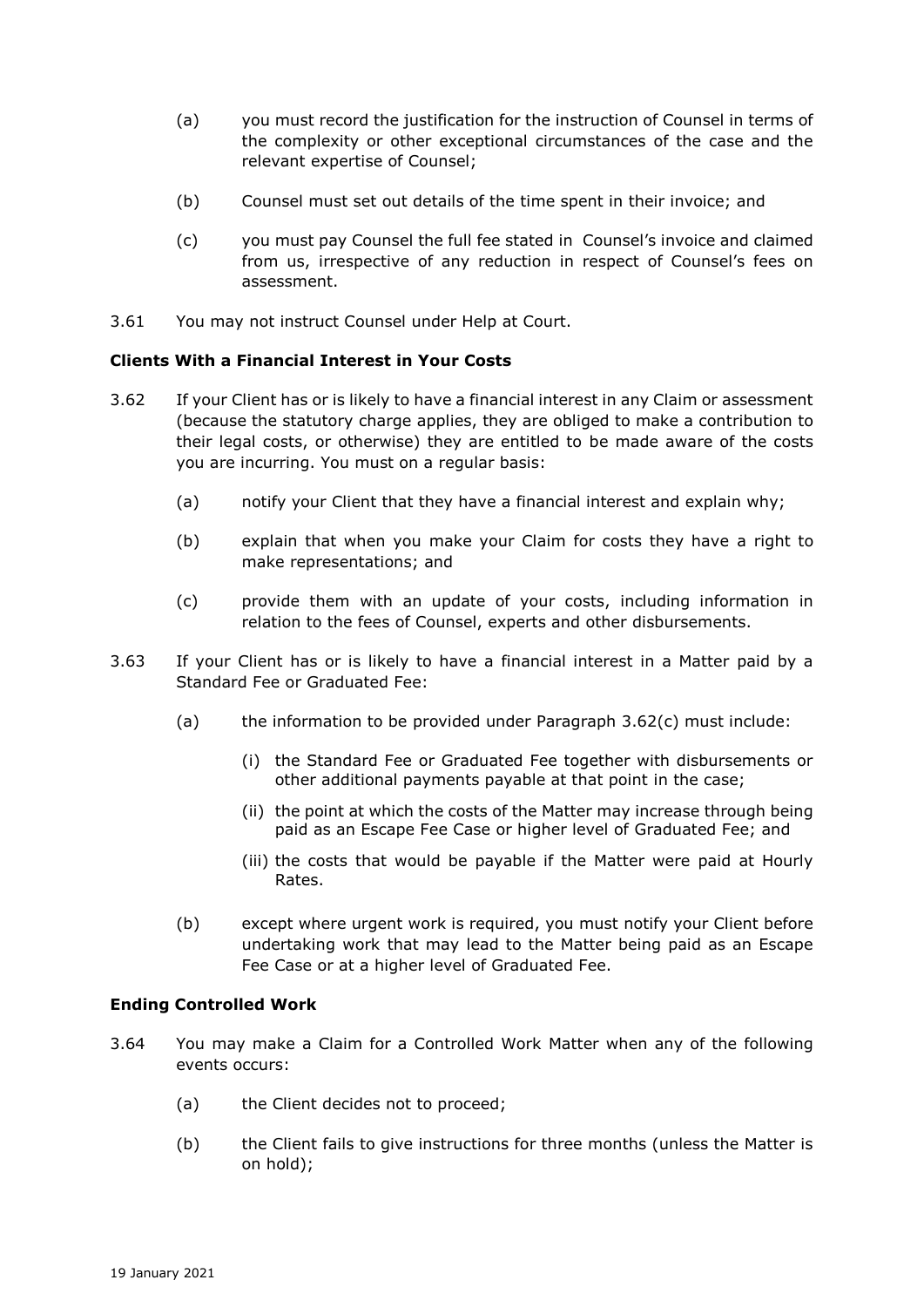- (a) you must record the justification for the instruction of Counsel in terms of the complexity or other exceptional circumstances of the case and the relevant expertise of Counsel;
- (b) Counsel must set out details of the time spent in their invoice; and
- (c) you must pay Counsel the full fee stated in Counsel's invoice and claimed from us, irrespective of any reduction in respect of Counsel's fees on assessment.
- 3.61 You may not instruct Counsel under Help at Court.

### **Clients With a Financial Interest in Your Costs**

- 3.62 If your Client has or is likely to have a financial interest in any Claim or assessment (because the statutory charge applies, they are obliged to make a contribution to their legal costs, or otherwise) they are entitled to be made aware of the costs you are incurring. You must on a regular basis:
	- (a) notify your Client that they have a financial interest and explain why;
	- (b) explain that when you make your Claim for costs they have a right to make representations; and
	- (c) provide them with an update of your costs, including information in relation to the fees of Counsel, experts and other disbursements.
- 3.63 If your Client has or is likely to have a financial interest in a Matter paid by a Standard Fee or Graduated Fee:
	- (a) the information to be provided under Paragraph 3.62(c) must include:
		- (i) the Standard Fee or Graduated Fee together with disbursements or other additional payments payable at that point in the case;
		- (ii) the point at which the costs of the Matter may increase through being paid as an Escape Fee Case or higher level of Graduated Fee; and
		- (iii) the costs that would be payable if the Matter were paid at Hourly Rates.
	- (b) except where urgent work is required, you must notify your Client before undertaking work that may lead to the Matter being paid as an Escape Fee Case or at a higher level of Graduated Fee.

#### **Ending Controlled Work**

- 3.64 You may make a Claim for a Controlled Work Matter when any of the following events occurs:
	- (a) the Client decides not to proceed;
	- (b) the Client fails to give instructions for three months (unless the Matter is on hold);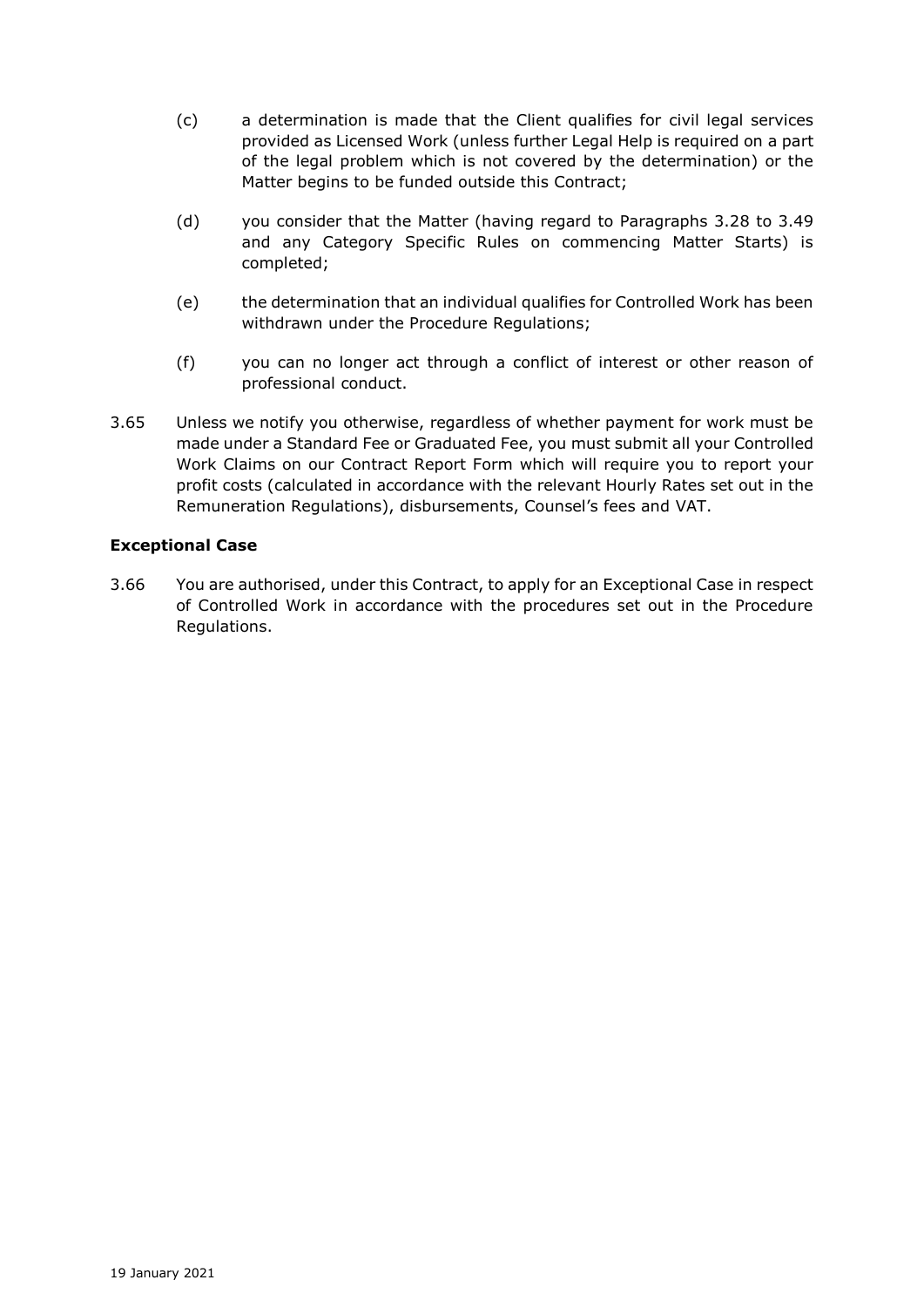- (c) a determination is made that the Client qualifies for civil legal services provided as Licensed Work (unless further Legal Help is required on a part of the legal problem which is not covered by the determination) or the Matter begins to be funded outside this Contract;
- (d) you consider that the Matter (having regard to Paragraphs 3.28 to 3.49 and any Category Specific Rules on commencing Matter Starts) is completed;
- (e) the determination that an individual qualifies for Controlled Work has been withdrawn under the Procedure Regulations;
- (f) you can no longer act through a conflict of interest or other reason of professional conduct.
- 3.65 Unless we notify you otherwise, regardless of whether payment for work must be made under a Standard Fee or Graduated Fee, you must submit all your Controlled Work Claims on our Contract Report Form which will require you to report your profit costs (calculated in accordance with the relevant Hourly Rates set out in the Remuneration Regulations), disbursements, Counsel's fees and VAT.

# **Exceptional Case**

3.66 You are authorised, under this Contract, to apply for an Exceptional Case in respect of Controlled Work in accordance with the procedures set out in the Procedure Regulations.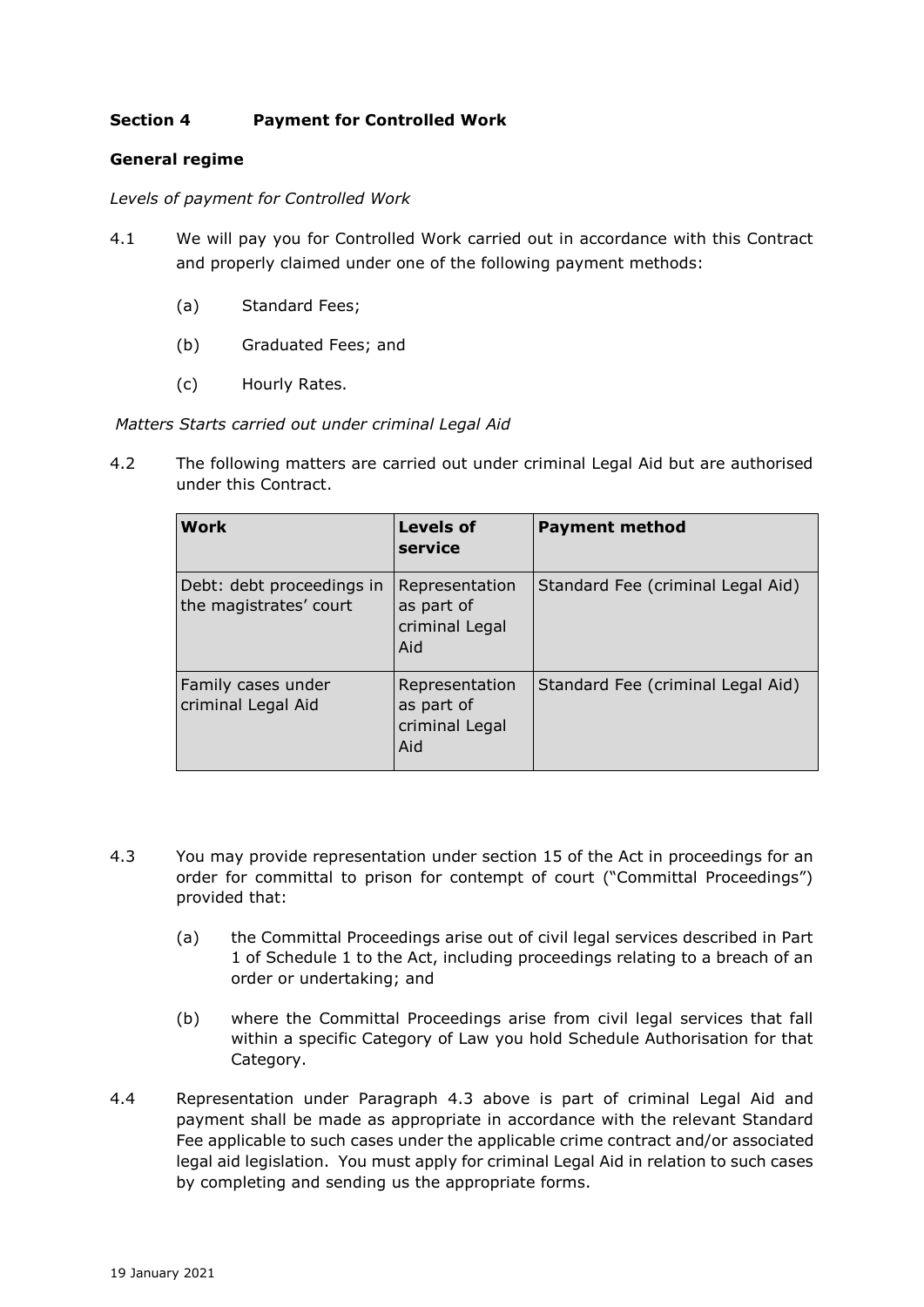# **Section 4 Payment for Controlled Work**

## **General regime**

*Levels of payment for Controlled Work*

- 4.1 We will pay you for Controlled Work carried out in accordance with this Contract and properly claimed under one of the following payment methods:
	- (a) Standard Fees;
	- (b) Graduated Fees; and
	- (c) Hourly Rates.

### *Matters Starts carried out under criminal Legal Aid*

4.2 The following matters are carried out under criminal Legal Aid but are authorised under this Contract.

| <b>Work</b>                                         | <b>Levels of</b><br>service                           | <b>Payment method</b>             |
|-----------------------------------------------------|-------------------------------------------------------|-----------------------------------|
| Debt: debt proceedings in<br>the magistrates' court | Representation<br>as part of<br>criminal Legal<br>Aid | Standard Fee (criminal Legal Aid) |
| Family cases under<br>criminal Legal Aid            | Representation<br>as part of<br>criminal Legal<br>Aid | Standard Fee (criminal Legal Aid) |

- 4.3 You may provide representation under section 15 of the Act in proceedings for an order for committal to prison for contempt of court ("Committal Proceedings") provided that:
	- (a) the Committal Proceedings arise out of civil legal services described in Part 1 of Schedule 1 to the Act, including proceedings relating to a breach of an order or undertaking; and
	- (b) where the Committal Proceedings arise from civil legal services that fall within a specific Category of Law you hold Schedule Authorisation for that Category.
- 4.4 Representation under Paragraph 4.3 above is part of criminal Legal Aid and payment shall be made as appropriate in accordance with the relevant Standard Fee applicable to such cases under the applicable crime contract and/or associated legal aid legislation. You must apply for criminal Legal Aid in relation to such cases by completing and sending us the appropriate forms.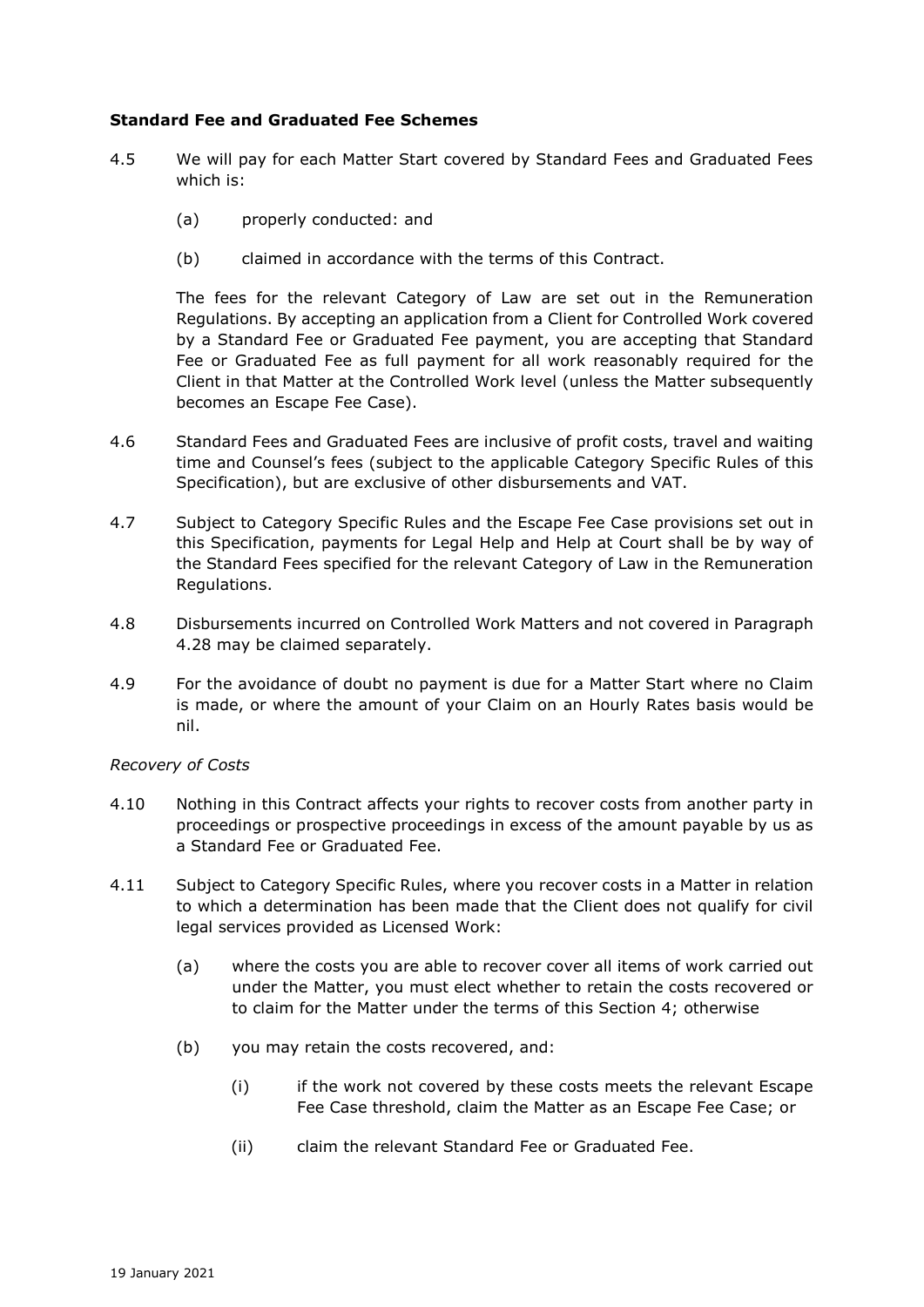### **Standard Fee and Graduated Fee Schemes**

- 4.5 We will pay for each Matter Start covered by Standard Fees and Graduated Fees which is:
	- (a) properly conducted: and
	- (b) claimed in accordance with the terms of this Contract.

The fees for the relevant Category of Law are set out in the Remuneration Regulations. By accepting an application from a Client for Controlled Work covered by a Standard Fee or Graduated Fee payment, you are accepting that Standard Fee or Graduated Fee as full payment for all work reasonably required for the Client in that Matter at the Controlled Work level (unless the Matter subsequently becomes an Escape Fee Case).

- 4.6 Standard Fees and Graduated Fees are inclusive of profit costs, travel and waiting time and Counsel's fees (subject to the applicable Category Specific Rules of this Specification), but are exclusive of other disbursements and VAT.
- 4.7 Subject to Category Specific Rules and the Escape Fee Case provisions set out in this Specification, payments for Legal Help and Help at Court shall be by way of the Standard Fees specified for the relevant Category of Law in the Remuneration Regulations.
- 4.8 Disbursements incurred on Controlled Work Matters and not covered in Paragraph 4.28 may be claimed separately.
- 4.9 For the avoidance of doubt no payment is due for a Matter Start where no Claim is made, or where the amount of your Claim on an Hourly Rates basis would be nil.

#### *Recovery of Costs*

- 4.10 Nothing in this Contract affects your rights to recover costs from another party in proceedings or prospective proceedings in excess of the amount payable by us as a Standard Fee or Graduated Fee.
- 4.11 Subject to Category Specific Rules, where you recover costs in a Matter in relation to which a determination has been made that the Client does not qualify for civil legal services provided as Licensed Work:
	- (a) where the costs you are able to recover cover all items of work carried out under the Matter, you must elect whether to retain the costs recovered or to claim for the Matter under the terms of this Section 4; otherwise
	- (b) you may retain the costs recovered, and:
		- (i) if the work not covered by these costs meets the relevant Escape Fee Case threshold, claim the Matter as an Escape Fee Case; or
		- (ii) claim the relevant Standard Fee or Graduated Fee.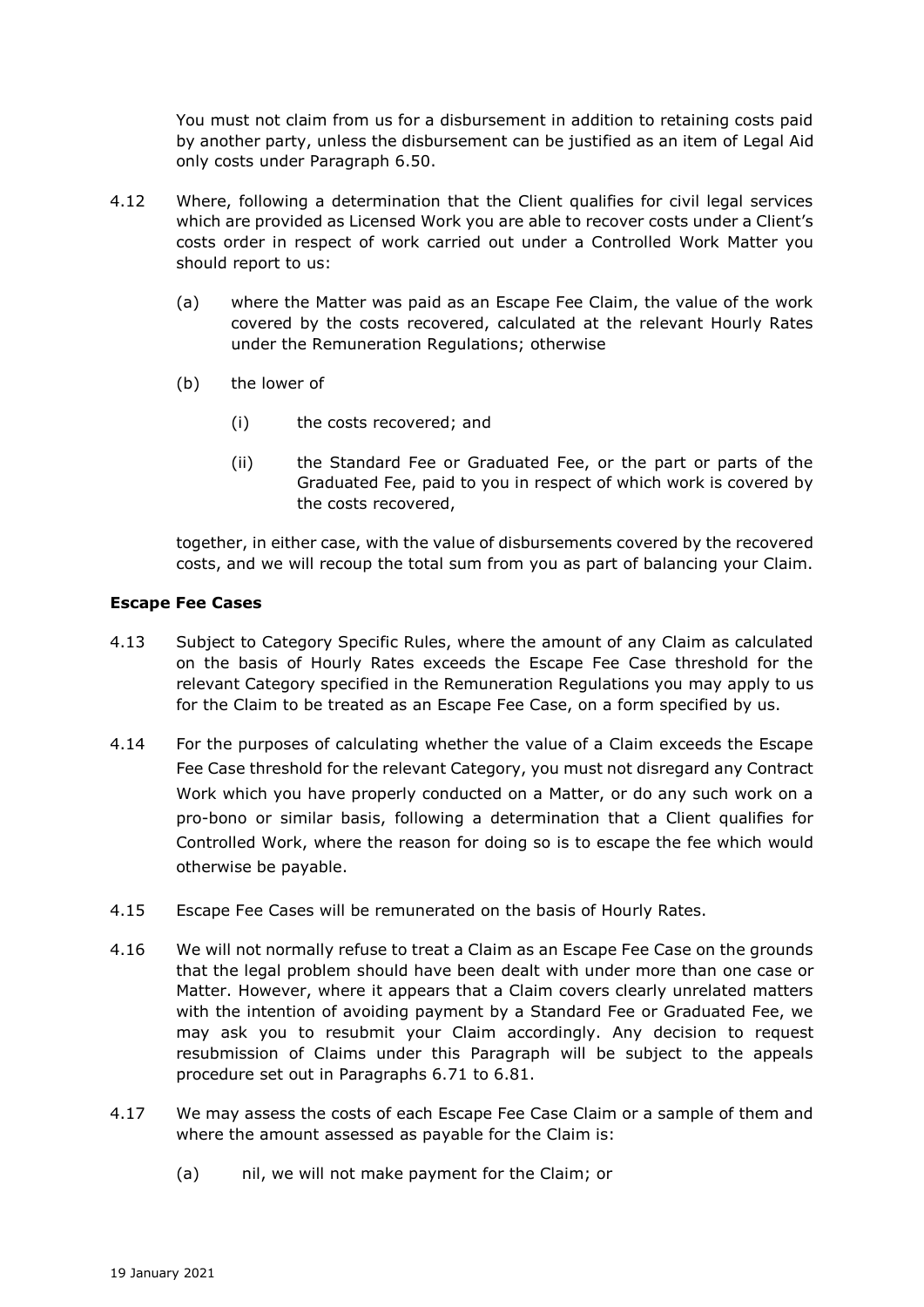You must not claim from us for a disbursement in addition to retaining costs paid by another party, unless the disbursement can be justified as an item of Legal Aid only costs under Paragraph 6.50.

- 4.12 Where, following a determination that the Client qualifies for civil legal services which are provided as Licensed Work you are able to recover costs under a Client's costs order in respect of work carried out under a Controlled Work Matter you should report to us:
	- (a) where the Matter was paid as an Escape Fee Claim, the value of the work covered by the costs recovered, calculated at the relevant Hourly Rates under the Remuneration Regulations; otherwise
	- (b) the lower of
		- (i) the costs recovered; and
		- (ii) the Standard Fee or Graduated Fee, or the part or parts of the Graduated Fee, paid to you in respect of which work is covered by the costs recovered,

together, in either case, with the value of disbursements covered by the recovered costs, and we will recoup the total sum from you as part of balancing your Claim.

# **Escape Fee Cases**

- 4.13 Subject to Category Specific Rules, where the amount of any Claim as calculated on the basis of Hourly Rates exceeds the Escape Fee Case threshold for the relevant Category specified in the Remuneration Regulations you may apply to us for the Claim to be treated as an Escape Fee Case, on a form specified by us.
- 4.14 For the purposes of calculating whether the value of a Claim exceeds the Escape Fee Case threshold for the relevant Category, you must not disregard any Contract Work which you have properly conducted on a Matter, or do any such work on a pro-bono or similar basis, following a determination that a Client qualifies for Controlled Work, where the reason for doing so is to escape the fee which would otherwise be payable.
- 4.15 Escape Fee Cases will be remunerated on the basis of Hourly Rates.
- 4.16 We will not normally refuse to treat a Claim as an Escape Fee Case on the grounds that the legal problem should have been dealt with under more than one case or Matter. However, where it appears that a Claim covers clearly unrelated matters with the intention of avoiding payment by a Standard Fee or Graduated Fee, we may ask you to resubmit your Claim accordingly. Any decision to request resubmission of Claims under this Paragraph will be subject to the appeals procedure set out in Paragraphs 6.71 to 6.81.
- 4.17 We may assess the costs of each Escape Fee Case Claim or a sample of them and where the amount assessed as payable for the Claim is:
	- (a) nil, we will not make payment for the Claim; or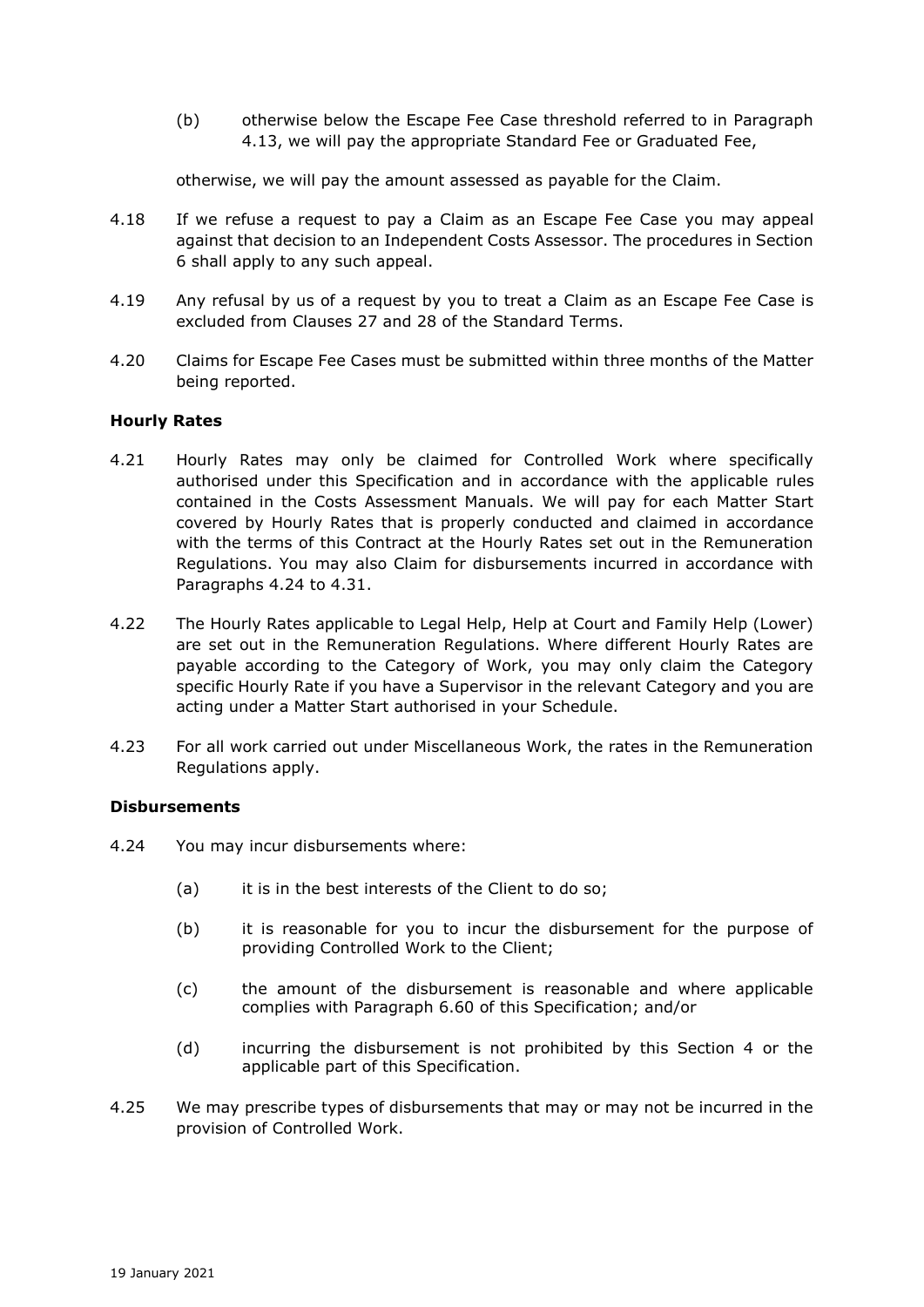(b) otherwise below the Escape Fee Case threshold referred to in Paragraph 4.13, we will pay the appropriate Standard Fee or Graduated Fee,

otherwise, we will pay the amount assessed as payable for the Claim.

- 4.18 If we refuse a request to pay a Claim as an Escape Fee Case you may appeal against that decision to an Independent Costs Assessor. The procedures in Section 6 shall apply to any such appeal.
- 4.19 Any refusal by us of a request by you to treat a Claim as an Escape Fee Case is excluded from Clauses 27 and 28 of the Standard Terms.
- 4.20 Claims for Escape Fee Cases must be submitted within three months of the Matter being reported.

# **Hourly Rates**

- 4.21 Hourly Rates may only be claimed for Controlled Work where specifically authorised under this Specification and in accordance with the applicable rules contained in the Costs Assessment Manuals. We will pay for each Matter Start covered by Hourly Rates that is properly conducted and claimed in accordance with the terms of this Contract at the Hourly Rates set out in the Remuneration Regulations. You may also Claim for disbursements incurred in accordance with Paragraphs 4.24 to 4.31.
- 4.22 The Hourly Rates applicable to Legal Help, Help at Court and Family Help (Lower) are set out in the Remuneration Regulations. Where different Hourly Rates are payable according to the Category of Work, you may only claim the Category specific Hourly Rate if you have a Supervisor in the relevant Category and you are acting under a Matter Start authorised in your Schedule.
- 4.23 For all work carried out under Miscellaneous Work, the rates in the Remuneration Regulations apply.

#### **Disbursements**

- 4.24 You may incur disbursements where:
	- (a) it is in the best interests of the Client to do so;
	- (b) it is reasonable for you to incur the disbursement for the purpose of providing Controlled Work to the Client;
	- (c) the amount of the disbursement is reasonable and where applicable complies with Paragraph 6.60 of this Specification; and/or
	- (d) incurring the disbursement is not prohibited by this Section 4 or the applicable part of this Specification.
- 4.25 We may prescribe types of disbursements that may or may not be incurred in the provision of Controlled Work.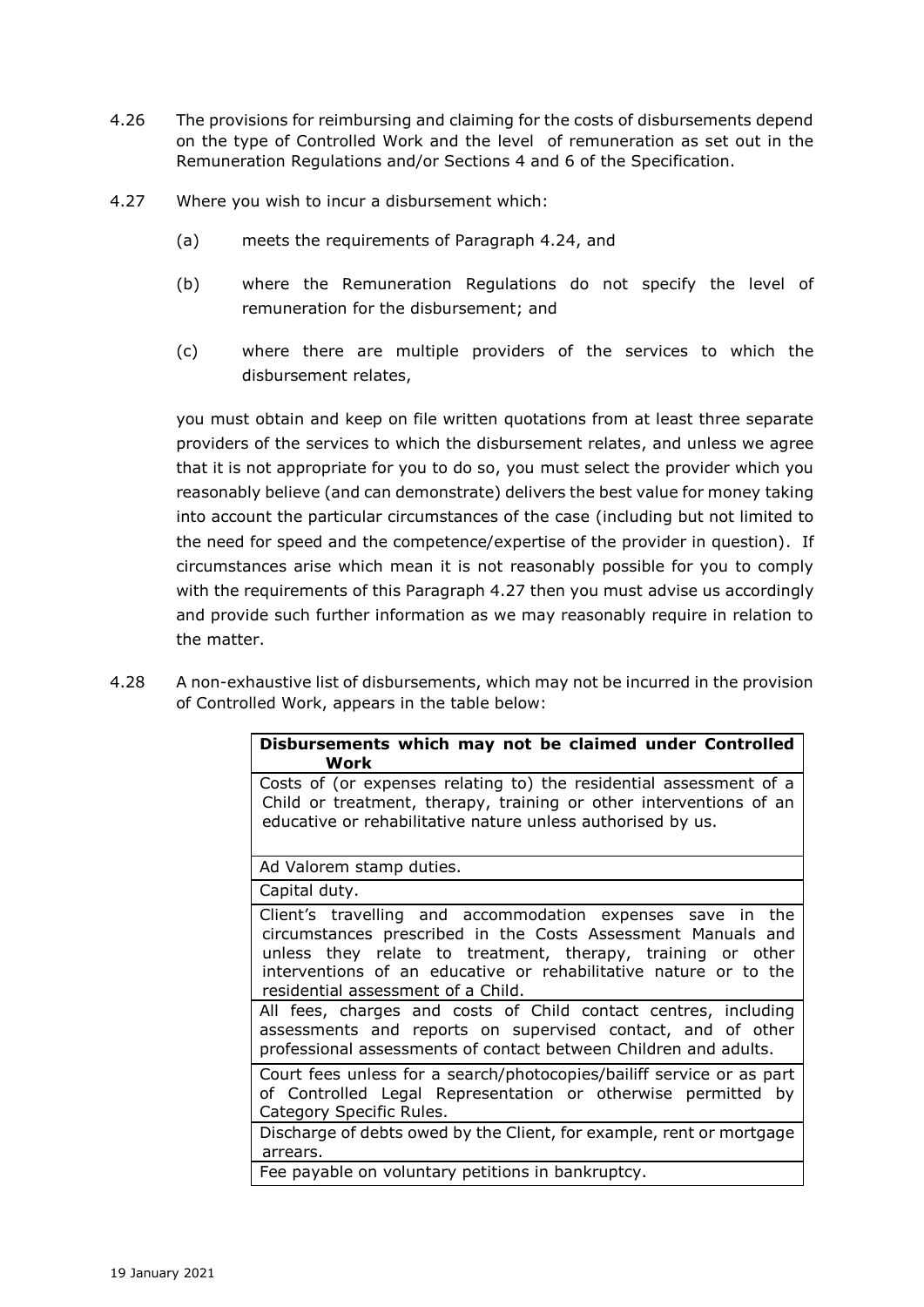- 4.26 The provisions for reimbursing and claiming for the costs of disbursements depend on the type of Controlled Work and the level of remuneration as set out in the Remuneration Regulations and/or Sections 4 and 6 of the Specification.
- 4.27 Where you wish to incur a disbursement which:
	- (a) meets the requirements of Paragraph 4.24, and
	- (b) where the Remuneration Regulations do not specify the level of remuneration for the disbursement; and
	- (c) where there are multiple providers of the services to which the disbursement relates,

you must obtain and keep on file written quotations from at least three separate providers of the services to which the disbursement relates, and unless we agree that it is not appropriate for you to do so, you must select the provider which you reasonably believe (and can demonstrate) delivers the best value for money taking into account the particular circumstances of the case (including but not limited to the need for speed and the competence/expertise of the provider in question). If circumstances arise which mean it is not reasonably possible for you to comply with the requirements of this Paragraph 4.27 then you must advise us accordingly and provide such further information as we may reasonably require in relation to the matter.

4.28 A non-exhaustive list of disbursements, which may not be incurred in the provision of Controlled Work, appears in the table below:

| Disbursements which may not be claimed under Controlled<br>Work                                                                                                                                                                                                                                     |
|-----------------------------------------------------------------------------------------------------------------------------------------------------------------------------------------------------------------------------------------------------------------------------------------------------|
| Costs of (or expenses relating to) the residential assessment of a<br>Child or treatment, therapy, training or other interventions of an<br>educative or rehabilitative nature unless authorised by us.                                                                                             |
| Ad Valorem stamp duties.                                                                                                                                                                                                                                                                            |
| Capital duty.                                                                                                                                                                                                                                                                                       |
| Client's travelling and accommodation expenses save in the<br>circumstances prescribed in the Costs Assessment Manuals and<br>unless they relate to treatment, therapy, training or other<br>interventions of an educative or rehabilitative nature or to the<br>residential assessment of a Child. |
| All fees, charges and costs of Child contact centres, including<br>assessments and reports on supervised contact, and of other<br>professional assessments of contact between Children and adults.                                                                                                  |
| Court fees unless for a search/photocopies/bailiff service or as part<br>of Controlled Legal Representation or otherwise permitted by<br>Category Specific Rules.                                                                                                                                   |
| Discharge of debts owed by the Client, for example, rent or mortgage<br>arrears.                                                                                                                                                                                                                    |
| Fee payable on voluntary petitions in bankruptcy.                                                                                                                                                                                                                                                   |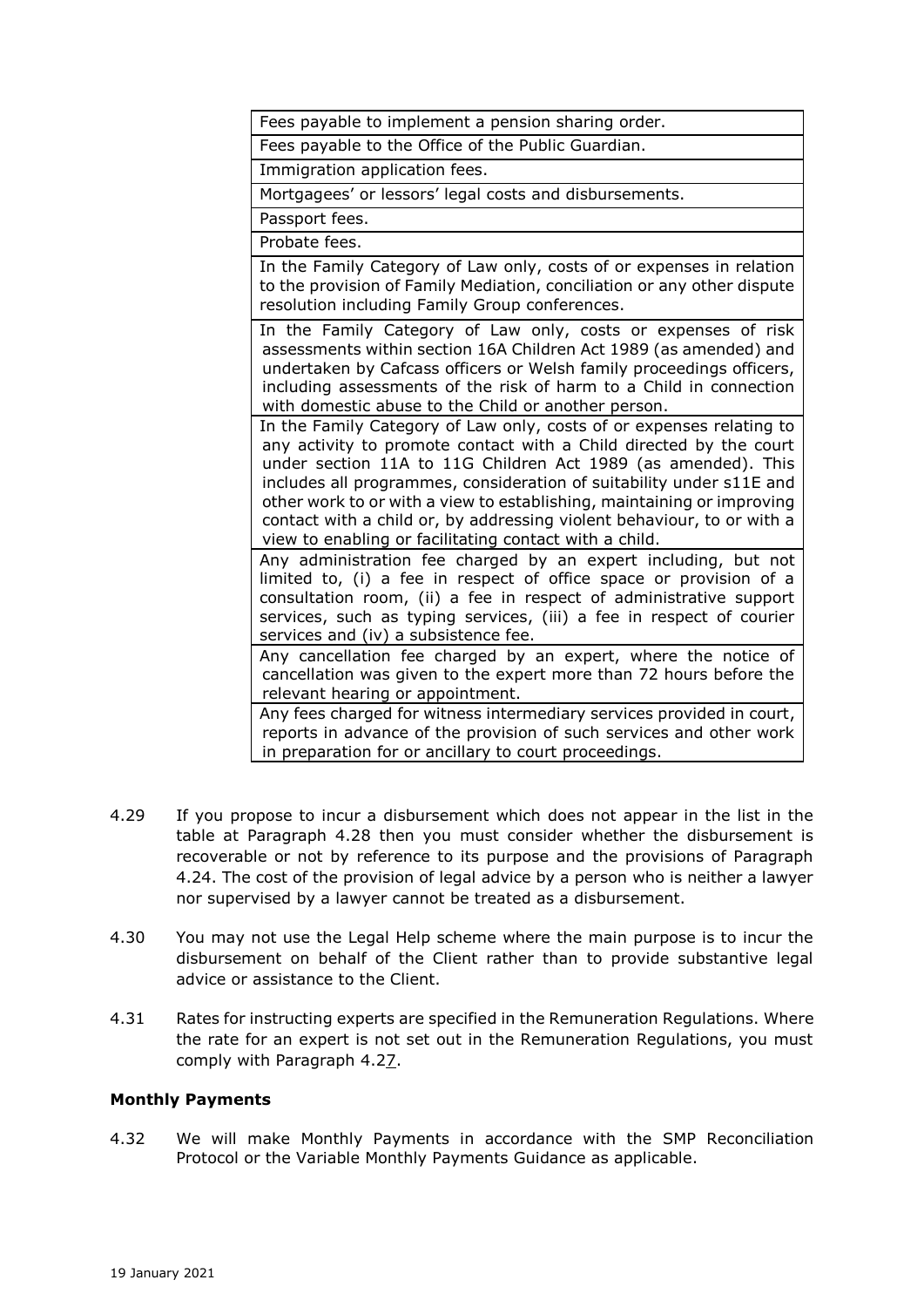Fees payable to implement a pension sharing order.

Fees payable to the Office of the Public Guardian.

Immigration application fees.

Mortgagees' or lessors' legal costs and disbursements.

Passport fees.

Probate fees.

In the Family Category of Law only, costs of or expenses in relation to the provision of Family Mediation, conciliation or any other dispute resolution including Family Group conferences.

In the Family Category of Law only, costs or expenses of risk assessments within section 16A Children Act 1989 (as amended) and undertaken by Cafcass officers or Welsh family proceedings officers, including assessments of the risk of harm to a Child in connection with domestic abuse to the Child or another person.

In the Family Category of Law only, costs of or expenses relating to any activity to promote contact with a Child directed by the court under section 11A to 11G Children Act 1989 (as amended). This includes all programmes, consideration of suitability under s11E and other work to or with a view to establishing, maintaining or improving contact with a child or, by addressing violent behaviour, to or with a view to enabling or facilitating contact with a child.

Any administration fee charged by an expert including, but not limited to, (i) a fee in respect of office space or provision of a consultation room, (ii) a fee in respect of administrative support services, such as typing services, (iii) a fee in respect of courier services and (iv) a subsistence fee.

Any cancellation fee charged by an expert, where the notice of cancellation was given to the expert more than 72 hours before the relevant hearing or appointment.

Any fees charged for witness intermediary services provided in court, reports in advance of the provision of such services and other work in preparation for or ancillary to court proceedings.

- 4.29 If you propose to incur a disbursement which does not appear in the list in the table at Paragraph 4.28 then you must consider whether the disbursement is recoverable or not by reference to its purpose and the provisions of Paragraph 4.24. The cost of the provision of legal advice by a person who is neither a lawyer nor supervised by a lawyer cannot be treated as a disbursement.
- 4.30 You may not use the Legal Help scheme where the main purpose is to incur the disbursement on behalf of the Client rather than to provide substantive legal advice or assistance to the Client.
- 4.31 Rates for instructing experts are specified in the Remuneration Regulations. Where the rate for an expert is not set out in the Remuneration Regulations, you must comply with Paragraph 4.27.

#### **Monthly Payments**

4.32 We will make Monthly Payments in accordance with the SMP Reconciliation Protocol or the Variable Monthly Payments Guidance as applicable.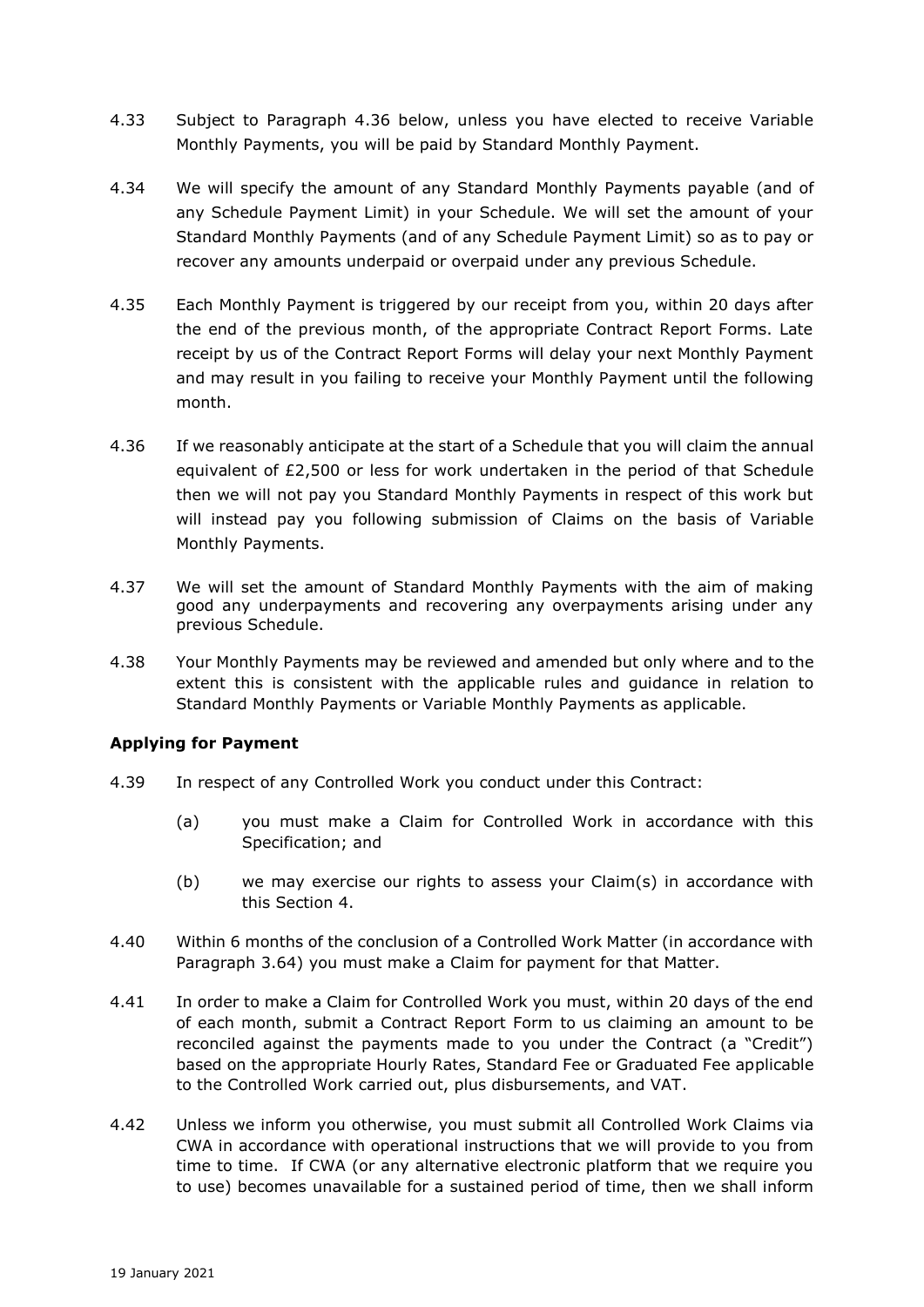- 4.33 Subject to Paragraph 4.36 below, unless you have elected to receive Variable Monthly Payments, you will be paid by Standard Monthly Payment.
- 4.34 We will specify the amount of any Standard Monthly Payments payable (and of any Schedule Payment Limit) in your Schedule. We will set the amount of your Standard Monthly Payments (and of any Schedule Payment Limit) so as to pay or recover any amounts underpaid or overpaid under any previous Schedule.
- 4.35 Each Monthly Payment is triggered by our receipt from you, within 20 days after the end of the previous month, of the appropriate Contract Report Forms. Late receipt by us of the Contract Report Forms will delay your next Monthly Payment and may result in you failing to receive your Monthly Payment until the following month.
- 4.36 If we reasonably anticipate at the start of a Schedule that you will claim the annual equivalent of £2,500 or less for work undertaken in the period of that Schedule then we will not pay you Standard Monthly Payments in respect of this work but will instead pay you following submission of Claims on the basis of Variable Monthly Payments.
- 4.37 We will set the amount of Standard Monthly Payments with the aim of making good any underpayments and recovering any overpayments arising under any previous Schedule.
- 4.38 Your Monthly Payments may be reviewed and amended but only where and to the extent this is consistent with the applicable rules and guidance in relation to Standard Monthly Payments or Variable Monthly Payments as applicable.

# **Applying for Payment**

- 4.39 In respect of any Controlled Work you conduct under this Contract:
	- (a) you must make a Claim for Controlled Work in accordance with this Specification; and
	- (b) we may exercise our rights to assess your Claim(s) in accordance with this Section 4.
- 4.40 Within 6 months of the conclusion of a Controlled Work Matter (in accordance with Paragraph 3.64) you must make a Claim for payment for that Matter.
- 4.41 In order to make a Claim for Controlled Work you must, within 20 days of the end of each month, submit a Contract Report Form to us claiming an amount to be reconciled against the payments made to you under the Contract (a "Credit") based on the appropriate Hourly Rates, Standard Fee or Graduated Fee applicable to the Controlled Work carried out, plus disbursements, and VAT.
- 4.42 Unless we inform you otherwise, you must submit all Controlled Work Claims via CWA in accordance with operational instructions that we will provide to you from time to time. If CWA (or any alternative electronic platform that we require you to use) becomes unavailable for a sustained period of time, then we shall inform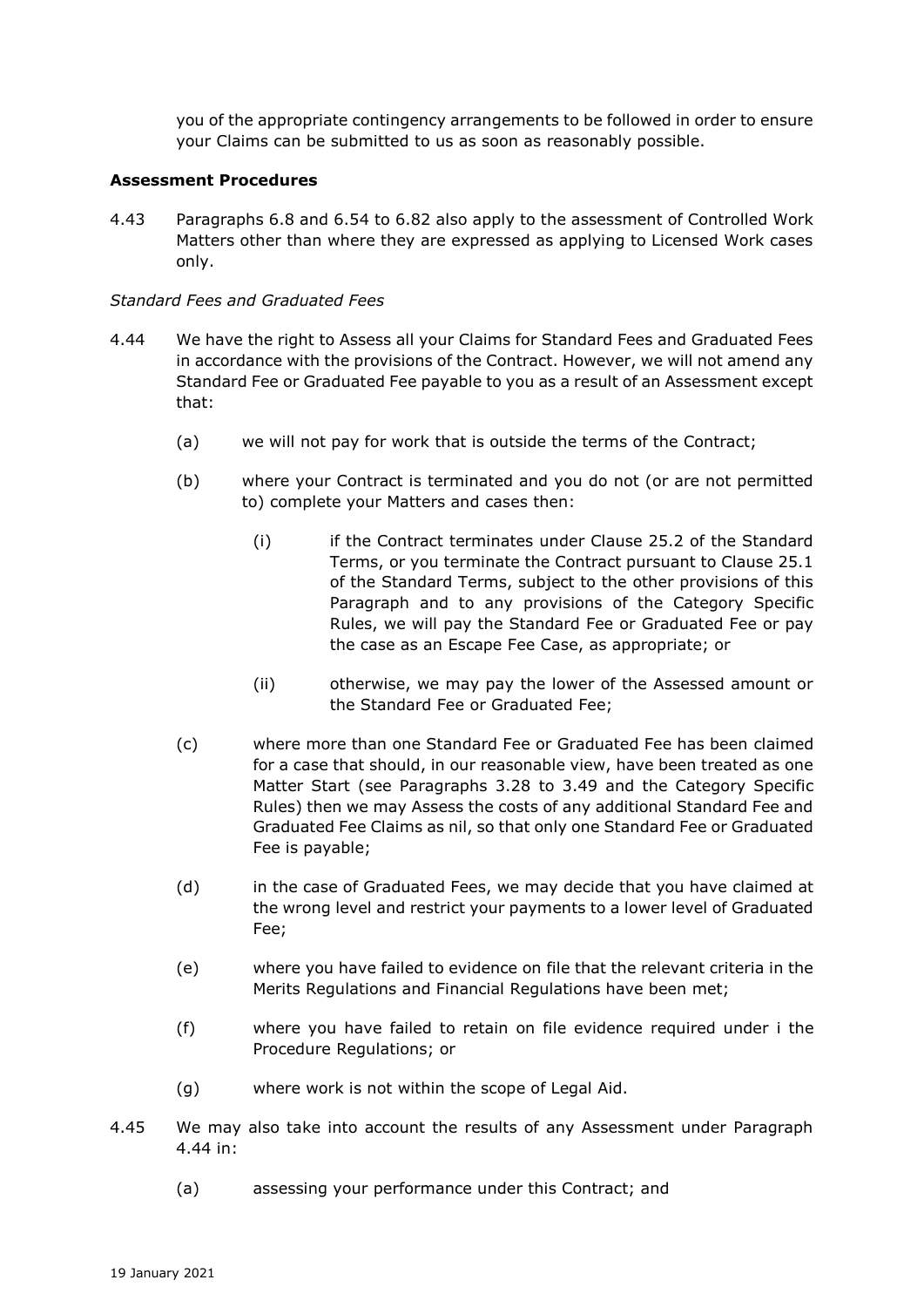you of the appropriate contingency arrangements to be followed in order to ensure your Claims can be submitted to us as soon as reasonably possible.

### **Assessment Procedures**

4.43 Paragraphs 6.8 and 6.54 to 6.82 also apply to the assessment of Controlled Work Matters other than where they are expressed as applying to Licensed Work cases only.

### *Standard Fees and Graduated Fees*

- 4.44 We have the right to Assess all your Claims for Standard Fees and Graduated Fees in accordance with the provisions of the Contract. However, we will not amend any Standard Fee or Graduated Fee payable to you as a result of an Assessment except that:
	- (a) we will not pay for work that is outside the terms of the Contract;
	- (b) where your Contract is terminated and you do not (or are not permitted to) complete your Matters and cases then:
		- (i) if the Contract terminates under Clause 25.2 of the Standard Terms, or you terminate the Contract pursuant to Clause 25.1 of the Standard Terms, subject to the other provisions of this Paragraph and to any provisions of the Category Specific Rules, we will pay the Standard Fee or Graduated Fee or pay the case as an Escape Fee Case, as appropriate; or
		- (ii) otherwise, we may pay the lower of the Assessed amount or the Standard Fee or Graduated Fee;
	- (c) where more than one Standard Fee or Graduated Fee has been claimed for a case that should, in our reasonable view, have been treated as one Matter Start (see Paragraphs 3.28 to 3.49 and the Category Specific Rules) then we may Assess the costs of any additional Standard Fee and Graduated Fee Claims as nil, so that only one Standard Fee or Graduated Fee is payable;
	- (d) in the case of Graduated Fees, we may decide that you have claimed at the wrong level and restrict your payments to a lower level of Graduated Fee;
	- (e) where you have failed to evidence on file that the relevant criteria in the Merits Regulations and Financial Regulations have been met;
	- (f) where you have failed to retain on file evidence required under i the Procedure Regulations; or
	- (g) where work is not within the scope of Legal Aid.
- 4.45 We may also take into account the results of any Assessment under Paragraph 4.44 in:
	- (a) assessing your performance under this Contract; and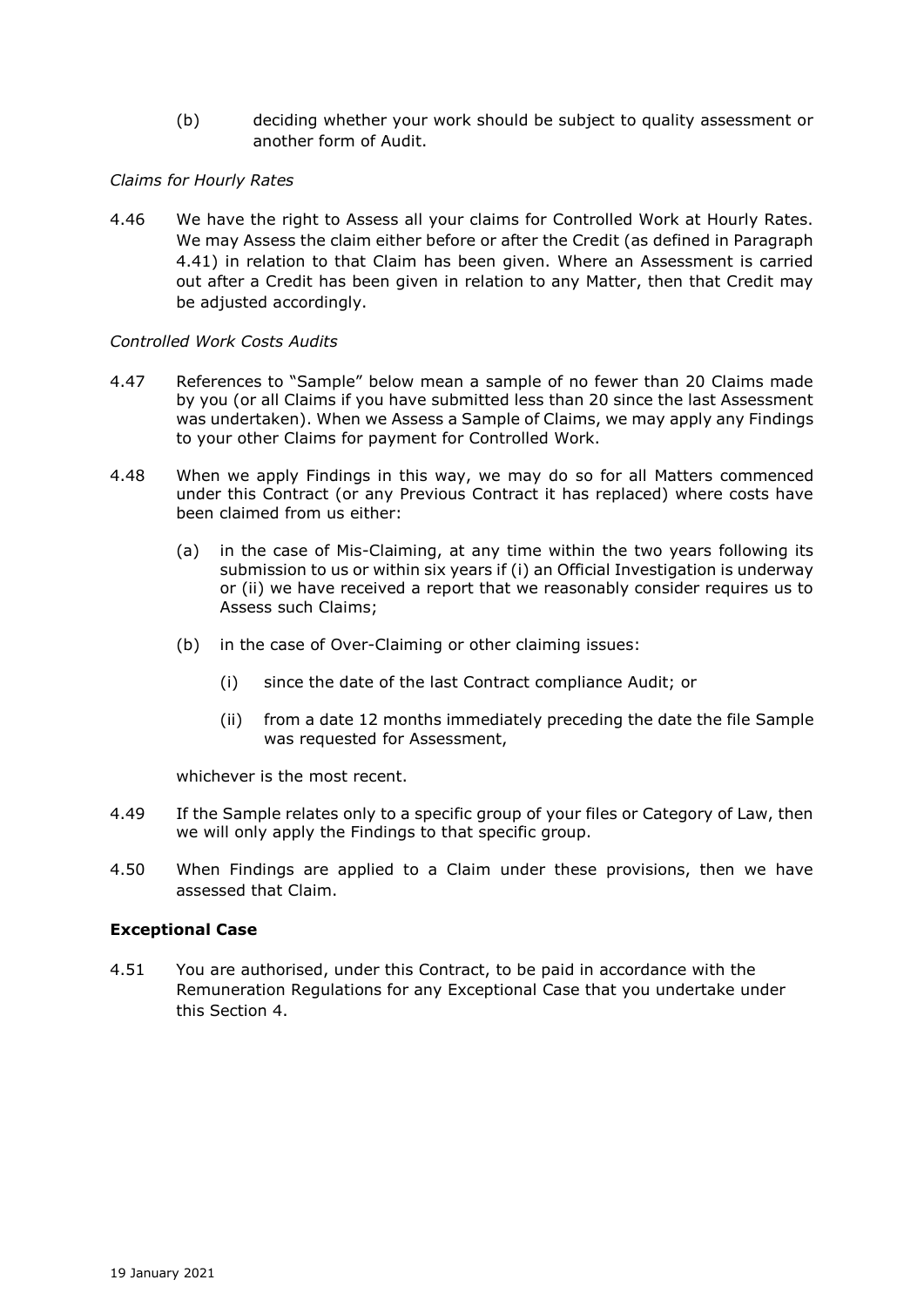(b) deciding whether your work should be subject to quality assessment or another form of Audit.

## *Claims for Hourly Rates*

4.46 We have the right to Assess all your claims for Controlled Work at Hourly Rates. We may Assess the claim either before or after the Credit (as defined in Paragraph 4.41) in relation to that Claim has been given. Where an Assessment is carried out after a Credit has been given in relation to any Matter, then that Credit may be adjusted accordingly.

### *Controlled Work Costs Audits*

- 4.47 References to "Sample" below mean a sample of no fewer than 20 Claims made by you (or all Claims if you have submitted less than 20 since the last Assessment was undertaken). When we Assess a Sample of Claims, we may apply any Findings to your other Claims for payment for Controlled Work.
- 4.48 When we apply Findings in this way, we may do so for all Matters commenced under this Contract (or any Previous Contract it has replaced) where costs have been claimed from us either:
	- (a) in the case of Mis-Claiming, at any time within the two years following its submission to us or within six years if (i) an Official Investigation is underway or (ii) we have received a report that we reasonably consider requires us to Assess such Claims;
	- (b) in the case of Over-Claiming or other claiming issues:
		- (i) since the date of the last Contract compliance Audit; or
		- (ii) from a date 12 months immediately preceding the date the file Sample was requested for Assessment,

whichever is the most recent.

- 4.49 If the Sample relates only to a specific group of your files or Category of Law, then we will only apply the Findings to that specific group.
- 4.50 When Findings are applied to a Claim under these provisions, then we have assessed that Claim.

# **Exceptional Case**

4.51 You are authorised, under this Contract, to be paid in accordance with the Remuneration Regulations for any Exceptional Case that you undertake under this Section 4.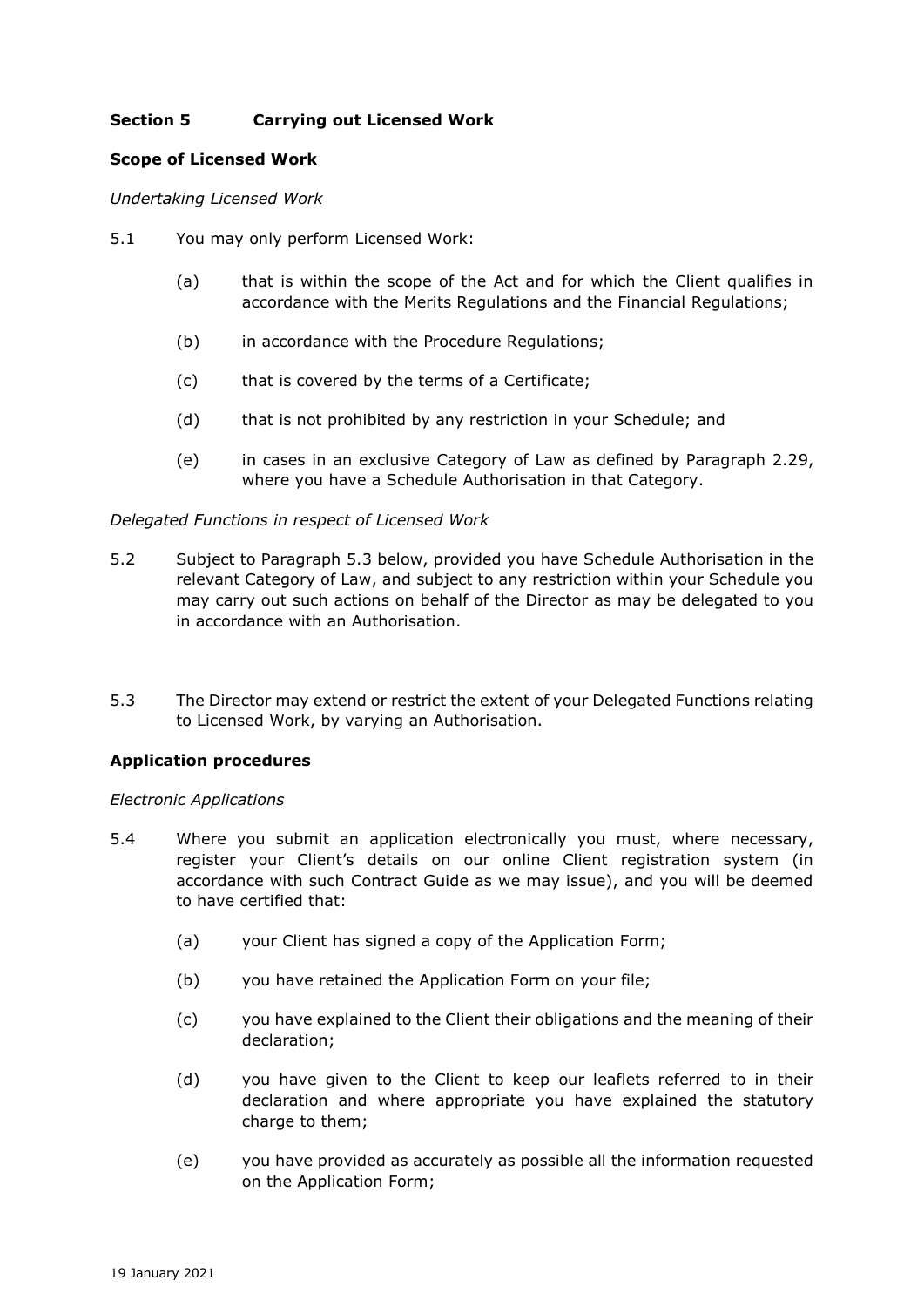# **Section 5 Carrying out Licensed Work**

### **Scope of Licensed Work**

*Undertaking Licensed Work*

- 5.1 You may only perform Licensed Work:
	- (a) that is within the scope of the Act and for which the Client qualifies in accordance with the Merits Regulations and the Financial Regulations;
	- (b) in accordance with the Procedure Regulations;
	- (c) that is covered by the terms of a Certificate;
	- (d) that is not prohibited by any restriction in your Schedule; and
	- (e) in cases in an exclusive Category of Law as defined by Paragraph 2.29, where you have a Schedule Authorisation in that Category.

### *Delegated Functions in respect of Licensed Work*

- 5.2 Subject to Paragraph 5.3 below, provided you have Schedule Authorisation in the relevant Category of Law, and subject to any restriction within your Schedule you may carry out such actions on behalf of the Director as may be delegated to you in accordance with an Authorisation.
- 5.3 The Director may extend or restrict the extent of your Delegated Functions relating to Licensed Work, by varying an Authorisation.

# **Application procedures**

#### *Electronic Applications*

- 5.4 Where you submit an application electronically you must, where necessary, register your Client's details on our online Client registration system (in accordance with such Contract Guide as we may issue), and you will be deemed to have certified that:
	- (a) your Client has signed a copy of the Application Form;
	- (b) you have retained the Application Form on your file;
	- (c) you have explained to the Client their obligations and the meaning of their declaration;
	- (d) you have given to the Client to keep our leaflets referred to in their declaration and where appropriate you have explained the statutory charge to them;
	- (e) you have provided as accurately as possible all the information requested on the Application Form;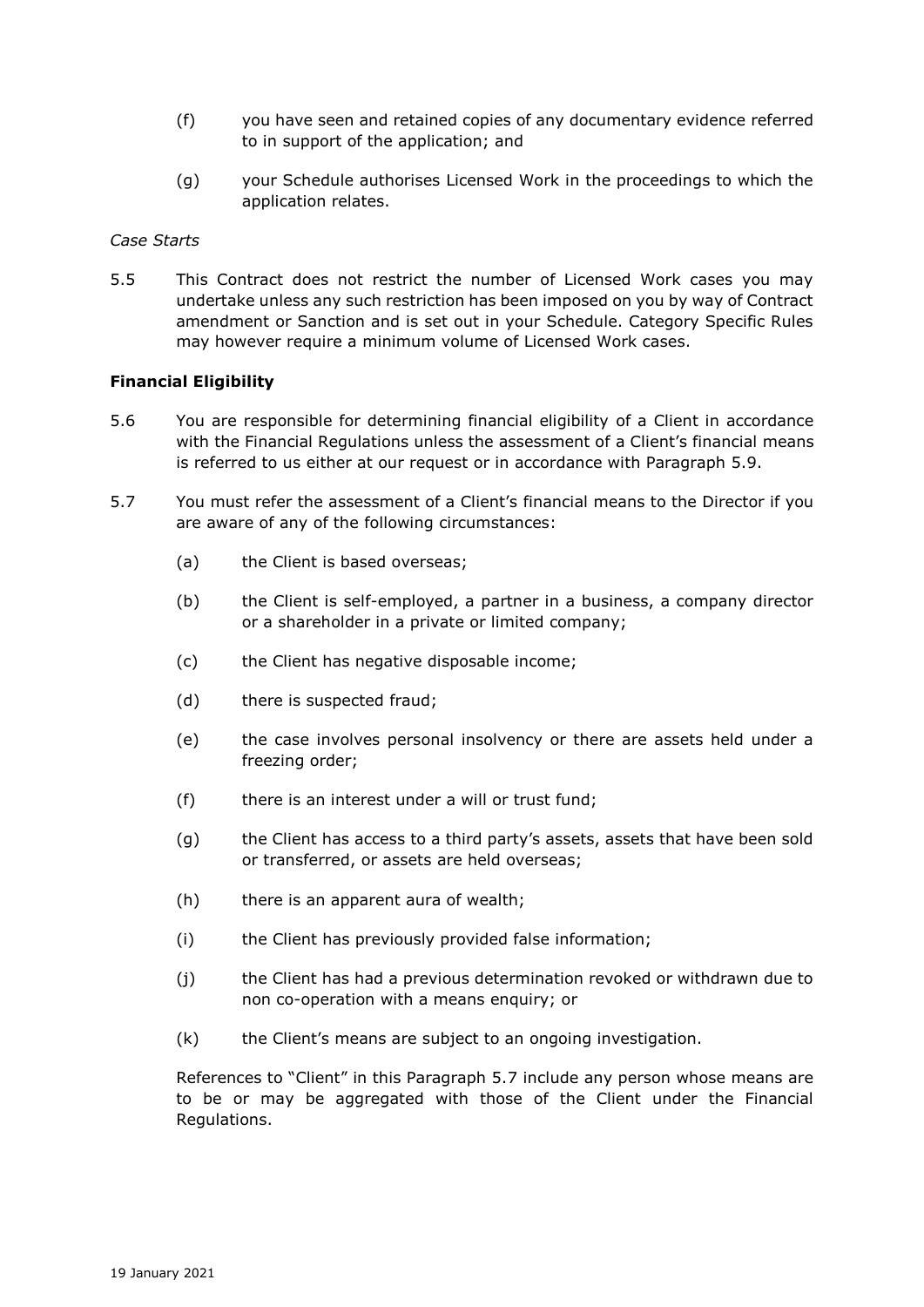- (f) you have seen and retained copies of any documentary evidence referred to in support of the application; and
- (g) your Schedule authorises Licensed Work in the proceedings to which the application relates.

#### *Case Starts*

5.5 This Contract does not restrict the number of Licensed Work cases you may undertake unless any such restriction has been imposed on you by way of Contract amendment or Sanction and is set out in your Schedule. Category Specific Rules may however require a minimum volume of Licensed Work cases.

#### **Financial Eligibility**

- 5.6 You are responsible for determining financial eligibility of a Client in accordance with the Financial Regulations unless the assessment of a Client's financial means is referred to us either at our request or in accordance with Paragraph 5.9.
- 5.7 You must refer the assessment of a Client's financial means to the Director if you are aware of any of the following circumstances:
	- (a) the Client is based overseas;
	- (b) the Client is self-employed, a partner in a business, a company director or a shareholder in a private or limited company;
	- (c) the Client has negative disposable income;
	- (d) there is suspected fraud;
	- (e) the case involves personal insolvency or there are assets held under a freezing order;
	- (f) there is an interest under a will or trust fund;
	- (g) the Client has access to a third party's assets, assets that have been sold or transferred, or assets are held overseas;
	- (h) there is an apparent aura of wealth;
	- (i) the Client has previously provided false information;
	- (j) the Client has had a previous determination revoked or withdrawn due to non co-operation with a means enquiry; or
	- (k) the Client's means are subject to an ongoing investigation.

References to "Client" in this Paragraph 5.7 include any person whose means are to be or may be aggregated with those of the Client under the Financial Regulations.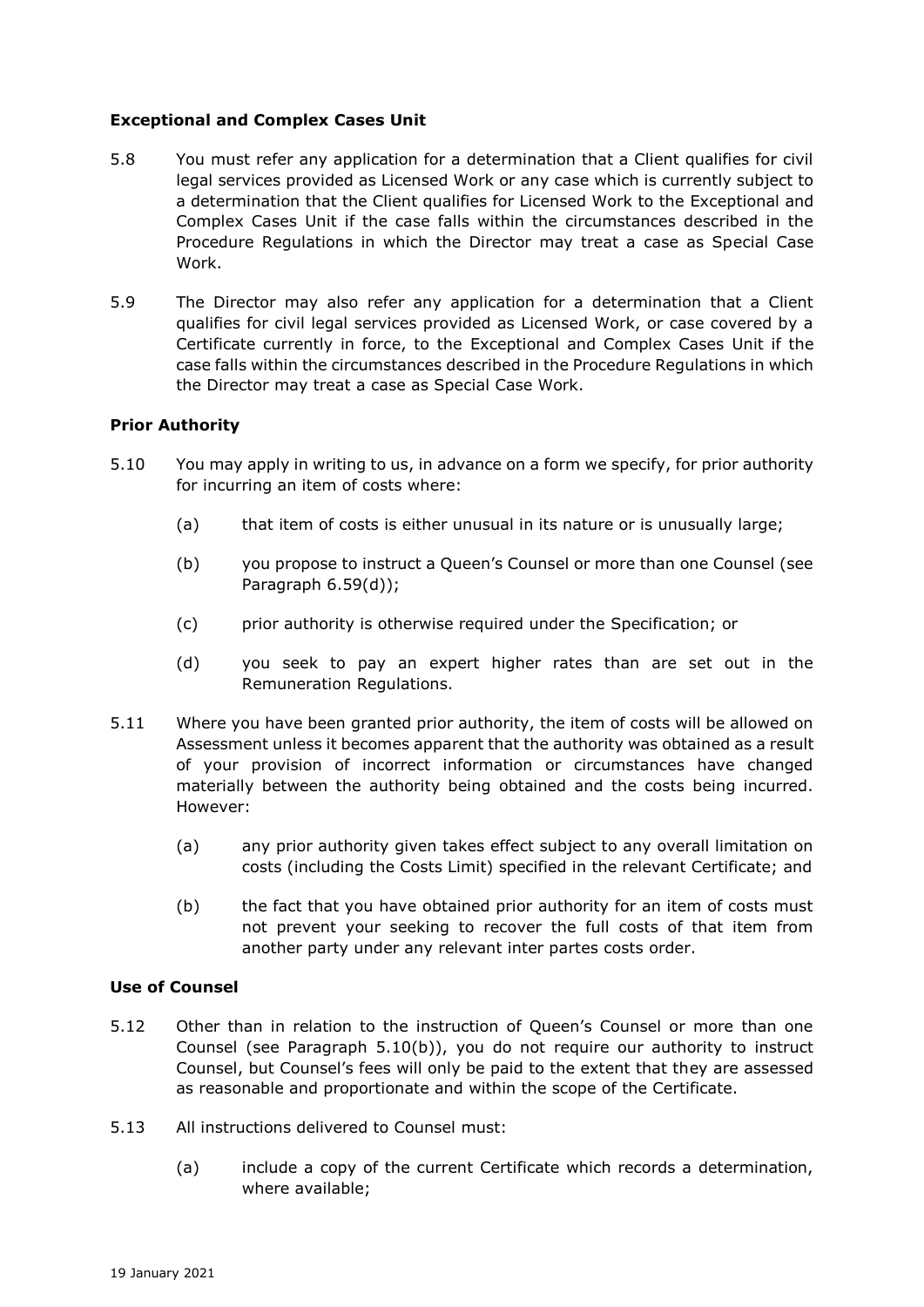## **Exceptional and Complex Cases Unit**

- 5.8 You must refer any application for a determination that a Client qualifies for civil legal services provided as Licensed Work or any case which is currently subject to a determination that the Client qualifies for Licensed Work to the Exceptional and Complex Cases Unit if the case falls within the circumstances described in the Procedure Regulations in which the Director may treat a case as Special Case Work.
- 5.9 The Director may also refer any application for a determination that a Client qualifies for civil legal services provided as Licensed Work, or case covered by a Certificate currently in force, to the Exceptional and Complex Cases Unit if the case falls within the circumstances described in the Procedure Regulations in which the Director may treat a case as Special Case Work.

#### **Prior Authority**

- 5.10 You may apply in writing to us, in advance on a form we specify, for prior authority for incurring an item of costs where:
	- (a) that item of costs is either unusual in its nature or is unusually large;
	- (b) you propose to instruct a Queen's Counsel or more than one Counsel (see Paragraph 6.59(d));
	- (c) prior authority is otherwise required under the Specification; or
	- (d) you seek to pay an expert higher rates than are set out in the Remuneration Regulations.
- 5.11 Where you have been granted prior authority, the item of costs will be allowed on Assessment unless it becomes apparent that the authority was obtained as a result of your provision of incorrect information or circumstances have changed materially between the authority being obtained and the costs being incurred. However:
	- (a) any prior authority given takes effect subject to any overall limitation on costs (including the Costs Limit) specified in the relevant Certificate; and
	- (b) the fact that you have obtained prior authority for an item of costs must not prevent your seeking to recover the full costs of that item from another party under any relevant inter partes costs order.

#### **Use of Counsel**

- 5.12 Other than in relation to the instruction of Queen's Counsel or more than one Counsel (see Paragraph 5.10(b)), you do not require our authority to instruct Counsel, but Counsel's fees will only be paid to the extent that they are assessed as reasonable and proportionate and within the scope of the Certificate.
- 5.13 All instructions delivered to Counsel must:
	- (a) include a copy of the current Certificate which records a determination, where available;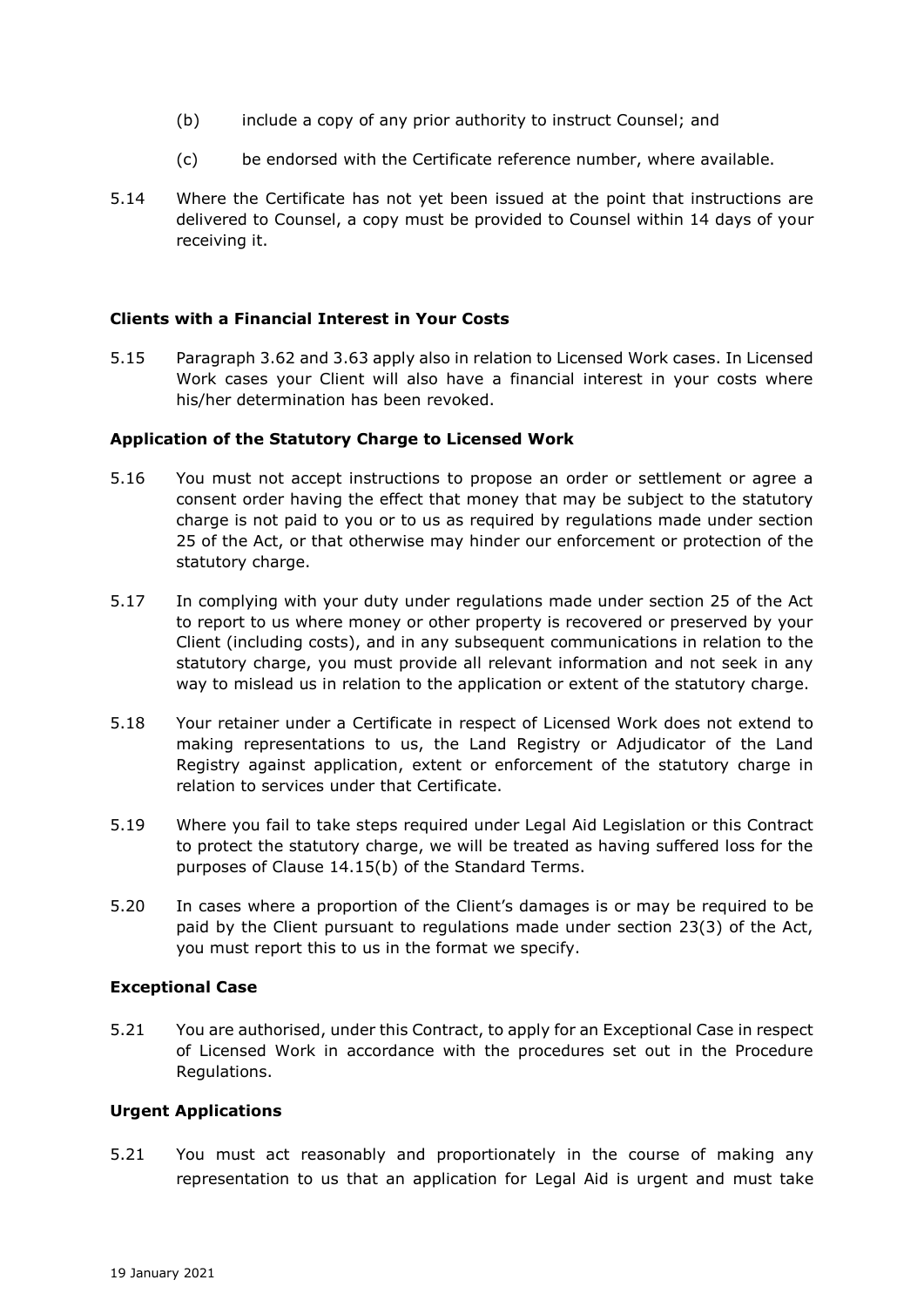- (b) include a copy of any prior authority to instruct Counsel; and
- (c) be endorsed with the Certificate reference number, where available.
- 5.14 Where the Certificate has not yet been issued at the point that instructions are delivered to Counsel, a copy must be provided to Counsel within 14 days of your receiving it.

### **Clients with a Financial Interest in Your Costs**

5.15 Paragraph 3.62 and 3.63 apply also in relation to Licensed Work cases. In Licensed Work cases your Client will also have a financial interest in your costs where his/her determination has been revoked.

### **Application of the Statutory Charge to Licensed Work**

- 5.16 You must not accept instructions to propose an order or settlement or agree a consent order having the effect that money that may be subject to the statutory charge is not paid to you or to us as required by regulations made under section 25 of the Act, or that otherwise may hinder our enforcement or protection of the statutory charge.
- 5.17 In complying with your duty under regulations made under section 25 of the Act to report to us where money or other property is recovered or preserved by your Client (including costs), and in any subsequent communications in relation to the statutory charge, you must provide all relevant information and not seek in any way to mislead us in relation to the application or extent of the statutory charge.
- 5.18 Your retainer under a Certificate in respect of Licensed Work does not extend to making representations to us, the Land Registry or Adjudicator of the Land Registry against application, extent or enforcement of the statutory charge in relation to services under that Certificate.
- 5.19 Where you fail to take steps required under Legal Aid Legislation or this Contract to protect the statutory charge, we will be treated as having suffered loss for the purposes of Clause 14.15(b) of the Standard Terms.
- 5.20 In cases where a proportion of the Client's damages is or may be required to be paid by the Client pursuant to regulations made under section 23(3) of the Act, you must report this to us in the format we specify.

#### **Exceptional Case**

5.21 You are authorised, under this Contract, to apply for an Exceptional Case in respect of Licensed Work in accordance with the procedures set out in the Procedure Regulations.

### **Urgent Applications**

5.21 You must act reasonably and proportionately in the course of making any representation to us that an application for Legal Aid is urgent and must take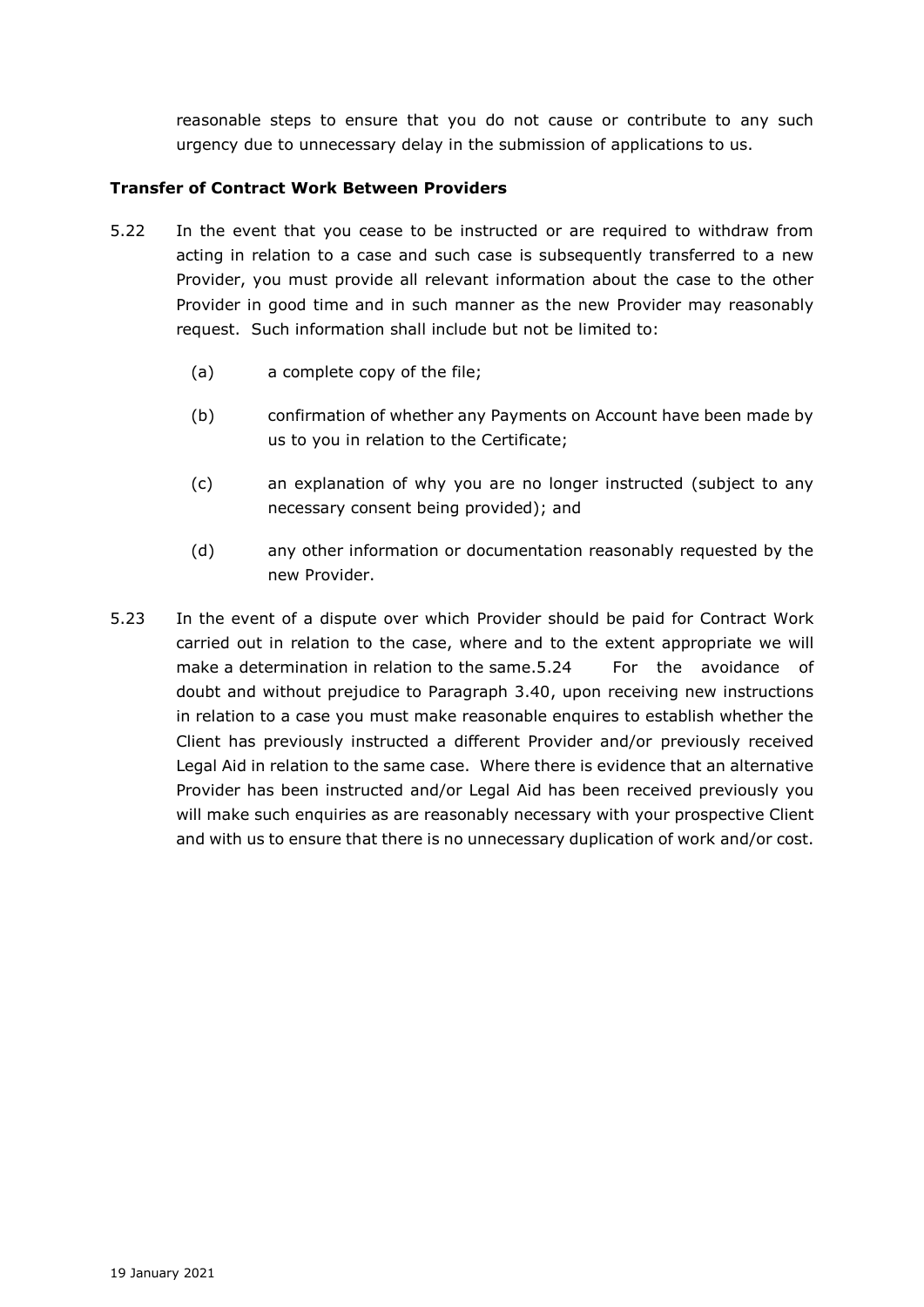reasonable steps to ensure that you do not cause or contribute to any such urgency due to unnecessary delay in the submission of applications to us.

# **Transfer of Contract Work Between Providers**

- 5.22 In the event that you cease to be instructed or are required to withdraw from acting in relation to a case and such case is subsequently transferred to a new Provider, you must provide all relevant information about the case to the other Provider in good time and in such manner as the new Provider may reasonably request. Such information shall include but not be limited to:
	- (a) a complete copy of the file;
	- (b) confirmation of whether any Payments on Account have been made by us to you in relation to the Certificate;
	- (c) an explanation of why you are no longer instructed (subject to any necessary consent being provided); and
	- (d) any other information or documentation reasonably requested by the new Provider.
- 5.23 In the event of a dispute over which Provider should be paid for Contract Work carried out in relation to the case, where and to the extent appropriate we will make a determination in relation to the same. 5.24 For the avoidance of doubt and without prejudice to Paragraph 3.40, upon receiving new instructions in relation to a case you must make reasonable enquires to establish whether the Client has previously instructed a different Provider and/or previously received Legal Aid in relation to the same case. Where there is evidence that an alternative Provider has been instructed and/or Legal Aid has been received previously you will make such enquiries as are reasonably necessary with your prospective Client and with us to ensure that there is no unnecessary duplication of work and/or cost.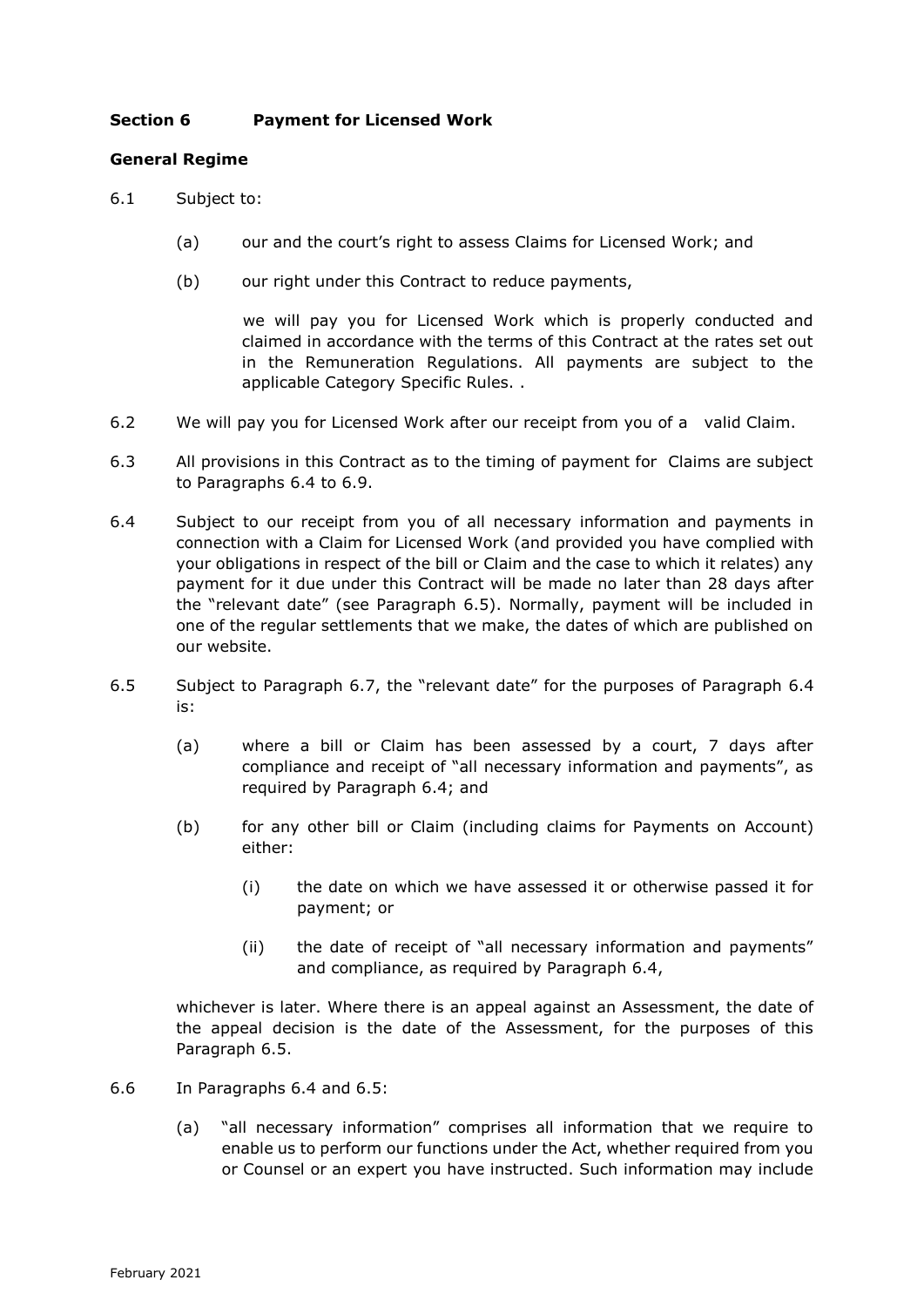# **Section 6 Payment for Licensed Work**

## **General Regime**

- 6.1 Subject to:
	- (a) our and the court's right to assess Claims for Licensed Work; and
	- (b) our right under this Contract to reduce payments,

 we will pay you for Licensed Work which is properly conducted and claimed in accordance with the terms of this Contract at the rates set out in the Remuneration Regulations. All payments are subject to the applicable Category Specific Rules. .

- 6.2 We will pay you for Licensed Work after our receipt from you of a valid Claim.
- 6.3 All provisions in this Contract as to the timing of payment for Claims are subject to Paragraphs 6.4 to 6.9.
- 6.4 Subject to our receipt from you of all necessary information and payments in connection with a Claim for Licensed Work (and provided you have complied with your obligations in respect of the bill or Claim and the case to which it relates) any payment for it due under this Contract will be made no later than 28 days after the "relevant date" (see Paragraph 6.5). Normally, payment will be included in one of the regular settlements that we make, the dates of which are published on our website.
- 6.5 Subject to Paragraph 6.7, the "relevant date" for the purposes of Paragraph 6.4 is:
	- (a) where a bill or Claim has been assessed by a court, 7 days after compliance and receipt of "all necessary information and payments", as required by Paragraph 6.4; and
	- (b) for any other bill or Claim (including claims for Payments on Account) either:
		- (i) the date on which we have assessed it or otherwise passed it for payment; or
		- (ii) the date of receipt of "all necessary information and payments" and compliance, as required by Paragraph 6.4,

whichever is later. Where there is an appeal against an Assessment, the date of the appeal decision is the date of the Assessment, for the purposes of this Paragraph 6.5.

- 6.6 In Paragraphs 6.4 and 6.5:
	- (a) "all necessary information" comprises all information that we require to enable us to perform our functions under the Act, whether required from you or Counsel or an expert you have instructed. Such information may include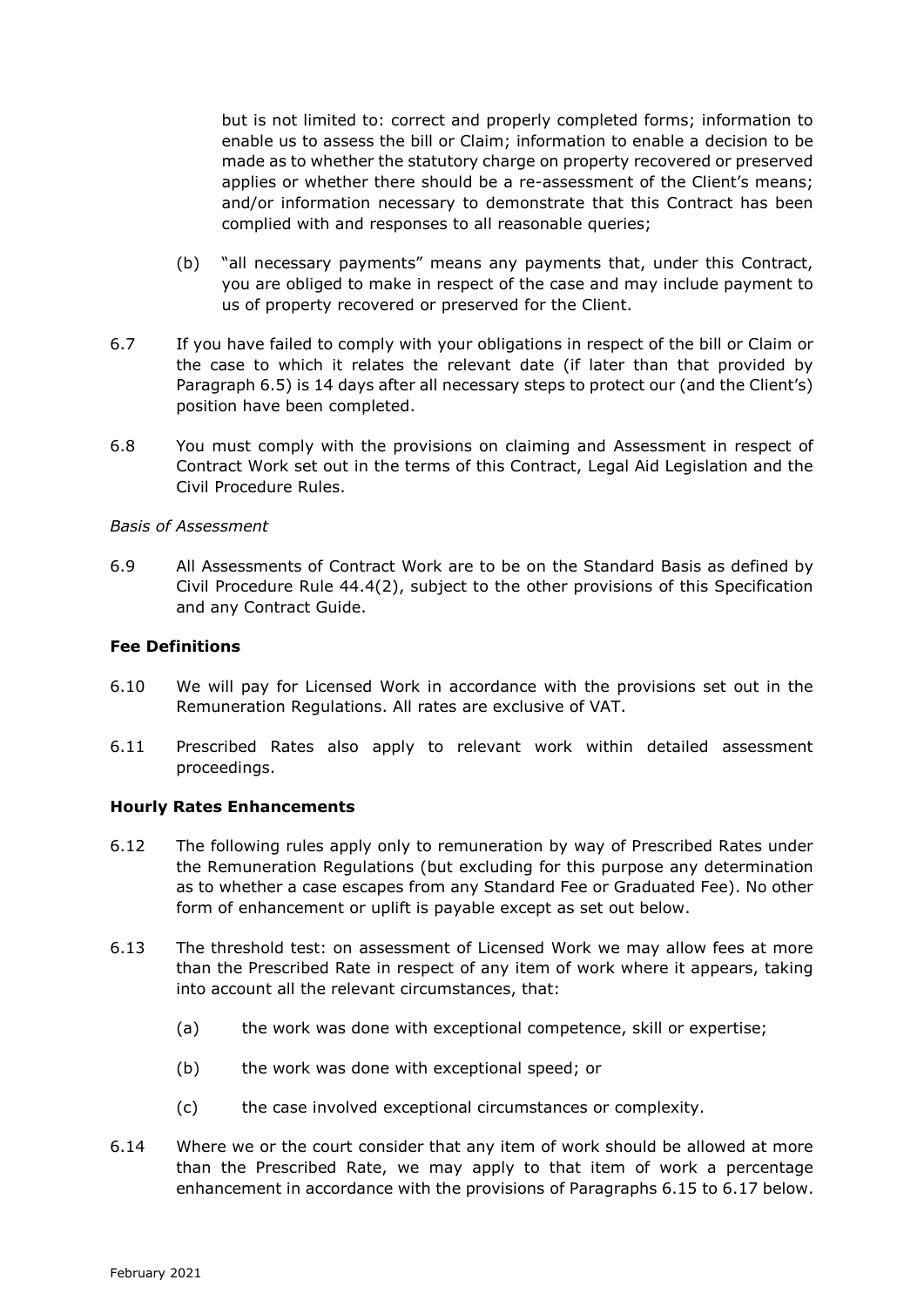but is not limited to: correct and properly completed forms; information to enable us to assess the bill or Claim; information to enable a decision to be made as to whether the statutory charge on property recovered or preserved applies or whether there should be a re-assessment of the Client's means; and/or information necessary to demonstrate that this Contract has been complied with and responses to all reasonable queries;

- (b) "all necessary payments" means any payments that, under this Contract, you are obliged to make in respect of the case and may include payment to us of property recovered or preserved for the Client.
- 6.7 If you have failed to comply with your obligations in respect of the bill or Claim or the case to which it relates the relevant date (if later than that provided by Paragraph 6.5) is 14 days after all necessary steps to protect our (and the Client's) position have been completed.
- 6.8 You must comply with the provisions on claiming and Assessment in respect of Contract Work set out in the terms of this Contract, Legal Aid Legislation and the Civil Procedure Rules.

#### *Basis of Assessment*

6.9 All Assessments of Contract Work are to be on the Standard Basis as defined by Civil Procedure Rule 44.4(2), subject to the other provisions of this Specification and any Contract Guide.

## **Fee Definitions**

- 6.10 We will pay for Licensed Work in accordance with the provisions set out in the Remuneration Regulations. All rates are exclusive of VAT.
- 6.11 Prescribed Rates also apply to relevant work within detailed assessment proceedings.

# **Hourly Rates Enhancements**

- 6.12 The following rules apply only to remuneration by way of Prescribed Rates under the Remuneration Regulations (but excluding for this purpose any determination as to whether a case escapes from any Standard Fee or Graduated Fee). No other form of enhancement or uplift is payable except as set out below.
- 6.13 The threshold test: on assessment of Licensed Work we may allow fees at more than the Prescribed Rate in respect of any item of work where it appears, taking into account all the relevant circumstances, that:
	- (a) the work was done with exceptional competence, skill or expertise;
	- (b) the work was done with exceptional speed; or
	- (c) the case involved exceptional circumstances or complexity.
- 6.14 Where we or the court consider that any item of work should be allowed at more than the Prescribed Rate, we may apply to that item of work a percentage enhancement in accordance with the provisions of Paragraphs 6.15 to 6.17 below.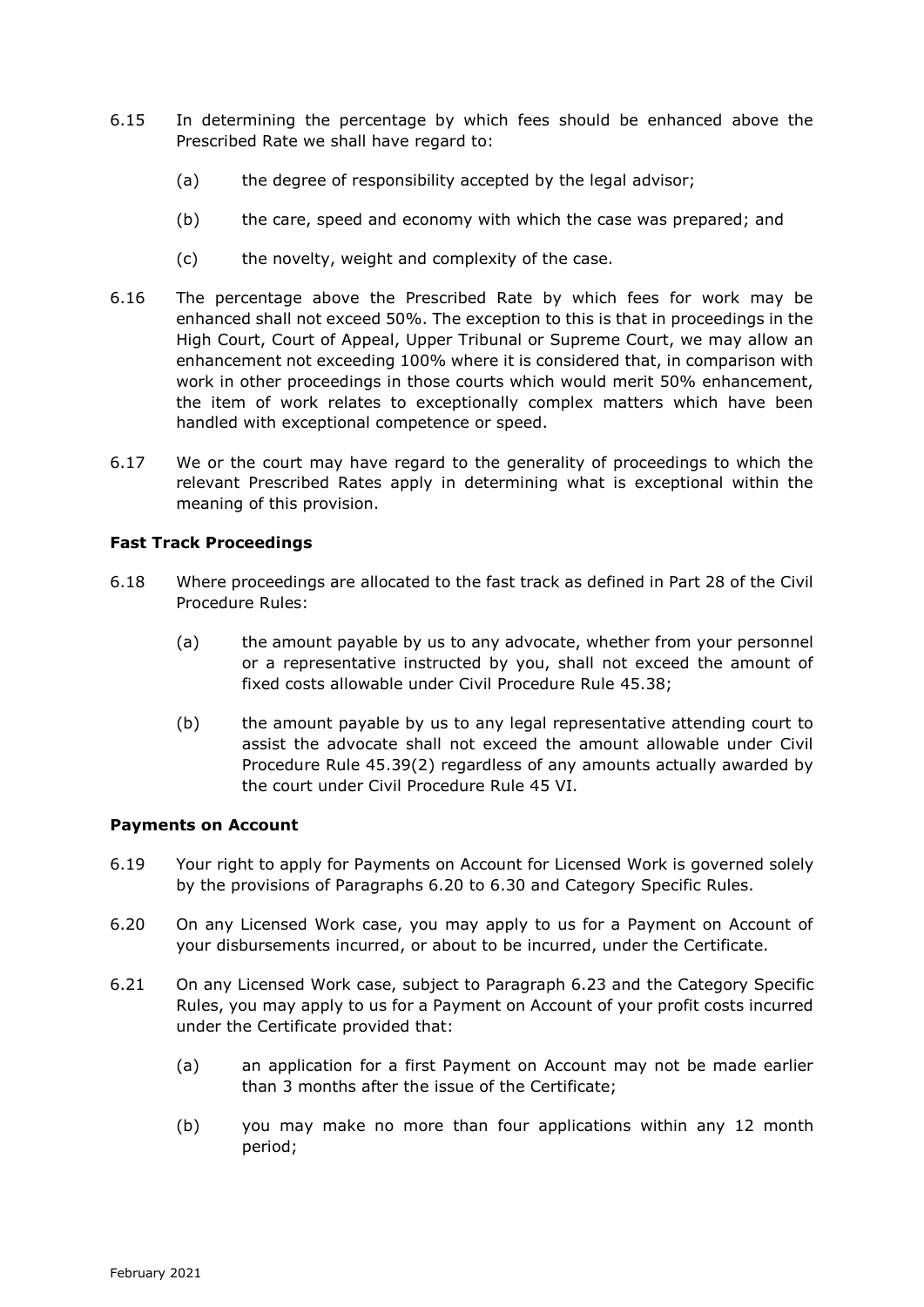- 6.15 In determining the percentage by which fees should be enhanced above the Prescribed Rate we shall have regard to:
	- (a) the degree of responsibility accepted by the legal advisor;
	- (b) the care, speed and economy with which the case was prepared; and
	- (c) the novelty, weight and complexity of the case.
- 6.16 The percentage above the Prescribed Rate by which fees for work may be enhanced shall not exceed 50%. The exception to this is that in proceedings in the High Court, Court of Appeal, Upper Tribunal or Supreme Court, we may allow an enhancement not exceeding 100% where it is considered that, in comparison with work in other proceedings in those courts which would merit 50% enhancement, the item of work relates to exceptionally complex matters which have been handled with exceptional competence or speed.
- 6.17 We or the court may have regard to the generality of proceedings to which the relevant Prescribed Rates apply in determining what is exceptional within the meaning of this provision.

### **Fast Track Proceedings**

- 6.18 Where proceedings are allocated to the fast track as defined in Part 28 of the Civil Procedure Rules:
	- (a) the amount payable by us to any advocate, whether from your personnel or a representative instructed by you, shall not exceed the amount of fixed costs allowable under Civil Procedure Rule 45.38;
	- (b) the amount payable by us to any legal representative attending court to assist the advocate shall not exceed the amount allowable under Civil Procedure Rule 45.39(2) regardless of any amounts actually awarded by the court under Civil Procedure Rule 45 VI.

### **Payments on Account**

- 6.19 Your right to apply for Payments on Account for Licensed Work is governed solely by the provisions of Paragraphs 6.20 to 6.30 and Category Specific Rules.
- 6.20 On any Licensed Work case, you may apply to us for a Payment on Account of your disbursements incurred, or about to be incurred, under the Certificate.
- 6.21 On any Licensed Work case, subject to Paragraph 6.23 and the Category Specific Rules, you may apply to us for a Payment on Account of your profit costs incurred under the Certificate provided that:
	- (a) an application for a first Payment on Account may not be made earlier than 3 months after the issue of the Certificate;
	- (b) you may make no more than four applications within any 12 month period;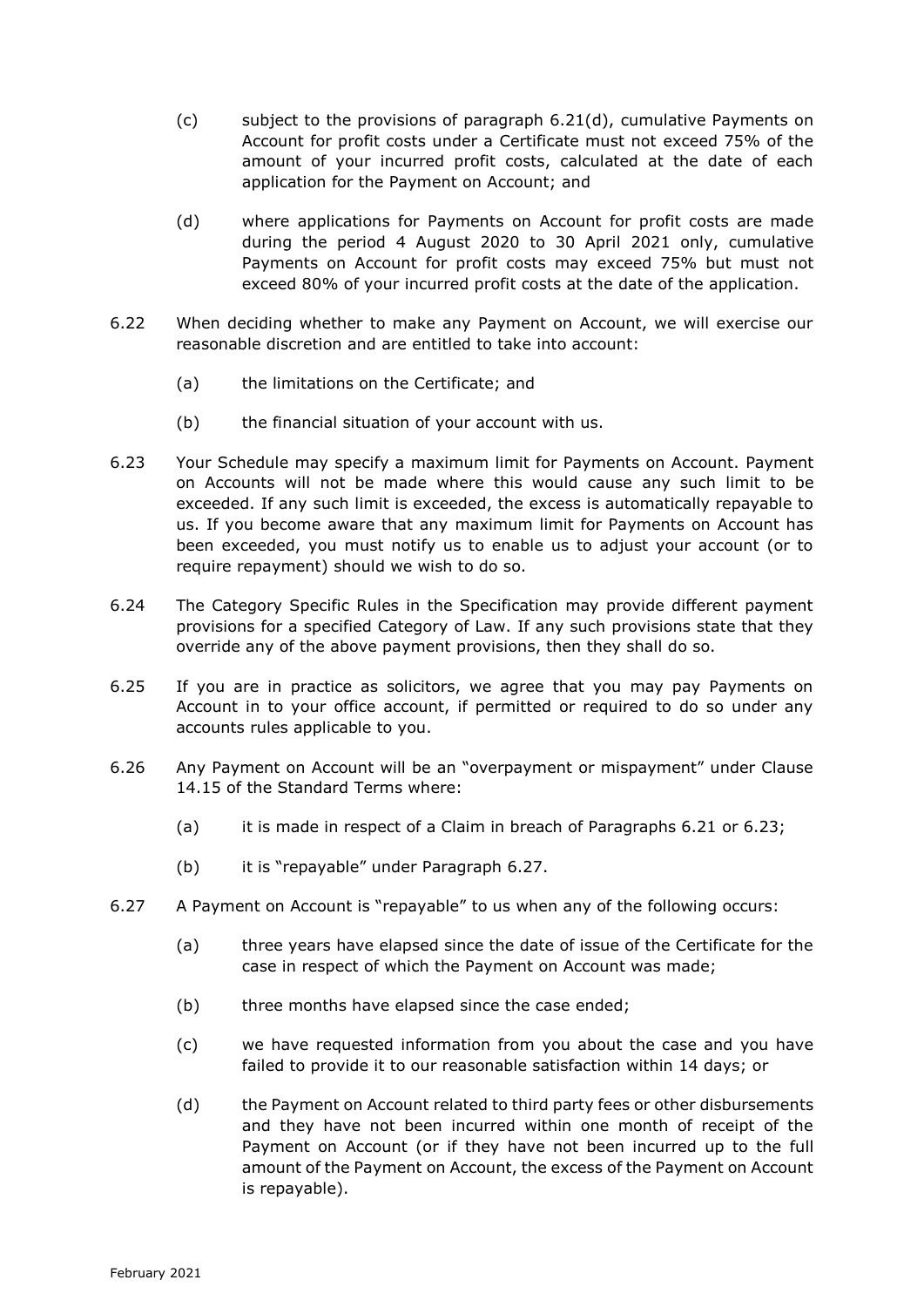- (c) subject to the provisions of paragraph 6.21(d), cumulative Payments on Account for profit costs under a Certificate must not exceed 75% of the amount of your incurred profit costs, calculated at the date of each application for the Payment on Account; and
- (d) where applications for Payments on Account for profit costs are made during the period 4 August 2020 to 30 April 2021 only, cumulative Payments on Account for profit costs may exceed 75% but must not exceed 80% of your incurred profit costs at the date of the application.
- 6.22 When deciding whether to make any Payment on Account, we will exercise our reasonable discretion and are entitled to take into account:
	- (a) the limitations on the Certificate; and
	- (b) the financial situation of your account with us.
- 6.23 Your Schedule may specify a maximum limit for Payments on Account. Payment on Accounts will not be made where this would cause any such limit to be exceeded. If any such limit is exceeded, the excess is automatically repayable to us. If you become aware that any maximum limit for Payments on Account has been exceeded, you must notify us to enable us to adjust your account (or to require repayment) should we wish to do so.
- 6.24 The Category Specific Rules in the Specification may provide different payment provisions for a specified Category of Law. If any such provisions state that they override any of the above payment provisions, then they shall do so.
- 6.25 If you are in practice as solicitors, we agree that you may pay Payments on Account in to your office account, if permitted or required to do so under any accounts rules applicable to you.
- 6.26 Any Payment on Account will be an "overpayment or mispayment" under Clause 14.15 of the Standard Terms where:
	- (a) it is made in respect of a Claim in breach of Paragraphs 6.21 or 6.23;
	- (b) it is "repayable" under Paragraph 6.27.
- 6.27 A Payment on Account is "repayable" to us when any of the following occurs:
	- (a) three years have elapsed since the date of issue of the Certificate for the case in respect of which the Payment on Account was made;
	- (b) three months have elapsed since the case ended;
	- (c) we have requested information from you about the case and you have failed to provide it to our reasonable satisfaction within 14 days; or
	- (d) the Payment on Account related to third party fees or other disbursements and they have not been incurred within one month of receipt of the Payment on Account (or if they have not been incurred up to the full amount of the Payment on Account, the excess of the Payment on Account is repayable).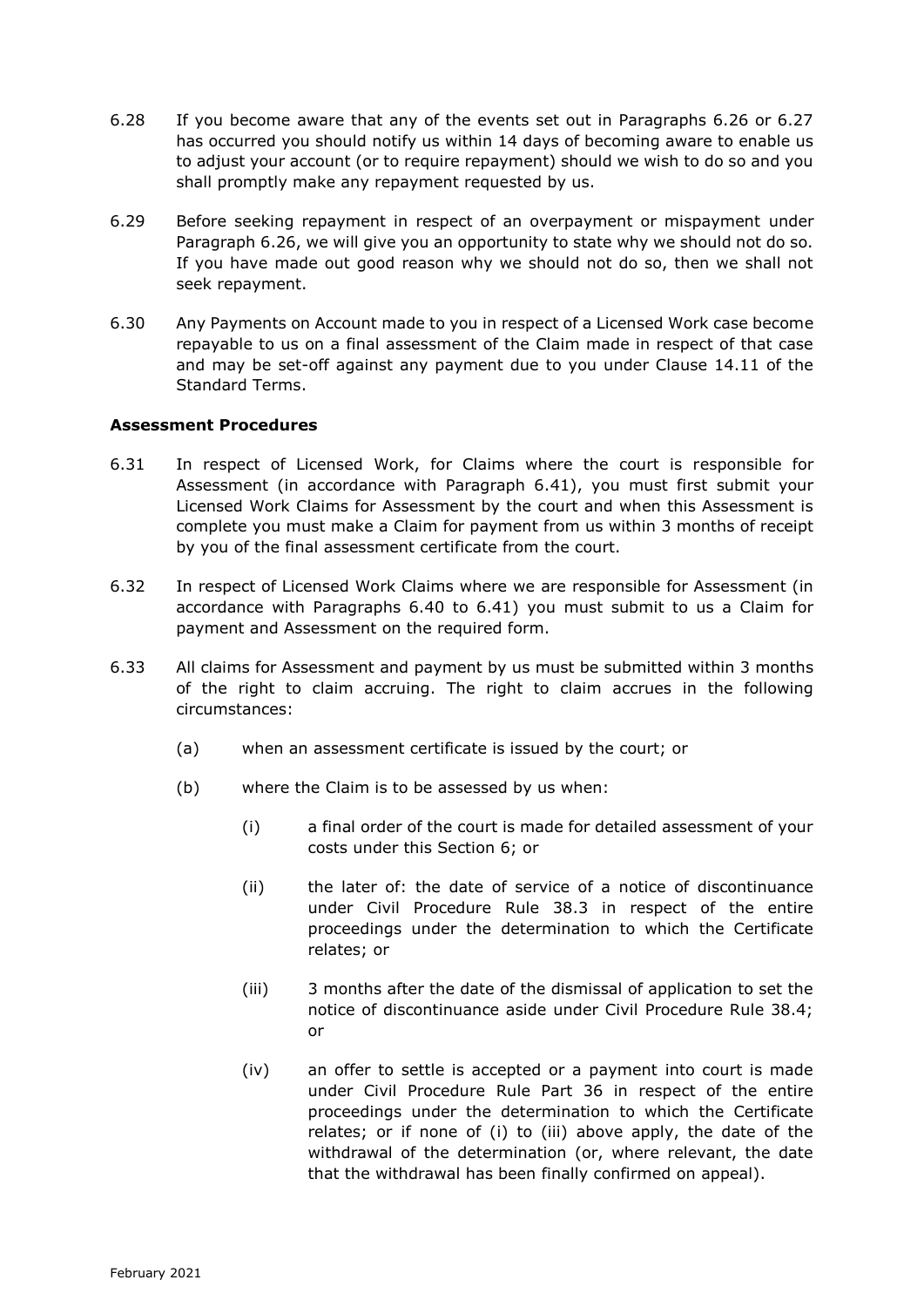- 6.28 If you become aware that any of the events set out in Paragraphs 6.26 or 6.27 has occurred you should notify us within 14 days of becoming aware to enable us to adjust your account (or to require repayment) should we wish to do so and you shall promptly make any repayment requested by us.
- 6.29 Before seeking repayment in respect of an overpayment or mispayment under Paragraph 6.26, we will give you an opportunity to state why we should not do so. If you have made out good reason why we should not do so, then we shall not seek repayment.
- 6.30 Any Payments on Account made to you in respect of a Licensed Work case become repayable to us on a final assessment of the Claim made in respect of that case and may be set-off against any payment due to you under Clause 14.11 of the Standard Terms.

### **Assessment Procedures**

- 6.31 In respect of Licensed Work, for Claims where the court is responsible for Assessment (in accordance with Paragraph 6.41), you must first submit your Licensed Work Claims for Assessment by the court and when this Assessment is complete you must make a Claim for payment from us within 3 months of receipt by you of the final assessment certificate from the court.
- 6.32 In respect of Licensed Work Claims where we are responsible for Assessment (in accordance with Paragraphs 6.40 to 6.41) you must submit to us a Claim for payment and Assessment on the required form.
- 6.33 All claims for Assessment and payment by us must be submitted within 3 months of the right to claim accruing. The right to claim accrues in the following circumstances:
	- (a) when an assessment certificate is issued by the court; or
	- (b) where the Claim is to be assessed by us when:
		- (i) a final order of the court is made for detailed assessment of your costs under this Section 6; or
		- (ii) the later of: the date of service of a notice of discontinuance under Civil Procedure Rule 38.3 in respect of the entire proceedings under the determination to which the Certificate relates; or
		- (iii) 3 months after the date of the dismissal of application to set the notice of discontinuance aside under Civil Procedure Rule 38.4; or
		- (iv) an offer to settle is accepted or a payment into court is made under Civil Procedure Rule Part 36 in respect of the entire proceedings under the determination to which the Certificate relates; or if none of (i) to (iii) above apply, the date of the withdrawal of the determination (or, where relevant, the date that the withdrawal has been finally confirmed on appeal).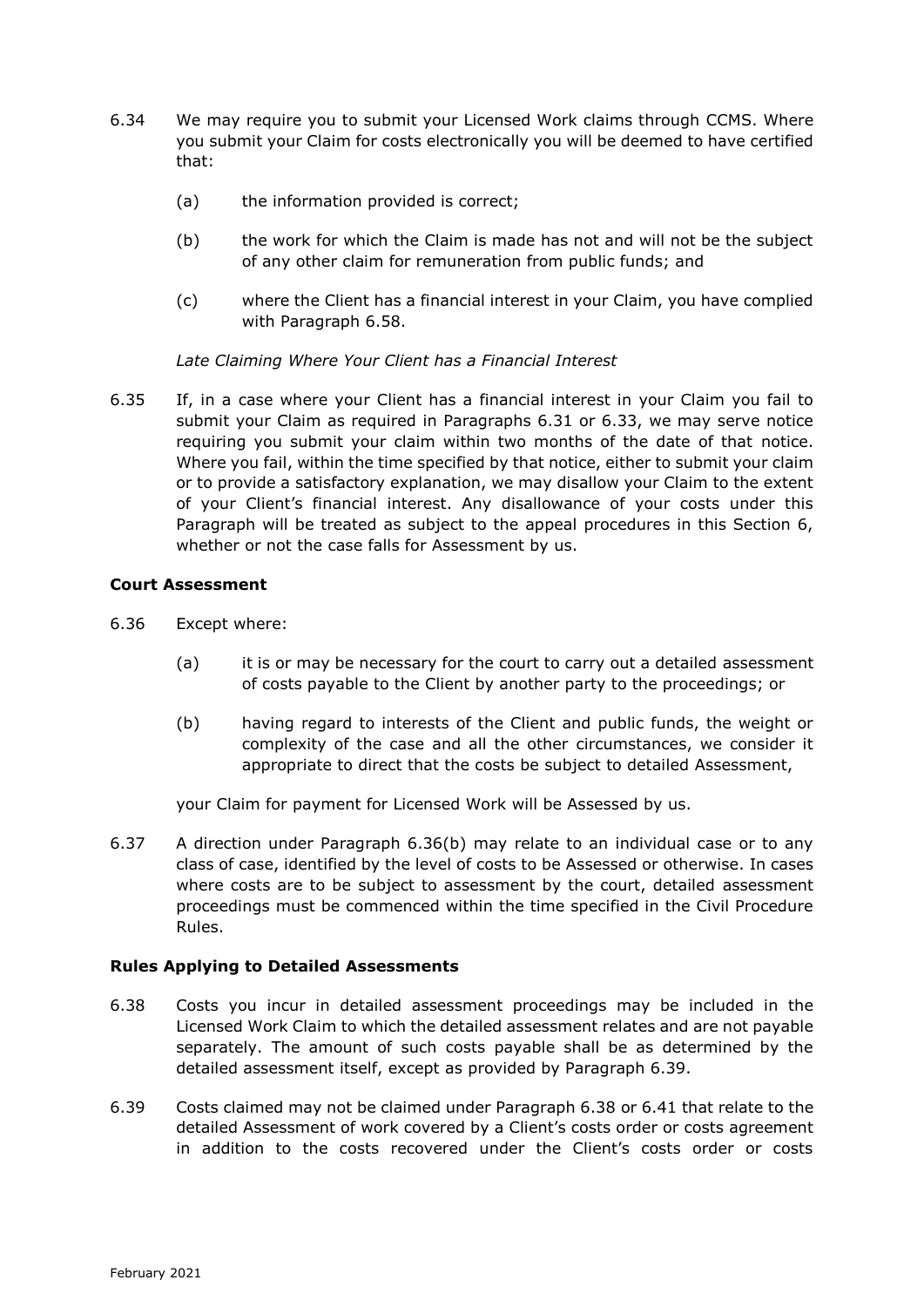- 6.34 We may require you to submit your Licensed Work claims through CCMS. Where you submit your Claim for costs electronically you will be deemed to have certified that:
	- (a) the information provided is correct;
	- (b) the work for which the Claim is made has not and will not be the subject of any other claim for remuneration from public funds; and
	- (c) where the Client has a financial interest in your Claim, you have complied with Paragraph 6.58.

*Late Claiming Where Your Client has a Financial Interest*

6.35 If, in a case where your Client has a financial interest in your Claim you fail to submit your Claim as required in Paragraphs 6.31 or 6.33, we may serve notice requiring you submit your claim within two months of the date of that notice. Where you fail, within the time specified by that notice, either to submit your claim or to provide a satisfactory explanation, we may disallow your Claim to the extent of your Client's financial interest. Any disallowance of your costs under this Paragraph will be treated as subject to the appeal procedures in this Section 6, whether or not the case falls for Assessment by us.

### **Court Assessment**

- 6.36 Except where:
	- (a) it is or may be necessary for the court to carry out a detailed assessment of costs payable to the Client by another party to the proceedings; or
	- (b) having regard to interests of the Client and public funds, the weight or complexity of the case and all the other circumstances, we consider it appropriate to direct that the costs be subject to detailed Assessment,

your Claim for payment for Licensed Work will be Assessed by us.

6.37 A direction under Paragraph 6.36(b) may relate to an individual case or to any class of case, identified by the level of costs to be Assessed or otherwise. In cases where costs are to be subject to assessment by the court, detailed assessment proceedings must be commenced within the time specified in the Civil Procedure Rules.

# **Rules Applying to Detailed Assessments**

- 6.38 Costs you incur in detailed assessment proceedings may be included in the Licensed Work Claim to which the detailed assessment relates and are not payable separately. The amount of such costs payable shall be as determined by the detailed assessment itself, except as provided by Paragraph 6.39.
- 6.39 Costs claimed may not be claimed under Paragraph 6.38 or 6.41 that relate to the detailed Assessment of work covered by a Client's costs order or costs agreement in addition to the costs recovered under the Client's costs order or costs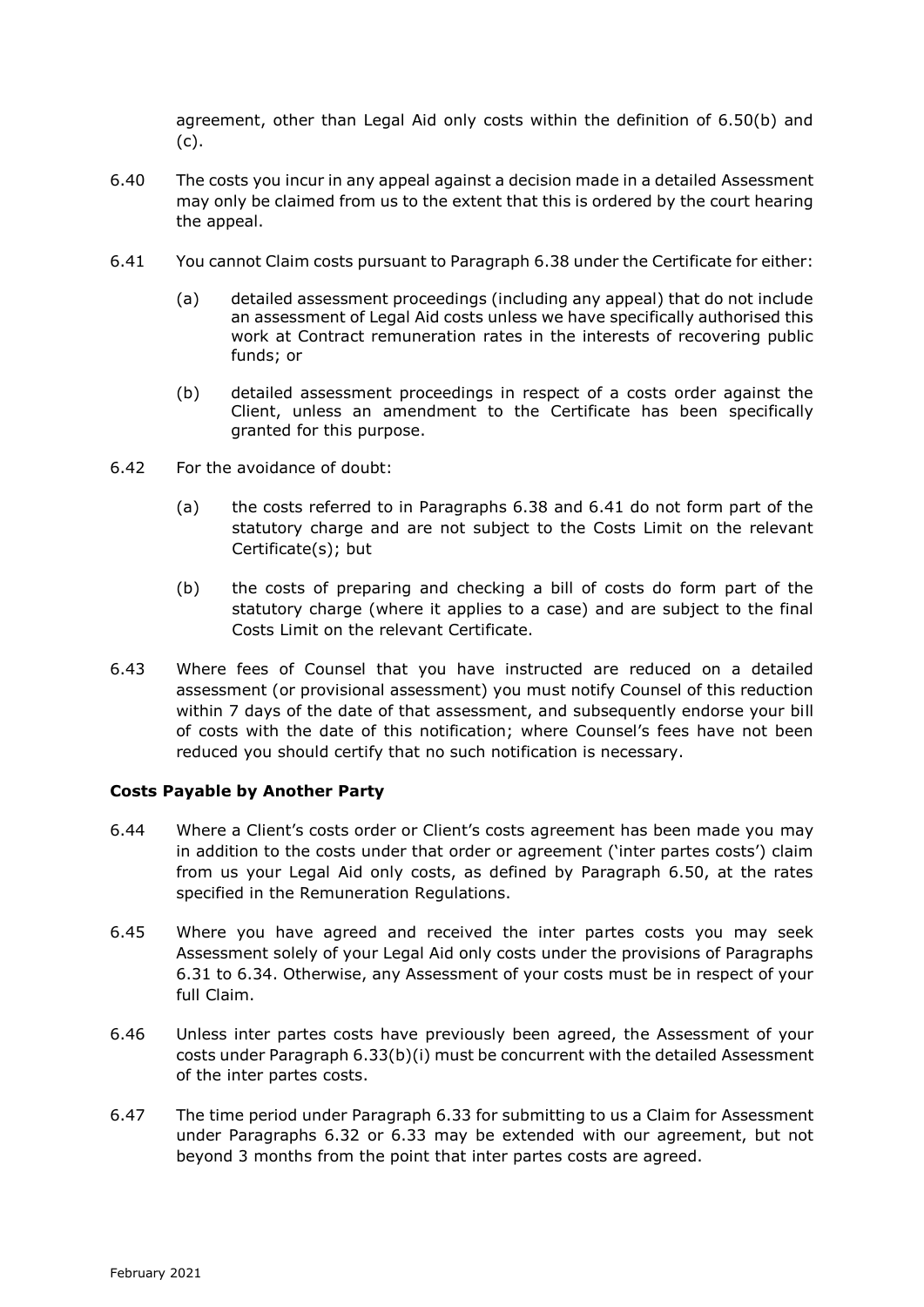agreement, other than Legal Aid only costs within the definition of 6.50(b) and (c).

- 6.40 The costs you incur in any appeal against a decision made in a detailed Assessment may only be claimed from us to the extent that this is ordered by the court hearing the appeal.
- 6.41 You cannot Claim costs pursuant to Paragraph 6.38 under the Certificate for either:
	- (a) detailed assessment proceedings (including any appeal) that do not include an assessment of Legal Aid costs unless we have specifically authorised this work at Contract remuneration rates in the interests of recovering public funds; or
	- (b) detailed assessment proceedings in respect of a costs order against the Client, unless an amendment to the Certificate has been specifically granted for this purpose.
- 6.42 For the avoidance of doubt:
	- (a) the costs referred to in Paragraphs 6.38 and 6.41 do not form part of the statutory charge and are not subject to the Costs Limit on the relevant Certificate(s); but
	- (b) the costs of preparing and checking a bill of costs do form part of the statutory charge (where it applies to a case) and are subject to the final Costs Limit on the relevant Certificate.
- 6.43 Where fees of Counsel that you have instructed are reduced on a detailed assessment (or provisional assessment) you must notify Counsel of this reduction within 7 days of the date of that assessment, and subsequently endorse your bill of costs with the date of this notification; where Counsel's fees have not been reduced you should certify that no such notification is necessary.

# **Costs Payable by Another Party**

- 6.44 Where a Client's costs order or Client's costs agreement has been made you may in addition to the costs under that order or agreement ('inter partes costs') claim from us your Legal Aid only costs, as defined by Paragraph 6.50, at the rates specified in the Remuneration Regulations.
- 6.45 Where you have agreed and received the inter partes costs you may seek Assessment solely of your Legal Aid only costs under the provisions of Paragraphs 6.31 to 6.34. Otherwise, any Assessment of your costs must be in respect of your full Claim.
- 6.46 Unless inter partes costs have previously been agreed, the Assessment of your costs under Paragraph 6.33(b)(i) must be concurrent with the detailed Assessment of the inter partes costs.
- 6.47 The time period under Paragraph 6.33 for submitting to us a Claim for Assessment under Paragraphs 6.32 or 6.33 may be extended with our agreement, but not beyond 3 months from the point that inter partes costs are agreed.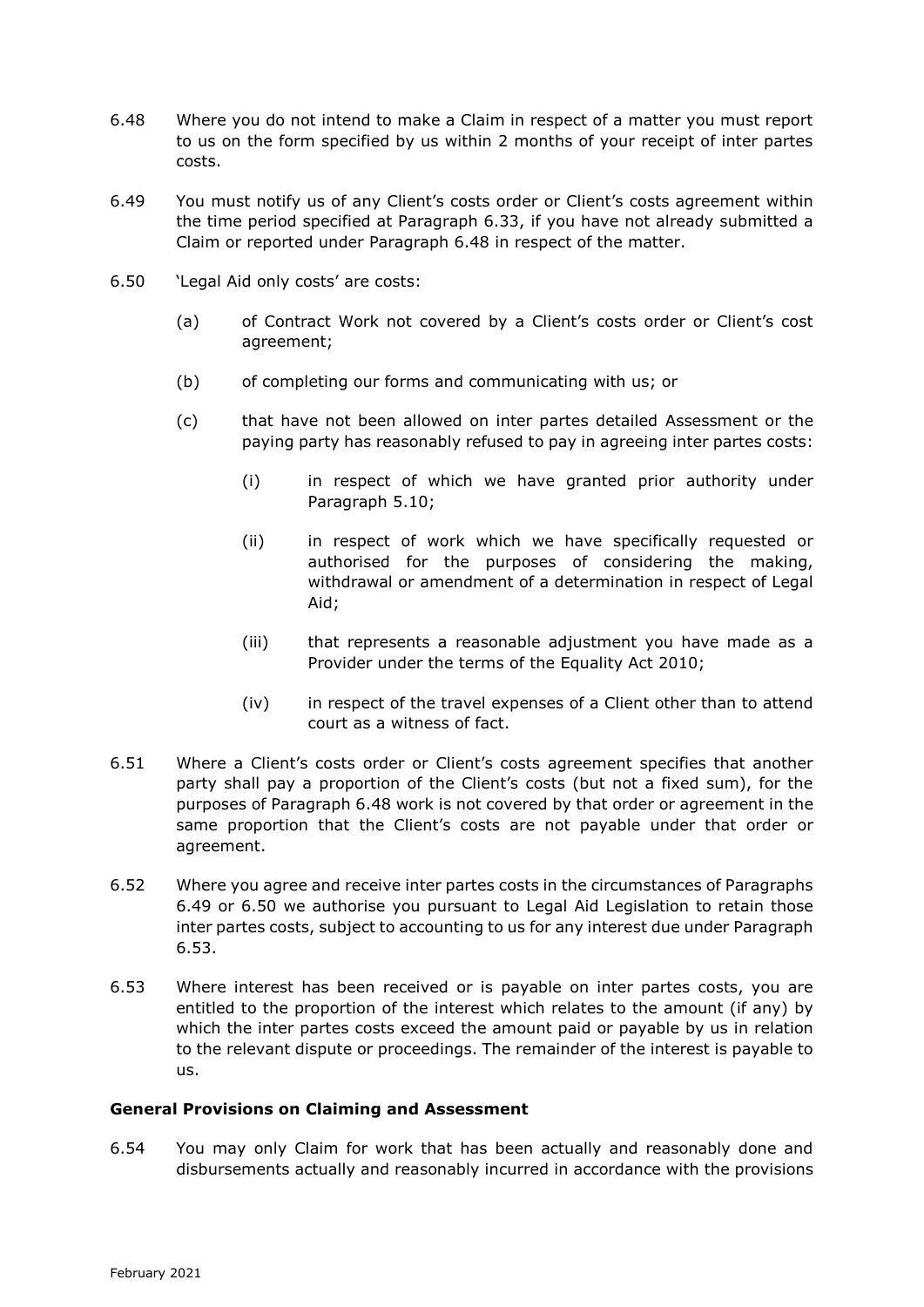- 6.48 Where you do not intend to make a Claim in respect of a matter you must report to us on the form specified by us within 2 months of your receipt of inter partes costs.
- 6.49 You must notify us of any Client's costs order or Client's costs agreement within the time period specified at Paragraph 6.33, if you have not already submitted a Claim or reported under Paragraph 6.48 in respect of the matter.
- 6.50 'Legal Aid only costs' are costs:
	- (a) of Contract Work not covered by a Client's costs order or Client's cost agreement;
	- (b) of completing our forms and communicating with us; or
	- (c) that have not been allowed on inter partes detailed Assessment or the paying party has reasonably refused to pay in agreeing inter partes costs:
		- (i) in respect of which we have granted prior authority under Paragraph 5.10;
		- (ii) in respect of work which we have specifically requested or authorised for the purposes of considering the making, withdrawal or amendment of a determination in respect of Legal Aid;
		- (iii) that represents a reasonable adjustment you have made as a Provider under the terms of the Equality Act 2010;
		- (iv) in respect of the travel expenses of a Client other than to attend court as a witness of fact.
- 6.51 Where a Client's costs order or Client's costs agreement specifies that another party shall pay a proportion of the Client's costs (but not a fixed sum), for the purposes of Paragraph 6.48 work is not covered by that order or agreement in the same proportion that the Client's costs are not payable under that order or agreement.
- 6.52 Where you agree and receive inter partes costs in the circumstances of Paragraphs 6.49 or 6.50 we authorise you pursuant to Legal Aid Legislation to retain those inter partes costs, subject to accounting to us for any interest due under Paragraph 6.53.
- 6.53 Where interest has been received or is payable on inter partes costs, you are entitled to the proportion of the interest which relates to the amount (if any) by which the inter partes costs exceed the amount paid or payable by us in relation to the relevant dispute or proceedings. The remainder of the interest is payable to us.

#### **General Provisions on Claiming and Assessment**

6.54 You may only Claim for work that has been actually and reasonably done and disbursements actually and reasonably incurred in accordance with the provisions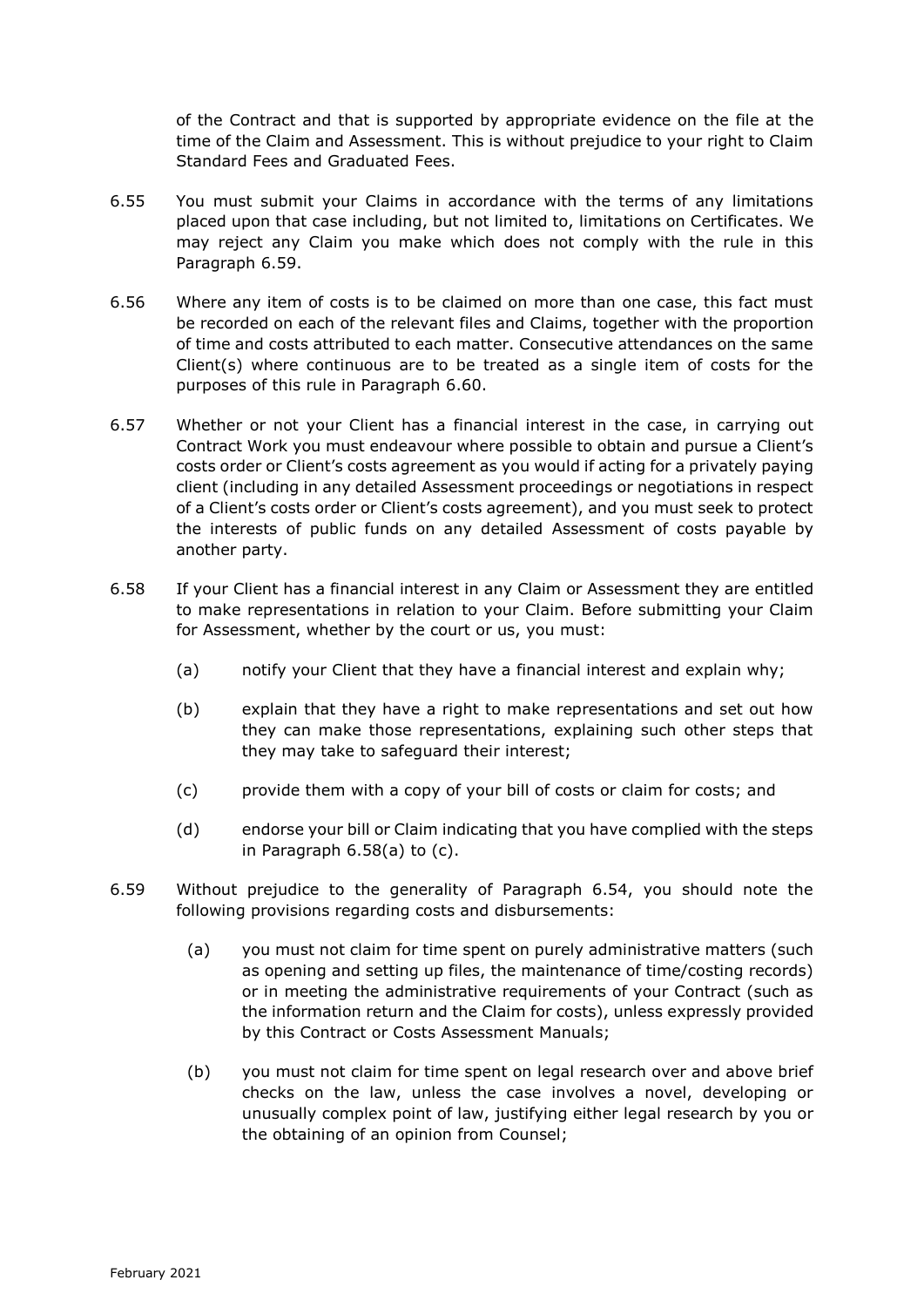of the Contract and that is supported by appropriate evidence on the file at the time of the Claim and Assessment. This is without prejudice to your right to Claim Standard Fees and Graduated Fees.

- 6.55 You must submit your Claims in accordance with the terms of any limitations placed upon that case including, but not limited to, limitations on Certificates. We may reject any Claim you make which does not comply with the rule in this Paragraph 6.59.
- 6.56 Where any item of costs is to be claimed on more than one case, this fact must be recorded on each of the relevant files and Claims, together with the proportion of time and costs attributed to each matter. Consecutive attendances on the same Client(s) where continuous are to be treated as a single item of costs for the purposes of this rule in Paragraph 6.60.
- 6.57 Whether or not your Client has a financial interest in the case, in carrying out Contract Work you must endeavour where possible to obtain and pursue a Client's costs order or Client's costs agreement as you would if acting for a privately paying client (including in any detailed Assessment proceedings or negotiations in respect of a Client's costs order or Client's costs agreement), and you must seek to protect the interests of public funds on any detailed Assessment of costs payable by another party.
- 6.58 If your Client has a financial interest in any Claim or Assessment they are entitled to make representations in relation to your Claim. Before submitting your Claim for Assessment, whether by the court or us, you must:
	- (a) notify your Client that they have a financial interest and explain why;
	- (b) explain that they have a right to make representations and set out how they can make those representations, explaining such other steps that they may take to safeguard their interest;
	- (c) provide them with a copy of your bill of costs or claim for costs; and
	- (d) endorse your bill or Claim indicating that you have complied with the steps in Paragraph 6.58(a) to (c).
- 6.59 Without prejudice to the generality of Paragraph 6.54, you should note the following provisions regarding costs and disbursements:
	- (a) you must not claim for time spent on purely administrative matters (such as opening and setting up files, the maintenance of time/costing records) or in meeting the administrative requirements of your Contract (such as the information return and the Claim for costs), unless expressly provided by this Contract or Costs Assessment Manuals;
	- (b) you must not claim for time spent on legal research over and above brief checks on the law, unless the case involves a novel, developing or unusually complex point of law, justifying either legal research by you or the obtaining of an opinion from Counsel;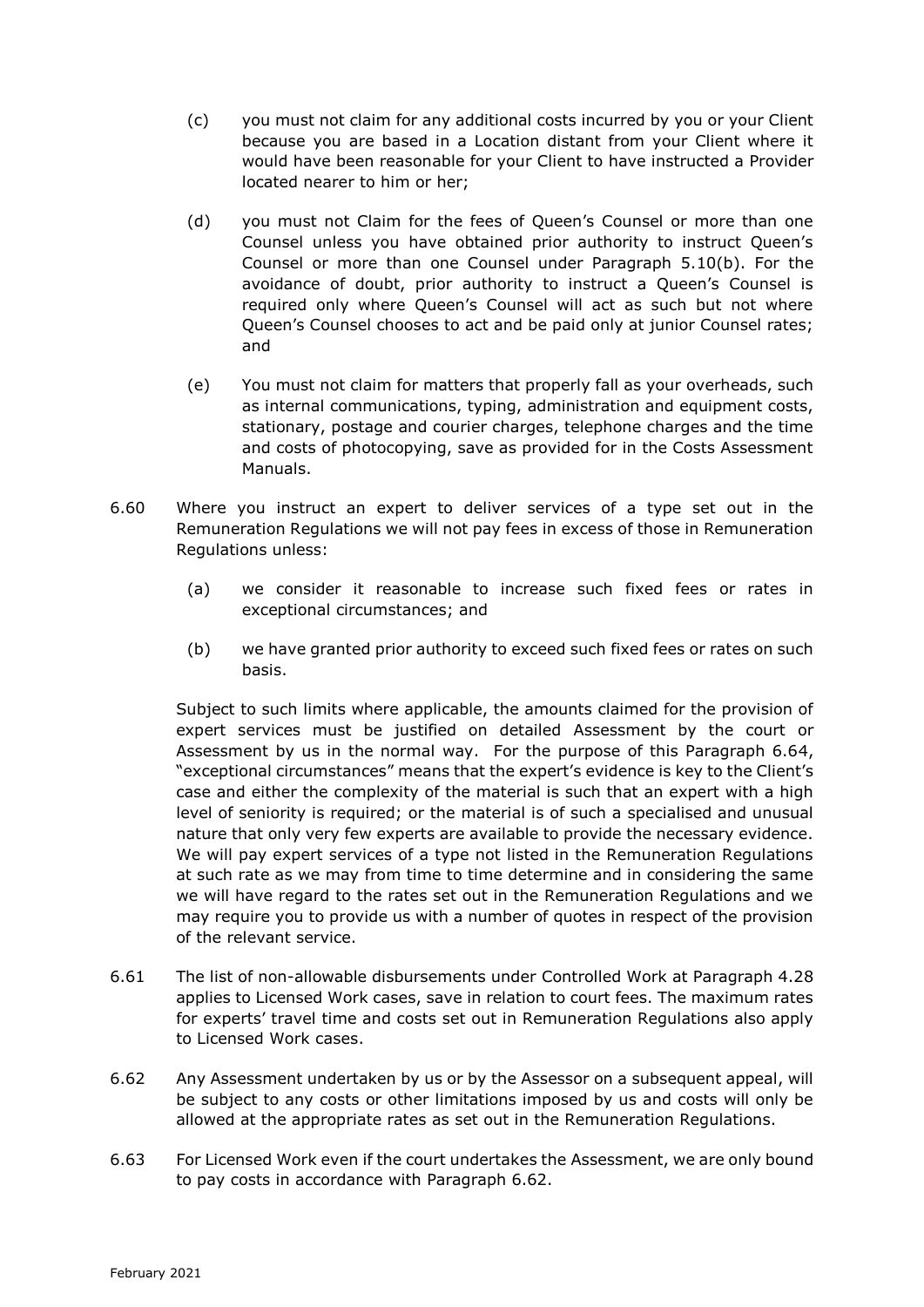- (c) you must not claim for any additional costs incurred by you or your Client because you are based in a Location distant from your Client where it would have been reasonable for your Client to have instructed a Provider located nearer to him or her;
- (d) you must not Claim for the fees of Queen's Counsel or more than one Counsel unless you have obtained prior authority to instruct Queen's Counsel or more than one Counsel under Paragraph 5.10(b). For the avoidance of doubt, prior authority to instruct a Queen's Counsel is required only where Queen's Counsel will act as such but not where Queen's Counsel chooses to act and be paid only at junior Counsel rates; and
- (e) You must not claim for matters that properly fall as your overheads, such as internal communications, typing, administration and equipment costs, stationary, postage and courier charges, telephone charges and the time and costs of photocopying, save as provided for in the Costs Assessment Manuals.
- 6.60 Where you instruct an expert to deliver services of a type set out in the Remuneration Regulations we will not pay fees in excess of those in Remuneration Regulations unless:
	- (a) we consider it reasonable to increase such fixed fees or rates in exceptional circumstances; and
	- (b) we have granted prior authority to exceed such fixed fees or rates on such basis.

Subject to such limits where applicable, the amounts claimed for the provision of expert services must be justified on detailed Assessment by the court or Assessment by us in the normal way. For the purpose of this Paragraph 6.64, "exceptional circumstances" means that the expert's evidence is key to the Client's case and either the complexity of the material is such that an expert with a high level of seniority is required; or the material is of such a specialised and unusual nature that only very few experts are available to provide the necessary evidence. We will pay expert services of a type not listed in the Remuneration Regulations at such rate as we may from time to time determine and in considering the same we will have regard to the rates set out in the Remuneration Regulations and we may require you to provide us with a number of quotes in respect of the provision of the relevant service.

- 6.61 The list of non-allowable disbursements under Controlled Work at Paragraph 4.28 applies to Licensed Work cases, save in relation to court fees. The maximum rates for experts' travel time and costs set out in Remuneration Regulations also apply to Licensed Work cases.
- 6.62 Any Assessment undertaken by us or by the Assessor on a subsequent appeal, will be subject to any costs or other limitations imposed by us and costs will only be allowed at the appropriate rates as set out in the Remuneration Regulations.
- 6.63 For Licensed Work even if the court undertakes the Assessment, we are only bound to pay costs in accordance with Paragraph 6.62.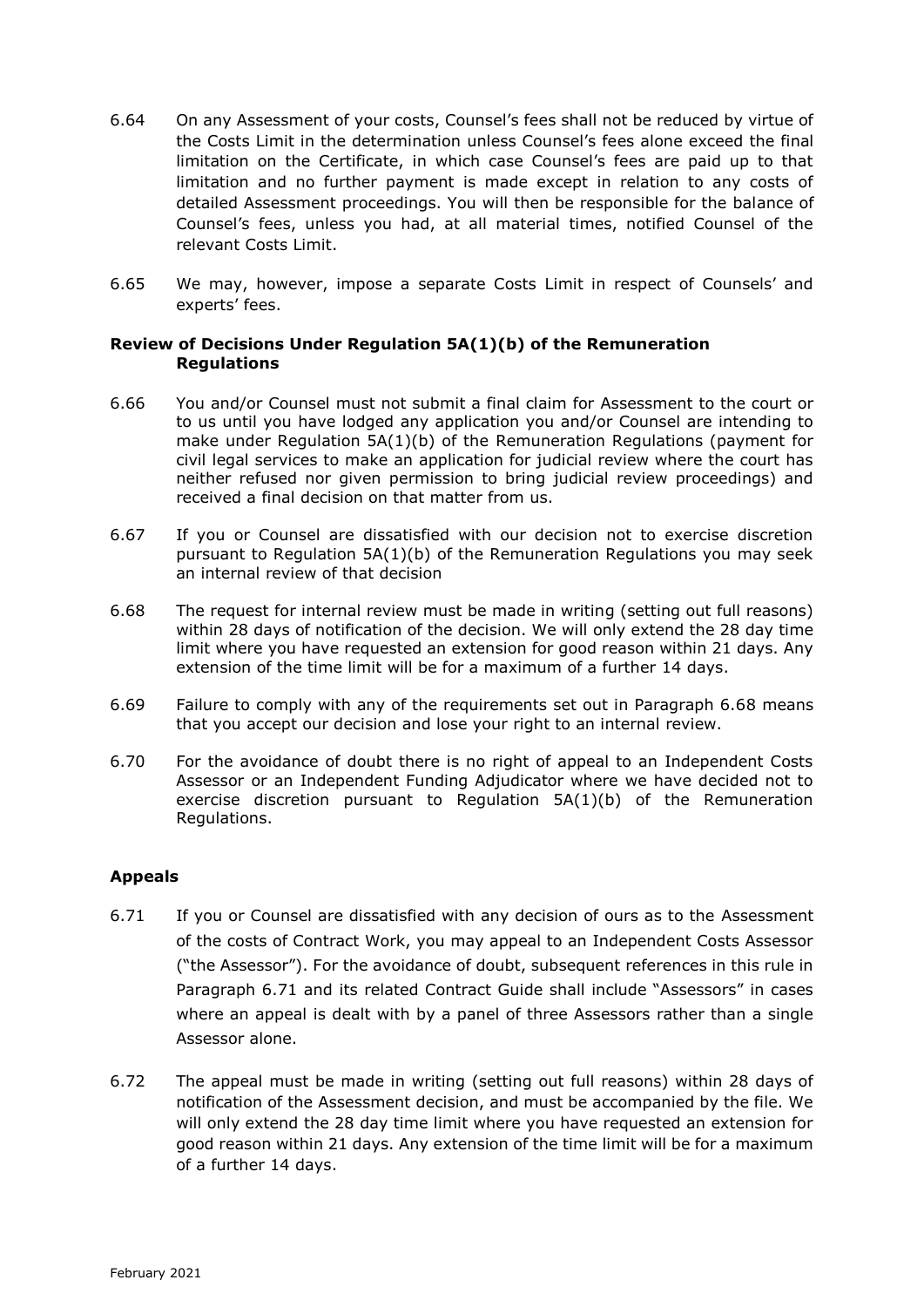- 6.64 On any Assessment of your costs, Counsel's fees shall not be reduced by virtue of the Costs Limit in the determination unless Counsel's fees alone exceed the final limitation on the Certificate, in which case Counsel's fees are paid up to that limitation and no further payment is made except in relation to any costs of detailed Assessment proceedings. You will then be responsible for the balance of Counsel's fees, unless you had, at all material times, notified Counsel of the relevant Costs Limit.
- 6.65 We may, however, impose a separate Costs Limit in respect of Counsels' and experts' fees.

### **Review of Decisions Under Regulation 5A(1)(b) of the Remuneration Regulations**

- 6.66 You and/or Counsel must not submit a final claim for Assessment to the court or to us until you have lodged any application you and/or Counsel are intending to make under Regulation 5A(1)(b) of the Remuneration Regulations (payment for civil legal services to make an application for judicial review where the court has neither refused nor given permission to bring judicial review proceedings) and received a final decision on that matter from us.
- 6.67 If you or Counsel are dissatisfied with our decision not to exercise discretion pursuant to Regulation  $5A(1)(b)$  of the Remuneration Regulations you may seek an internal review of that decision
- 6.68 The request for internal review must be made in writing (setting out full reasons) within 28 days of notification of the decision. We will only extend the 28 day time limit where you have requested an extension for good reason within 21 days. Any extension of the time limit will be for a maximum of a further 14 days.
- 6.69 Failure to comply with any of the requirements set out in Paragraph 6.68 means that you accept our decision and lose your right to an internal review.
- 6.70 For the avoidance of doubt there is no right of appeal to an Independent Costs Assessor or an Independent Funding Adjudicator where we have decided not to exercise discretion pursuant to Regulation 5A(1)(b) of the Remuneration Regulations.

# **Appeals**

- 6.71 If you or Counsel are dissatisfied with any decision of ours as to the Assessment of the costs of Contract Work, you may appeal to an Independent Costs Assessor ("the Assessor"). For the avoidance of doubt, subsequent references in this rule in Paragraph 6.71 and its related Contract Guide shall include "Assessors" in cases where an appeal is dealt with by a panel of three Assessors rather than a single Assessor alone.
- 6.72 The appeal must be made in writing (setting out full reasons) within 28 days of notification of the Assessment decision, and must be accompanied by the file. We will only extend the 28 day time limit where you have requested an extension for good reason within 21 days. Any extension of the time limit will be for a maximum of a further 14 days.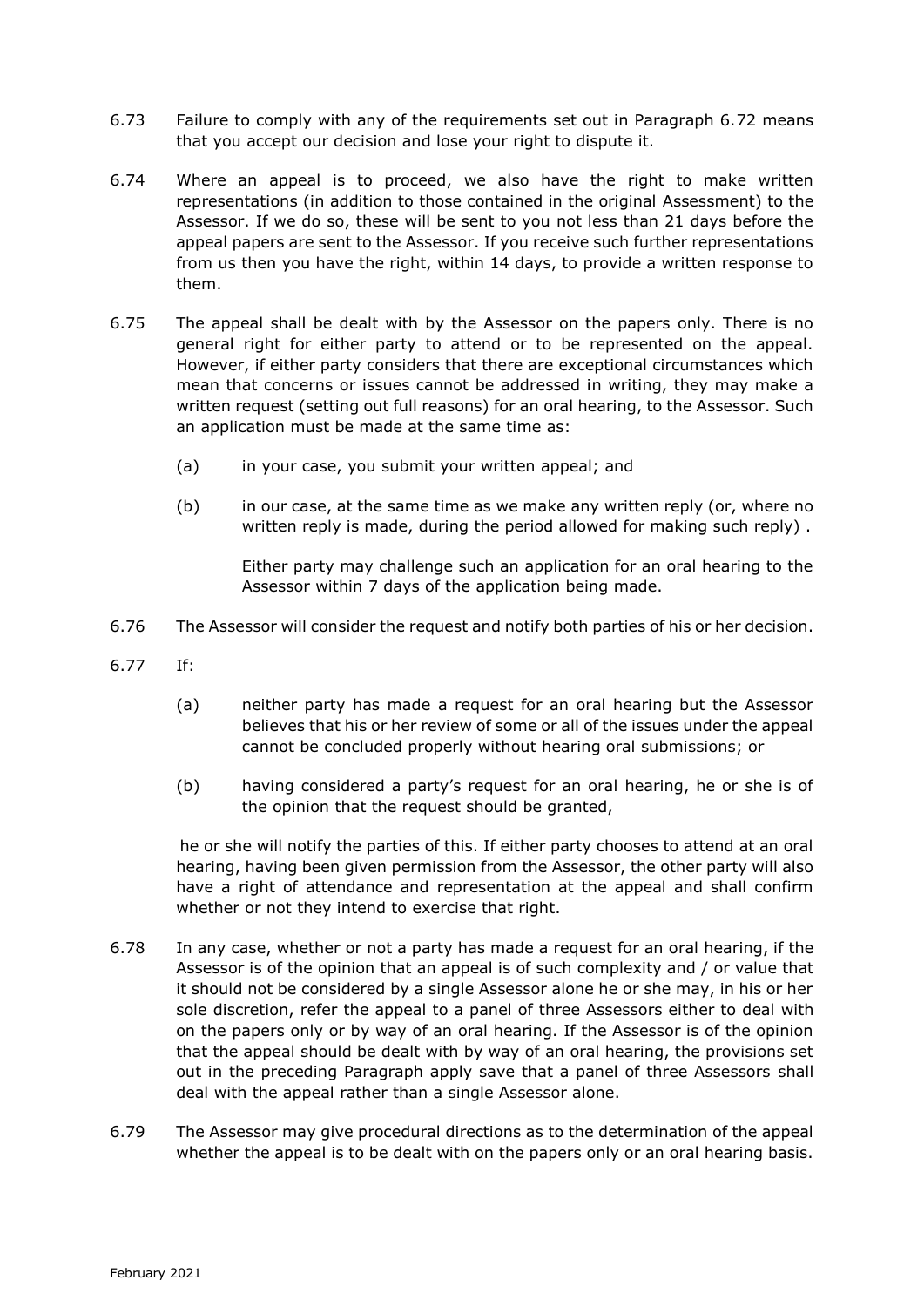- 6.73 Failure to comply with any of the requirements set out in Paragraph 6.72 means that you accept our decision and lose your right to dispute it.
- 6.74 Where an appeal is to proceed, we also have the right to make written representations (in addition to those contained in the original Assessment) to the Assessor. If we do so, these will be sent to you not less than 21 days before the appeal papers are sent to the Assessor. If you receive such further representations from us then you have the right, within 14 days, to provide a written response to them.
- 6.75 The appeal shall be dealt with by the Assessor on the papers only. There is no general right for either party to attend or to be represented on the appeal. However, if either party considers that there are exceptional circumstances which mean that concerns or issues cannot be addressed in writing, they may make a written request (setting out full reasons) for an oral hearing, to the Assessor. Such an application must be made at the same time as:
	- (a) in your case, you submit your written appeal; and
	- (b) in our case, at the same time as we make any written reply (or, where no written reply is made, during the period allowed for making such reply) .

Either party may challenge such an application for an oral hearing to the Assessor within 7 days of the application being made.

- 6.76 The Assessor will consider the request and notify both parties of his or her decision.
- 6.77 If:
	- (a) neither party has made a request for an oral hearing but the Assessor believes that his or her review of some or all of the issues under the appeal cannot be concluded properly without hearing oral submissions; or
	- (b) having considered a party's request for an oral hearing, he or she is of the opinion that the request should be granted,

he or she will notify the parties of this. If either party chooses to attend at an oral hearing, having been given permission from the Assessor, the other party will also have a right of attendance and representation at the appeal and shall confirm whether or not they intend to exercise that right.

- 6.78 In any case, whether or not a party has made a request for an oral hearing, if the Assessor is of the opinion that an appeal is of such complexity and / or value that it should not be considered by a single Assessor alone he or she may, in his or her sole discretion, refer the appeal to a panel of three Assessors either to deal with on the papers only or by way of an oral hearing. If the Assessor is of the opinion that the appeal should be dealt with by way of an oral hearing, the provisions set out in the preceding Paragraph apply save that a panel of three Assessors shall deal with the appeal rather than a single Assessor alone.
- 6.79 The Assessor may give procedural directions as to the determination of the appeal whether the appeal is to be dealt with on the papers only or an oral hearing basis.